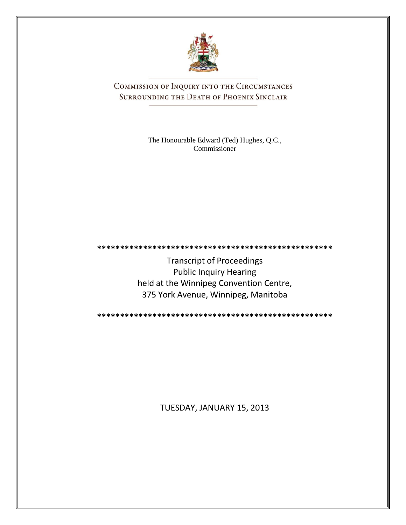

COMMISSION OF INQUIRY INTO THE CIRCUMSTANCES SURROUNDING THE DEATH OF PHOENIX SINCLAIR

> The Honourable Edward (Ted) Hughes, Q.C., Commissioner

**\*\*\*\*\*\*\*\*\*\*\*\*\*\*\*\*\*\*\*\*\*\*\*\*\*\*\*\*\*\*\*\*\*\*\*\*\*\*\*\*\*\*\*\*\*\*\*\*\*\*\***

Transcript of Proceedings Public Inquiry Hearing held at the Winnipeg Convention Centre, 375 York Avenue, Winnipeg, Manitoba

**\*\*\*\*\*\*\*\*\*\*\*\*\*\*\*\*\*\*\*\*\*\*\*\*\*\*\*\*\*\*\*\*\*\*\*\*\*\*\*\*\*\*\*\*\*\*\*\*\*\*\***

TUESDAY, JANUARY 15, 2013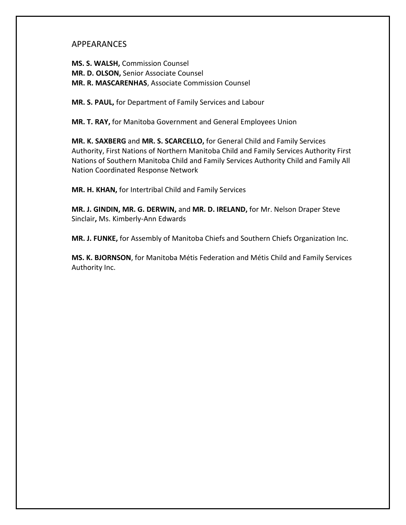## APPEARANCES

**MS. S. WALSH,** Commission Counsel **MR. D. OLSON,** Senior Associate Counsel **MR. R. MASCARENHAS**, Associate Commission Counsel

**MR. S. PAUL,** for Department of Family Services and Labour

**MR. T. RAY,** for Manitoba Government and General Employees Union

**MR. K. SAXBERG** and **MR. S. SCARCELLO,** for General Child and Family Services Authority, First Nations of Northern Manitoba Child and Family Services Authority First Nations of Southern Manitoba Child and Family Services Authority Child and Family All Nation Coordinated Response Network

**MR. H. KHAN,** for Intertribal Child and Family Services

**MR. J. GINDIN, MR. G. DERWIN,** and **MR. D. IRELAND,** for Mr. Nelson Draper Steve Sinclair**,** Ms. Kimberly-Ann Edwards

**MR. J. FUNKE,** for Assembly of Manitoba Chiefs and Southern Chiefs Organization Inc.

**MS. K. BJORNSON**, for Manitoba Métis Federation and Métis Child and Family Services Authority Inc.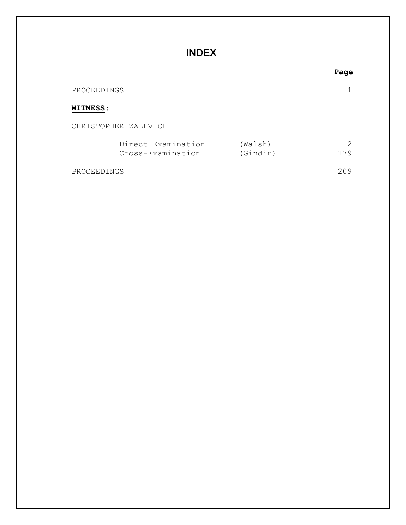# **INDEX**

|                 |                                         |                     | Page                                                                                                                                                                   |
|-----------------|-----------------------------------------|---------------------|------------------------------------------------------------------------------------------------------------------------------------------------------------------------|
| PROCEEDINGS     |                                         |                     |                                                                                                                                                                        |
| <b>WITNESS:</b> |                                         |                     |                                                                                                                                                                        |
|                 | CHRISTOPHER ZALEVICH                    |                     |                                                                                                                                                                        |
|                 | Direct Examination<br>Cross-Examination | (Walsh)<br>(Gindin) | $\mathcal{D}_{\mathcal{L}}^{\mathcal{L}}(\mathcal{L})=\mathcal{L}_{\mathcal{L}}^{\mathcal{L}}(\mathcal{L})\mathcal{L}_{\mathcal{L}}^{\mathcal{L}}(\mathcal{L})$<br>179 |
| PROCEEDINGS     |                                         |                     | 209                                                                                                                                                                    |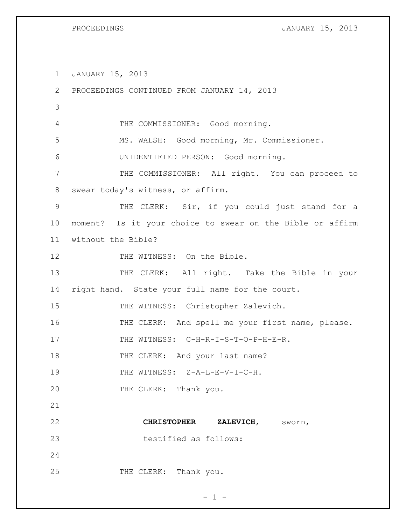PROCEEDINGS **DEVELOPS JANUARY 15, 2013** 

1 JANUARY 15, 2013

| $\mathbf{2}$ | PROCEEDINGS CONTINUED FROM JANUARY 14, 2013               |
|--------------|-----------------------------------------------------------|
| 3            |                                                           |
| 4            | THE COMMISSIONER: Good morning.                           |
| 5            | MS. WALSH: Good morning, Mr. Commissioner.                |
| 6            | UNIDENTIFIED PERSON: Good morning.                        |
| 7            | THE COMMISSIONER: All right. You can proceed to           |
| 8            | swear today's witness, or affirm.                         |
| $\mathsf 9$  | THE CLERK: Sir, if you could just stand for a             |
| 10           | moment? Is it your choice to swear on the Bible or affirm |
| 11           | without the Bible?                                        |
| 12           | THE WITNESS: On the Bible.                                |
| 13           | THE CLERK: All right. Take the Bible in your              |
| 14           | right hand. State your full name for the court.           |
| 15           | THE WITNESS: Christopher Zalevich.                        |
| 16           | THE CLERK: And spell me your first name, please.          |
| 17           | THE WITNESS: C-H-R-I-S-T-O-P-H-E-R.                       |
| 18           | THE CLERK: And your last name?                            |
| 19           | THE WITNESS: Z-A-L-E-V-I-C-H.                             |
| 20           | THE CLERK: Thank you.                                     |
| 21           |                                                           |
| 22           | <b>CHRISTOPHER</b><br>ZALEVICH,<br>sworn,                 |
| 23           | testified as follows:                                     |
| 24           |                                                           |
| 25           | THE CLERK: Thank you.                                     |

 $- 1 -$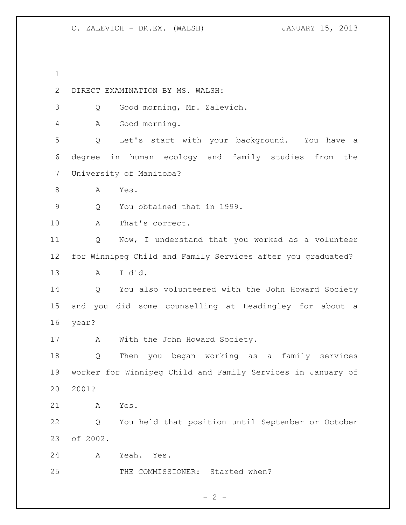| 1            |          |                                                             |
|--------------|----------|-------------------------------------------------------------|
| $\mathbf{2}$ |          | DIRECT EXAMINATION BY MS. WALSH:                            |
| 3            | Q        | Good morning, Mr. Zalevich.                                 |
| 4            | А        | Good morning.                                               |
| 5            | Q        | Let's start with your background. You have a                |
| 6            |          | degree in human ecology and family studies from<br>the      |
| 7            |          | University of Manitoba?                                     |
| $\,8\,$      | Α        | Yes.                                                        |
| $\mathsf 9$  | Q        | You obtained that in 1999.                                  |
| 10           | Α        | That's correct.                                             |
| 11           | Q        | Now, I understand that you worked as a volunteer            |
| 12           |          | for Winnipeg Child and Family Services after you graduated? |
| 13           | A        | I did.                                                      |
| 14           | Q        | You also volunteered with the John Howard Society           |
| 15           |          | and you did some counselling at Headingley for about a      |
| 16           | year?    |                                                             |
| 17           | A        | With the John Howard Society.                               |
| 18           | Q        | Then you began working as a family services                 |
| 19           |          | worker for Winnipeg Child and Family Services in January of |
| 20           | 2001?    |                                                             |
| 21           | A        | Yes.                                                        |
| 22           | Q        | You held that position until September or October           |
| 23           | of 2002. |                                                             |
| 24           | Α        | Yeah. Yes.                                                  |
| 25           |          | THE COMMISSIONER: Started when?                             |

 $- 2 -$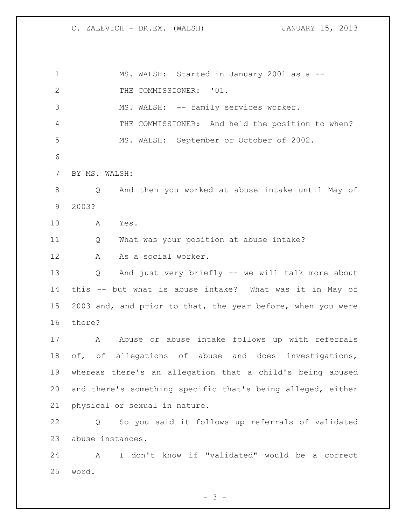MS. WALSH: Started in January 2001 as a -- 2 THE COMMISSIONER: '01. MS. WALSH: -- family services worker. THE COMMISSIONER: And held the position to when? MS. WALSH: September or October of 2002. BY MS. WALSH: Q And then you worked at abuse intake until May of 2003? A Yes. Q What was your position at abuse intake? A As a social worker. Q And just very briefly -- we will talk more about this -- but what is abuse intake? What was it in May of 2003 and, and prior to that, the year before, when you were there? 17 A Abuse or abuse intake follows up with referrals 18 of, of allegations of abuse and does investigations, whereas there's an allegation that a child's being abused and there's something specific that's being alleged, either physical or sexual in nature. Q So you said it follows up referrals of validated abuse instances. A I don't know if "validated" would be a correct word.

 $- 3 -$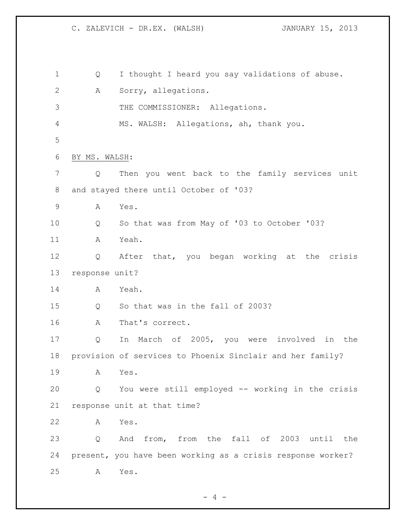| $\mathbf 1$ | Q              | I thought I heard you say validations of abuse.             |
|-------------|----------------|-------------------------------------------------------------|
| 2           | A              | Sorry, allegations.                                         |
| 3           |                | THE COMMISSIONER: Allegations.                              |
| 4           |                | MS. WALSH: Allegations, ah, thank you.                      |
| 5           |                |                                                             |
| 6           | BY MS. WALSH:  |                                                             |
| 7           | Q              | Then you went back to the family services unit              |
| 8           |                | and stayed there until October of '03?                      |
| 9           | Α              | Yes.                                                        |
| 10          | Q              | So that was from May of '03 to October '03?                 |
| 11          | A              | Yeah.                                                       |
| 12          | Q              | After that, you began working at the crisis                 |
| 13          | response unit? |                                                             |
| 14          | A              | Yeah.                                                       |
| 15          | Q              | So that was in the fall of 2003?                            |
| 16          | Α              | That's correct.                                             |
| 17          | Q              | In March of 2005, you were involved<br>in the               |
| 18          |                | provision of services to Phoenix Sinclair and her family?   |
| 19          | A              | Yes.                                                        |
| 20          | Q              | You were still employed -- working in the crisis            |
| 21          |                | response unit at that time?                                 |
| 22          | А              | Yes.                                                        |
| 23          | Q              | And from, from the fall of 2003 until the                   |
| 24          |                | present, you have been working as a crisis response worker? |
| 25          | A              | Yes.                                                        |

- 4 -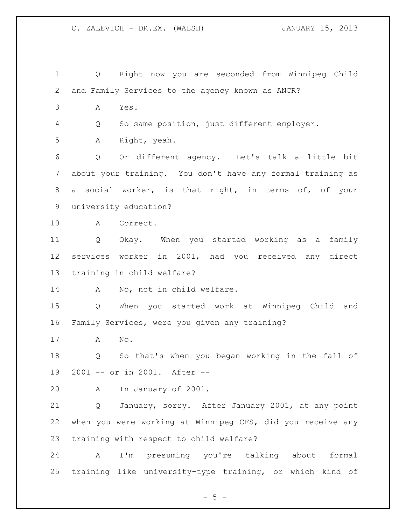Q Right now you are seconded from Winnipeg Child and Family Services to the agency known as ANCR? A Yes. Q So same position, just different employer. A Right, yeah. Q Or different agency. Let's talk a little bit about your training. You don't have any formal training as a social worker, is that right, in terms of, of your university education? A Correct. Q Okay. When you started working as a family services worker in 2001, had you received any direct training in child welfare? 14 A No, not in child welfare. Q When you started work at Winnipeg Child and Family Services, were you given any training? A No. Q So that's when you began working in the fall of 2001 -- or in 2001. After -- A In January of 2001. Q January, sorry. After January 2001, at any point when you were working at Winnipeg CFS, did you receive any training with respect to child welfare? A I'm presuming you're talking about formal training like university-type training, or which kind of

 $- 5 -$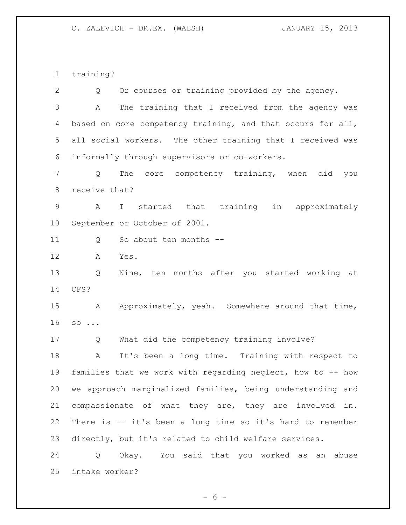training?

 Q Or courses or training provided by the agency. A The training that I received from the agency was 4 based on core competency training, and that occurs for all, all social workers. The other training that I received was informally through supervisors or co-workers. Q The core competency training, when did you receive that? A I started that training in approximately September or October of 2001. 11 O So about ten months -- A Yes. Q Nine, ten months after you started working at CFS? 15 A Approximately, yeah. Somewhere around that time, so ... Q What did the competency training involve? A It's been a long time. Training with respect to families that we work with regarding neglect, how to -- how we approach marginalized families, being understanding and compassionate of what they are, they are involved in. There is -- it's been a long time so it's hard to remember directly, but it's related to child welfare services. Q Okay. You said that you worked as an abuse intake worker?

 $- 6 -$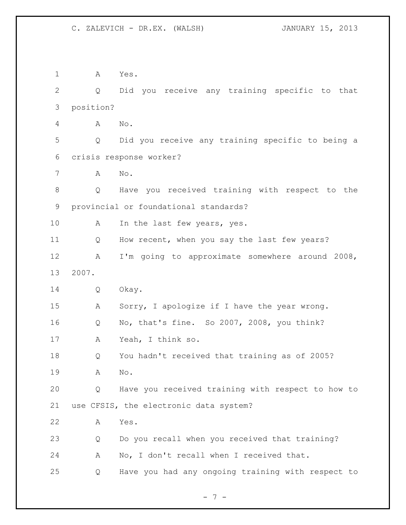A Yes. Q Did you receive any training specific to that position? A No. Q Did you receive any training specific to being a crisis response worker? A No. Q Have you received training with respect to the provincial or foundational standards? 10 A In the last few years, yes. 11 Q How recent, when you say the last few years? A I'm going to approximate somewhere around 2008, 2007. Q Okay. A Sorry, I apologize if I have the year wrong. Q No, that's fine. So 2007, 2008, you think? A Yeah, I think so. Q You hadn't received that training as of 2005? A No. Q Have you received training with respect to how to use CFSIS, the electronic data system? A Yes. Q Do you recall when you received that training? A No, I don't recall when I received that. Q Have you had any ongoing training with respect to

 $- 7 -$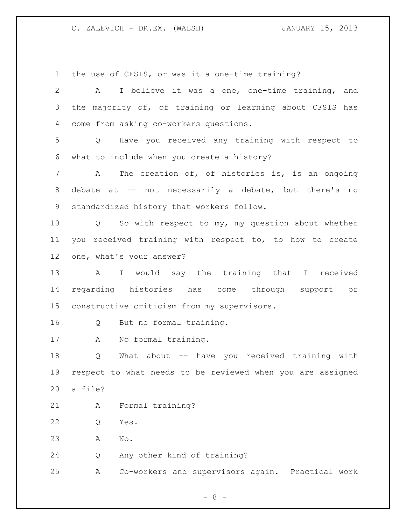the use of CFSIS, or was it a one-time training?

 A I believe it was a one, one-time training, and the majority of, of training or learning about CFSIS has come from asking co-workers questions. Q Have you received any training with respect to what to include when you create a history? A The creation of, of histories is, is an ongoing debate at -- not necessarily a debate, but there's no standardized history that workers follow. Q So with respect to my, my question about whether you received training with respect to, to how to create one, what's your answer? A I would say the training that I received regarding histories has come through support or constructive criticism from my supervisors. Q But no formal training. A No formal training. Q What about -- have you received training with respect to what needs to be reviewed when you are assigned a file? A Formal training? Q Yes. A No. Q Any other kind of training? A Co-workers and supervisors again. Practical work

- 8 -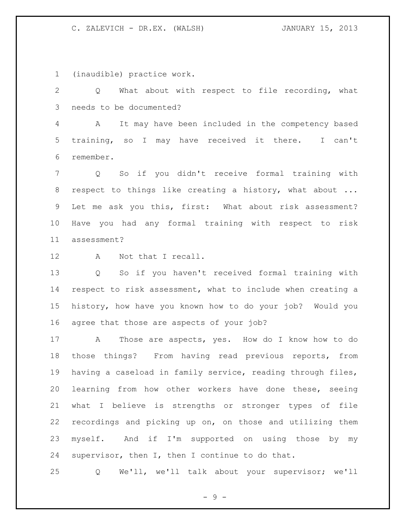(inaudible) practice work.

 Q What about with respect to file recording, what needs to be documented?

 A It may have been included in the competency based training, so I may have received it there. I can't remember.

 Q So if you didn't receive formal training with 8 respect to things like creating a history, what about ... Let me ask you this, first: What about risk assessment? Have you had any formal training with respect to risk assessment?

12 A Not that I recall.

 Q So if you haven't received formal training with respect to risk assessment, what to include when creating a history, how have you known how to do your job? Would you agree that those are aspects of your job?

 A Those are aspects, yes. How do I know how to do those things? From having read previous reports, from having a caseload in family service, reading through files, learning from how other workers have done these, seeing what I believe is strengths or stronger types of file recordings and picking up on, on those and utilizing them myself. And if I'm supported on using those by my supervisor, then I, then I continue to do that.

Q We'll, we'll talk about your supervisor; we'll

 $-9 -$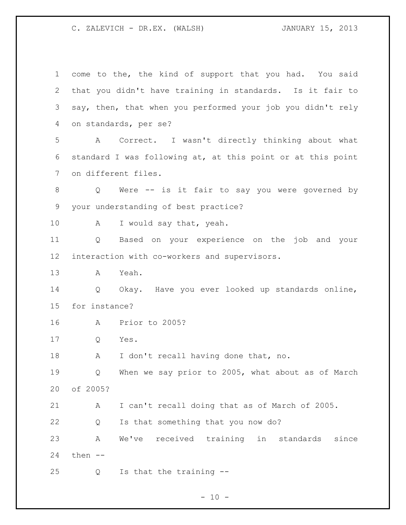| 1  | come to the, the kind of support that you had. You said     |
|----|-------------------------------------------------------------|
| 2  | that you didn't have training in standards. Is it fair to   |
| 3  | say, then, that when you performed your job you didn't rely |
| 4  | on standards, per se?                                       |
| 5  | Correct. I wasn't directly thinking about what<br>A         |
| 6  | standard I was following at, at this point or at this point |
| 7  | on different files.                                         |
| 8  | Were -- is it fair to say you were governed by<br>Q         |
| 9  | your understanding of best practice?                        |
| 10 | A<br>I would say that, yeah.                                |
| 11 | Based on your experience on the job and your<br>Q           |
| 12 | interaction with co-workers and supervisors.                |
| 13 | Yeah.<br>A                                                  |
| 14 | Okay. Have you ever looked up standards online,<br>Q        |
| 15 | for instance?                                               |
| 16 | Prior to 2005?<br>A                                         |
| 17 | Yes.<br>Q                                                   |
| 18 | I don't recall having done that, no.<br>Α                   |
| 19 | When we say prior to 2005, what about as of March<br>Q      |
| 20 | of 2005?                                                    |
| 21 | I can't recall doing that as of March of 2005.<br>A         |
| 22 | Is that something that you now do?<br>Q                     |
| 23 | received training in standards<br>Α<br>We've<br>since       |
|    |                                                             |
| 24 | then --                                                     |

- 10 -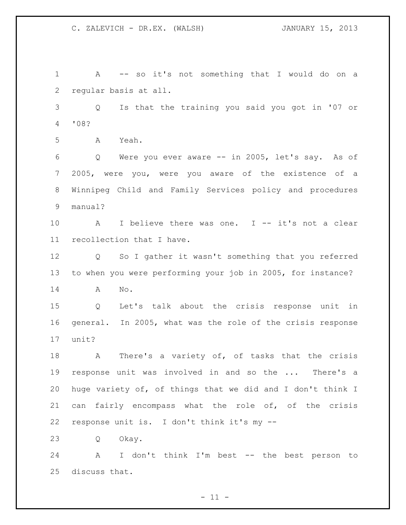A -- so it's not something that I would do on a regular basis at all. Q Is that the training you said you got in '07 or '08? A Yeah. Q Were you ever aware -- in 2005, let's say. As of 2005, were you, were you aware of the existence of a Winnipeg Child and Family Services policy and procedures manual? A I believe there was one. I -- it's not a clear recollection that I have. Q So I gather it wasn't something that you referred to when you were performing your job in 2005, for instance? A No. Q Let's talk about the crisis response unit in general. In 2005, what was the role of the crisis response unit? 18 A There's a variety of, of tasks that the crisis response unit was involved in and so the ... There's a huge variety of, of things that we did and I don't think I can fairly encompass what the role of, of the crisis response unit is. I don't think it's my -- Q Okay. A I don't think I'm best -- the best person to discuss that.

 $- 11 -$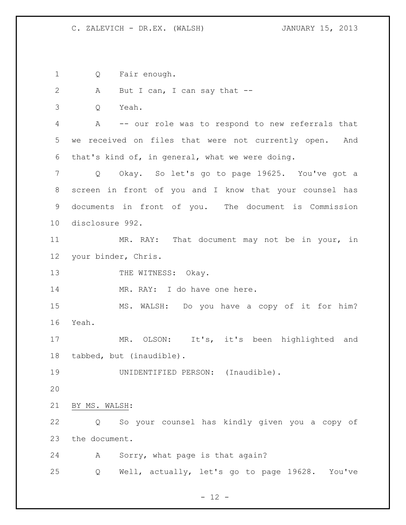Q Fair enough.

2 A But I can, I can say that --

Q Yeah.

 A -- our role was to respond to new referrals that we received on files that were not currently open. And that's kind of, in general, what we were doing.

 Q Okay. So let's go to page 19625. You've got a screen in front of you and I know that your counsel has documents in front of you. The document is Commission disclosure 992.

 MR. RAY: That document may not be in your, in your binder, Chris.

13 THE WITNESS: Okay.

14 MR. RAY: I do have one here.

 MS. WALSH: Do you have a copy of it for him? Yeah.

 MR. OLSON: It's, it's been highlighted and tabbed, but (inaudible).

UNIDENTIFIED PERSON: (Inaudible).

BY MS. WALSH:

 Q So your counsel has kindly given you a copy of the document.

A Sorry, what page is that again?

Q Well, actually, let's go to page 19628. You've

 $- 12 -$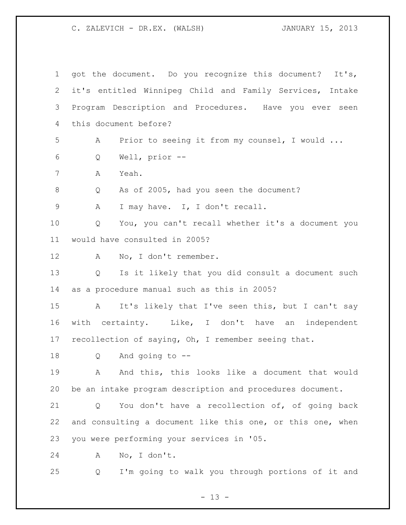| $\mathbf{1}$   | got the document. Do you recognize this document? It's,                |
|----------------|------------------------------------------------------------------------|
| 2              | it's entitled Winnipeg Child and Family Services, Intake               |
| 3              | Program Description and Procedures. Have you ever seen                 |
| $\overline{4}$ | this document before?                                                  |
| 5              | Prior to seeing it from my counsel, I would<br>А                       |
| 6              | Well, prior --<br>Q                                                    |
| 7              | Yeah.<br>Α                                                             |
| 8              | As of 2005, had you seen the document?<br>Q                            |
| $\mathsf 9$    | I may have. I, I don't recall.<br>Α                                    |
| 10             | You, you can't recall whether it's a document you<br>Q                 |
| 11             | would have consulted in 2005?                                          |
| 12             | No, I don't remember.<br>A                                             |
| 13             | Is it likely that you did consult a document such<br>$Q \qquad \qquad$ |
| 14             | as a procedure manual such as this in 2005?                            |
| 15             | It's likely that I've seen this, but I can't say<br>$\mathbf{A}$       |
| 16             | with certainty. Like, I don't have an independent                      |
| 17             | recollection of saying, Oh, I remember seeing that.                    |
| 18             | And going to $-$ -<br>Q                                                |
| 19             | And this, this looks like a document that would<br>A                   |
| 20             | be an intake program description and procedures document.              |
| 21             | You don't have a recollection of, of going back<br>Q                   |
| 22             | and consulting a document like this one, or this one, when             |
| 23             | you were performing your services in '05.                              |
| 24             | No, I don't.<br>A                                                      |
| 25             | I'm going to walk you through portions of it and<br>Q                  |

- 13 -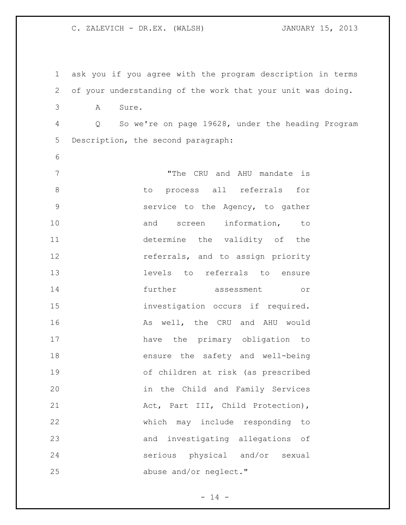ask you if you agree with the program description in terms of your understanding of the work that your unit was doing. A Sure. Q So we're on page 19628, under the heading Program Description, the second paragraph: "The CRU and AHU mandate is 8 to process all referrals for service to the Agency, to gather 10 and screen information, to determine the validity of the **12 referrals, and to assign priority**  levels to referrals to ensure further assessment or investigation occurs if required. 16 As well, the CRU and AHU would have the primary obligation to ensure the safety and well-being of children at risk (as prescribed in the Child and Family Services 21 Act, Part III, Child Protection), which may include responding to and investigating allegations of serious physical and/or sexual 25 abuse and/or neglect."

 $- 14 -$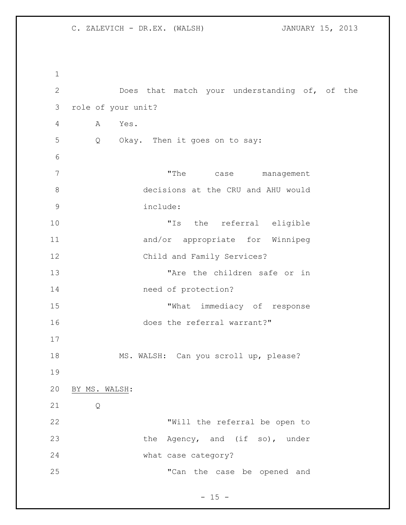Does that match your understanding of, of the role of your unit? A Yes. Q Okay. Then it goes on to say: 7 The case management decisions at the CRU and AHU would include: "Is the referral eligible and/or appropriate for Winnipeg Child and Family Services? 13 The the children safe or in need of protection? 15 "What immediacy of response 16 does the referral warrant?" MS. WALSH: Can you scroll up, please? BY MS. WALSH: Q "Will the referral be open to 23 the Agency, and (if so), under what case category? "Can the case be opened and

 $- 15 -$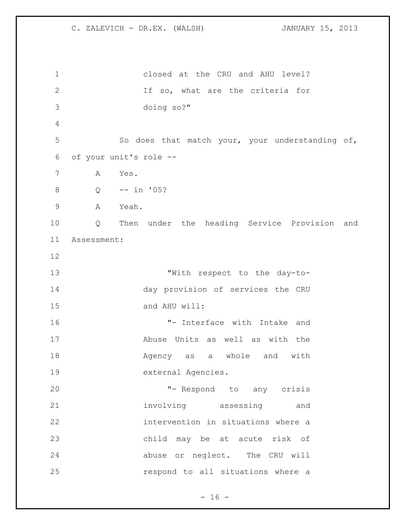closed at the CRU and AHU level? If so, what are the criteria for doing so?" So does that match your, your understanding of, of your unit's role -- A Yes. Q -- in '05? A Yeah. Q Then under the heading Service Provision and Assessment: "With respect to the day-to- day provision of services the CRU and AHU will: "- Interface with Intake and Abuse Units as well as with the 18 Magency as a whole and with external Agencies. "- Respond to any crisis involving assessing and intervention in situations where a child may be at acute risk of abuse or neglect. The CRU will respond to all situations where a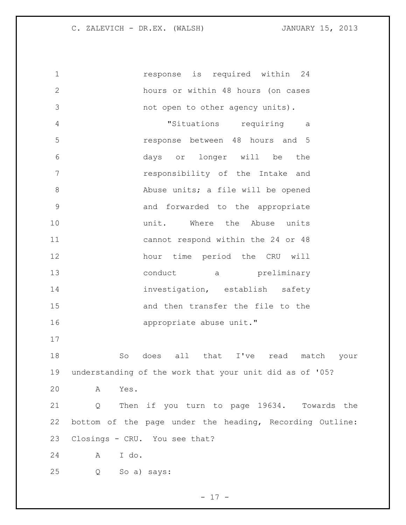**1** response is required within 24 hours or within 48 hours (on cases not open to other agency units). "Situations requiring a response between 48 hours and 5 days or longer will be the responsibility of the Intake and Abuse units; a file will be opened and forwarded to the appropriate **unit.** Where the Abuse units cannot respond within the 24 or 48 hour time period the CRU will 13 conduct a preliminary investigation, establish safety and then transfer the file to the appropriate abuse unit." So does all that I've read match your understanding of the work that your unit did as of '05? A Yes. Q Then if you turn to page 19634. Towards the bottom of the page under the heading, Recording Outline: Closings - CRU. You see that? A I do. Q So a) says:

- 17 -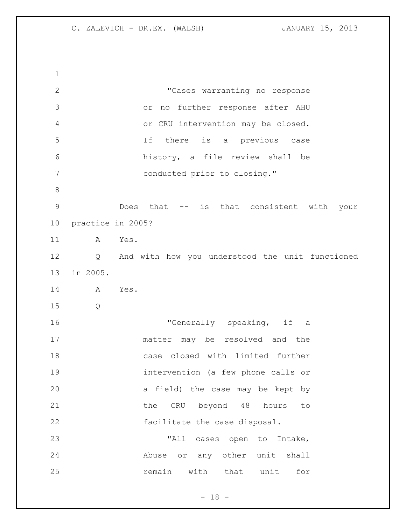"Cases warranting no response or no further response after AHU or CRU intervention may be closed. If there is a previous case history, a file review shall be conducted prior to closing." Does that -- is that consistent with your practice in 2005? A Yes. Q And with how you understood the unit functioned in 2005. A Yes. Q 16 TGenerally speaking, if a matter may be resolved and the case closed with limited further intervention (a few phone calls or a field) the case may be kept by 21 the CRU beyond 48 hours to facilitate the case disposal. 23 TALL cases open to Intake, Abuse or any other unit shall **remain** with that unit for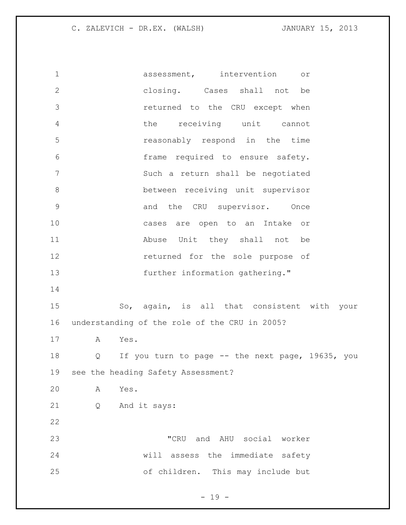assessment, intervention or closing. Cases shall not be returned to the CRU except when the receiving unit cannot reasonably respond in the time frame required to ensure safety. Such a return shall be negotiated between receiving unit supervisor 9 and the CRU supervisor. Once cases are open to an Intake or Abuse Unit they shall not be returned for the sole purpose of further information gathering." So, again, is all that consistent with your understanding of the role of the CRU in 2005? A Yes. Q If you turn to page -- the next page, 19635, you see the heading Safety Assessment? A Yes. Q And it says: "CRU and AHU social worker will assess the immediate safety of children. This may include but

 $- 19 -$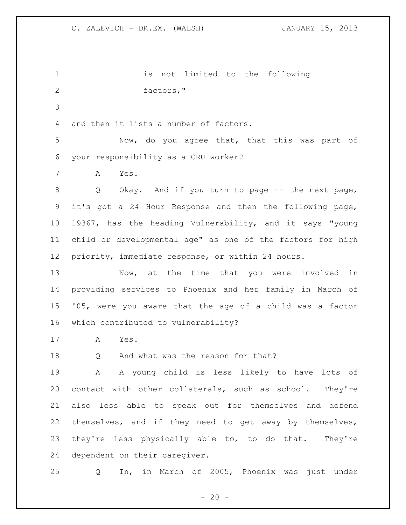is not limited to the following factors," and then it lists a number of factors. Now, do you agree that, that this was part of your responsibility as a CRU worker? A Yes. 8 Q Okay. And if you turn to page -- the next page, it's got a 24 Hour Response and then the following page, 19367, has the heading Vulnerability, and it says "young child or developmental age" as one of the factors for high priority, immediate response, or within 24 hours. 13 Now, at the time that you were involved in providing services to Phoenix and her family in March of '05, were you aware that the age of a child was a factor which contributed to vulnerability? A Yes. Q And what was the reason for that? A A young child is less likely to have lots of contact with other collaterals, such as school. They're also less able to speak out for themselves and defend themselves, and if they need to get away by themselves, 23 they're less physically able to, to do that. They're dependent on their caregiver. Q In, in March of 2005, Phoenix was just under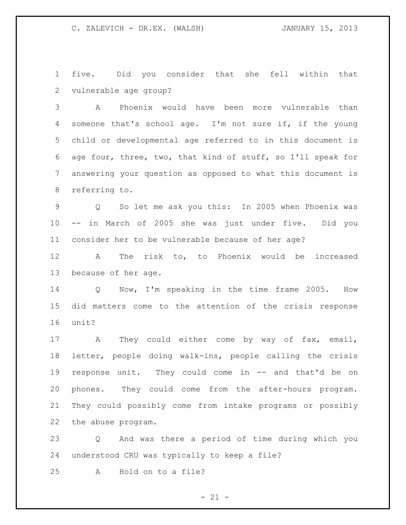five. Did you consider that she fell within that vulnerable age group?

 A Phoenix would have been more vulnerable than someone that's school age. I'm not sure if, if the young child or developmental age referred to in this document is age four, three, two, that kind of stuff, so I'll speak for answering your question as opposed to what this document is referring to.

 Q So let me ask you this: In 2005 when Phoenix was -- in March of 2005 she was just under five. Did you consider her to be vulnerable because of her age?

 A The risk to, to Phoenix would be increased because of her age.

 Q Now, I'm speaking in the time frame 2005. How did matters come to the attention of the crisis response unit?

17 A They could either come by way of fax, email, letter, people doing walk-ins, people calling the crisis response unit. They could come in -- and that'd be on phones. They could come from the after-hours program. They could possibly come from intake programs or possibly the abuse program.

 Q And was there a period of time during which you understood CRU was typically to keep a file?

A Hold on to a file?

 $- 21 -$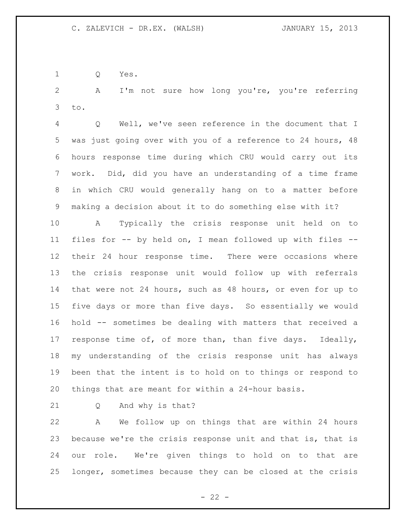Q Yes.

 A I'm not sure how long you're, you're referring to.

 Q Well, we've seen reference in the document that I was just going over with you of a reference to 24 hours, 48 hours response time during which CRU would carry out its work. Did, did you have an understanding of a time frame in which CRU would generally hang on to a matter before making a decision about it to do something else with it?

 A Typically the crisis response unit held on to files for -- by held on, I mean followed up with files -- their 24 hour response time. There were occasions where the crisis response unit would follow up with referrals that were not 24 hours, such as 48 hours, or even for up to five days or more than five days. So essentially we would hold -- sometimes be dealing with matters that received a response time of, of more than, than five days. Ideally, my understanding of the crisis response unit has always been that the intent is to hold on to things or respond to things that are meant for within a 24-hour basis.

Q And why is that?

 A We follow up on things that are within 24 hours because we're the crisis response unit and that is, that is our role. We're given things to hold on to that are longer, sometimes because they can be closed at the crisis

 $- 22 -$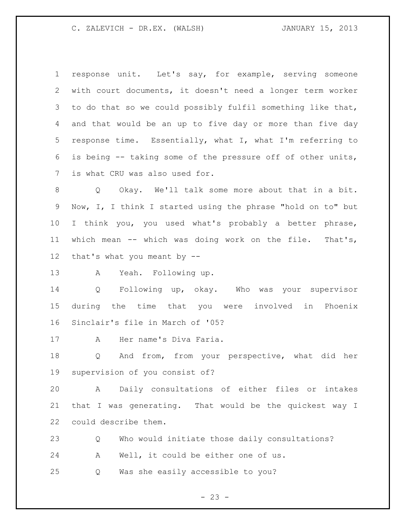response unit. Let's say, for example, serving someone with court documents, it doesn't need a longer term worker to do that so we could possibly fulfil something like that, and that would be an up to five day or more than five day response time. Essentially, what I, what I'm referring to is being -- taking some of the pressure off of other units, is what CRU was also used for.

 Q Okay. We'll talk some more about that in a bit. Now, I, I think I started using the phrase "hold on to" but I think you, you used what's probably a better phrase, which mean -- which was doing work on the file. That's, that's what you meant by --

A Yeah. Following up.

 Q Following up, okay. Who was your supervisor during the time that you were involved in Phoenix Sinclair's file in March of '05?

A Her name's Diva Faria.

 Q And from, from your perspective, what did her supervision of you consist of?

 A Daily consultations of either files or intakes that I was generating. That would be the quickest way I could describe them.

 Q Who would initiate those daily consultations? A Well, it could be either one of us. Q Was she easily accessible to you?

 $- 23 -$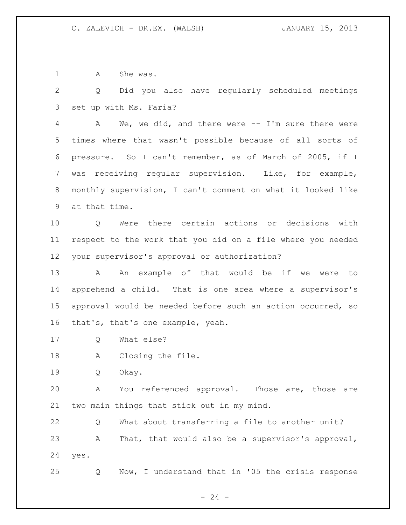1 A She was.

 Q Did you also have regularly scheduled meetings set up with Ms. Faria?

 A We, we did, and there were -- I'm sure there were times where that wasn't possible because of all sorts of pressure. So I can't remember, as of March of 2005, if I was receiving regular supervision. Like, for example, monthly supervision, I can't comment on what it looked like at that time.

 Q Were there certain actions or decisions with respect to the work that you did on a file where you needed your supervisor's approval or authorization?

13 A An example of that would be if we were to apprehend a child. That is one area where a supervisor's approval would be needed before such an action occurred, so that's, that's one example, yeah.

Q What else?

A Closing the file.

Q Okay.

 A You referenced approval. Those are, those are two main things that stick out in my mind.

 Q What about transferring a file to another unit? A That, that would also be a supervisor's approval, yes.

Q Now, I understand that in '05 the crisis response

 $- 24 -$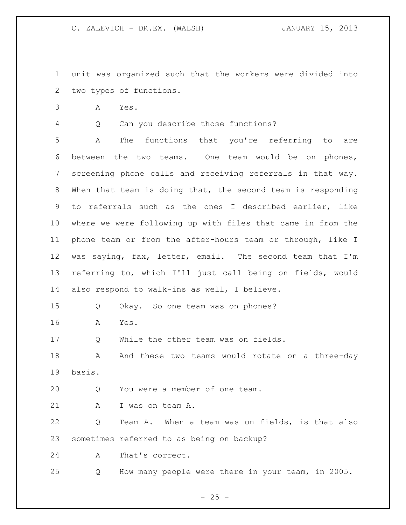unit was organized such that the workers were divided into two types of functions.

A Yes.

Q Can you describe those functions?

 A The functions that you're referring to are between the two teams. One team would be on phones, screening phone calls and receiving referrals in that way. When that team is doing that, the second team is responding to referrals such as the ones I described earlier, like where we were following up with files that came in from the phone team or from the after-hours team or through, like I was saying, fax, letter, email. The second team that I'm referring to, which I'll just call being on fields, would also respond to walk-ins as well, I believe.

Q Okay. So one team was on phones?

A Yes.

Q While the other team was on fields.

18 A And these two teams would rotate on a three-day basis.

Q You were a member of one team.

21 A I was on team A.

 Q Team A. When a team was on fields, is that also sometimes referred to as being on backup?

A That's correct.

Q How many people were there in your team, in 2005.

 $- 25 -$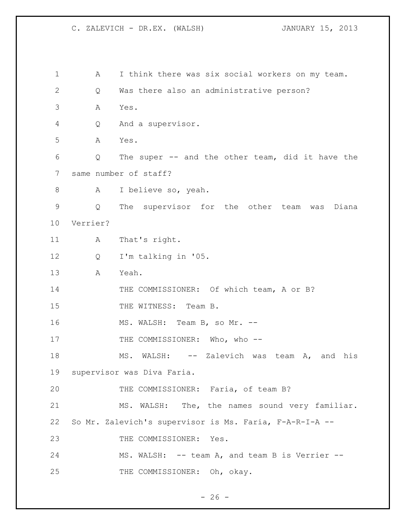| $\mathbf 1$   | А        | I think there was six social workers on my team.        |
|---------------|----------|---------------------------------------------------------|
| 2             | Q        | Was there also an administrative person?                |
| 3             | Α        | Yes.                                                    |
| 4             | Q        | And a supervisor.                                       |
| 5             | Α        | Yes.                                                    |
| 6             | Q        | The super -- and the other team, did it have the        |
| 7             |          | same number of staff?                                   |
| 8             | A        | I believe so, yeah.                                     |
| $\mathcal{G}$ | Q        | The supervisor for the other team was<br>Diana          |
| 10            | Verrier? |                                                         |
| 11            | A        | That's right.                                           |
| 12            | Q        | I'm talking in '05.                                     |
| 13            | Α        | Yeah.                                                   |
| 14            |          | THE COMMISSIONER: Of which team, A or B?                |
| 15            |          | THE WITNESS: Team B.                                    |
| 16            |          | MS. WALSH: Team B, so Mr. --                            |
| 17            |          | THE COMMISSIONER: Who, who --                           |
| 18            |          | -- Zalevich was<br>MS.<br>WALSH:<br>team<br>A, and his  |
| 19            |          | supervisor was Diva Faria.                              |
| 20            |          | THE COMMISSIONER: Faria, of team B?                     |
| 21            |          | MS. WALSH: The, the names sound very familiar.          |
| 22            |          | So Mr. Zalevich's supervisor is Ms. Faria, F-A-R-I-A -- |
| 23            |          | THE COMMISSIONER: Yes.                                  |
| 24            |          | MS. WALSH: -- team A, and team B is Verrier --          |
| 25            |          | THE COMMISSIONER: Oh, okay.                             |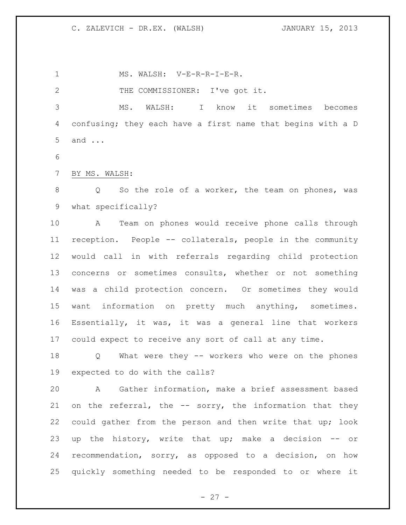1 MS. WALSH: V-E-R-R-I-E-R. THE COMMISSIONER: I've got it. MS. WALSH: I know it sometimes becomes confusing; they each have a first name that begins with a D and ...

BY MS. WALSH:

 Q So the role of a worker, the team on phones, was what specifically?

 A Team on phones would receive phone calls through reception. People -- collaterals, people in the community would call in with referrals regarding child protection concerns or sometimes consults, whether or not something was a child protection concern. Or sometimes they would want information on pretty much anything, sometimes. Essentially, it was, it was a general line that workers could expect to receive any sort of call at any time.

 Q What were they -- workers who were on the phones expected to do with the calls?

 A Gather information, make a brief assessment based 21 on the referral, the -- sorry, the information that they could gather from the person and then write that up; look up the history, write that up; make a decision -- or recommendation, sorry, as opposed to a decision, on how quickly something needed to be responded to or where it

 $- 27 -$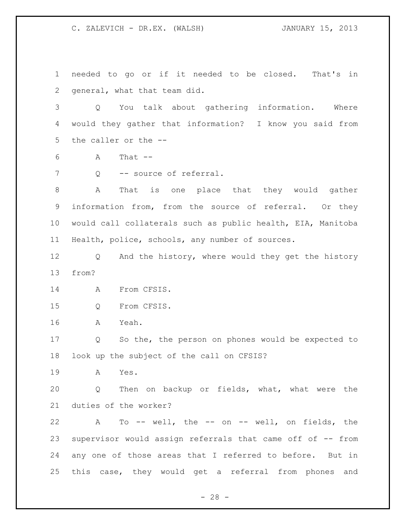needed to go or if it needed to be closed. That's in general, what that team did. Q You talk about gathering information. Where would they gather that information? I know you said from the caller or the -- A That  $-$ 7 Q -- source of referral. A That is one place that they would gather information from, from the source of referral. Or they would call collaterals such as public health, EIA, Manitoba Health, police, schools, any number of sources. Q And the history, where would they get the history from? A From CFSIS. Q From CFSIS. A Yeah. Q So the, the person on phones would be expected to look up the subject of the call on CFSIS? A Yes. Q Then on backup or fields, what, what were the duties of the worker? A To -- well, the -- on -- well, on fields, the supervisor would assign referrals that came off of -- from any one of those areas that I referred to before. But in this case, they would get a referral from phones and

 $- 28 -$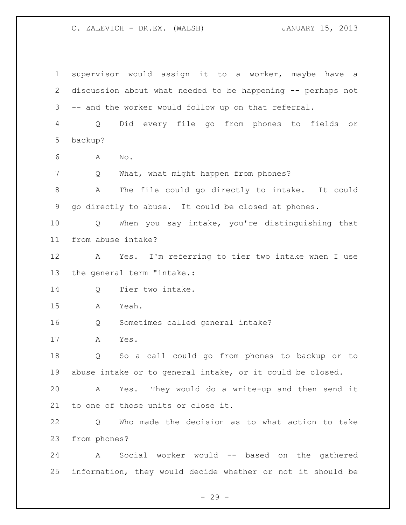supervisor would assign it to a worker, maybe have a discussion about what needed to be happening -- perhaps not -- and the worker would follow up on that referral. Q Did every file go from phones to fields or backup? A No. Q What, what might happen from phones? A The file could go directly to intake. It could go directly to abuse. It could be closed at phones. Q When you say intake, you're distinguishing that from abuse intake? A Yes. I'm referring to tier two intake when I use the general term "intake.: Q Tier two intake. A Yeah. Q Sometimes called general intake? A Yes. Q So a call could go from phones to backup or to abuse intake or to general intake, or it could be closed. A Yes. They would do a write-up and then send it to one of those units or close it. Q Who made the decision as to what action to take from phones? A Social worker would -- based on the gathered information, they would decide whether or not it should be

 $- 29 -$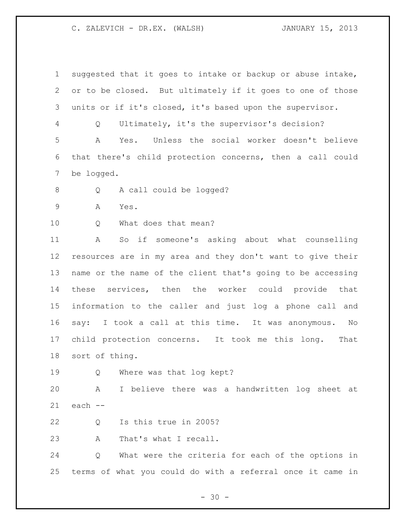| $\mathbf 1$ | suggested that it goes to intake or backup or abuse intake, |
|-------------|-------------------------------------------------------------|
| 2           | or to be closed. But ultimately if it goes to one of those  |
| 3           | units or if it's closed, it's based upon the supervisor.    |
| 4           | Ultimately, it's the supervisor's decision?<br>Q            |
| 5           | Yes. Unless the social worker doesn't believe<br>A          |
| 6           | that there's child protection concerns, then a call could   |
| 7           | be logged.                                                  |
| 8           | A call could be logged?<br>Q                                |
| $\mathsf 9$ | Α<br>Yes.                                                   |
| 10          | What does that mean?<br>Q                                   |
| 11          | So if someone's asking about what counselling<br>A          |
| 12          | resources are in my area and they don't want to give their  |
| 13          | name or the name of the client that's going to be accessing |
| 14          | these services, then the worker could provide that          |
| 15          | information to the caller and just log a phone call and     |
| 16          | say: I took a call at this time. It was anonymous. No       |
| 17          | child protection concerns. It took me this long. That       |
| 18          | sort of thing.                                              |
| 19          | Where was that log kept?<br>Q                               |
| 20          | I believe there was a handwritten log sheet at<br>Α         |
| 21          | each --                                                     |
| 22          | Is this true in 2005?<br>Q                                  |
| 23          | That's what I recall.<br>A                                  |
| 24          | What were the criteria for each of the options in<br>Q      |
| 25          | terms of what you could do with a referral once it came in  |

- 30 -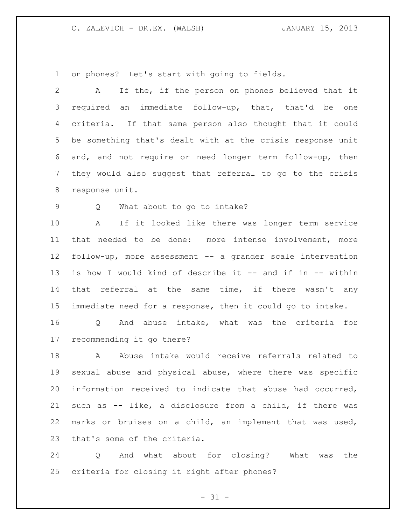on phones? Let's start with going to fields.

 A If the, if the person on phones believed that it required an immediate follow-up, that, that'd be one criteria. If that same person also thought that it could be something that's dealt with at the crisis response unit and, and not require or need longer term follow-up, then they would also suggest that referral to go to the crisis response unit. Q What about to go to intake? A If it looked like there was longer term service that needed to be done: more intense involvement, more follow-up, more assessment -- a grander scale intervention is how I would kind of describe it -- and if in -- within 14 that referral at the same time, if there wasn't any immediate need for a response, then it could go to intake. Q And abuse intake, what was the criteria for recommending it go there? A Abuse intake would receive referrals related to sexual abuse and physical abuse, where there was specific information received to indicate that abuse had occurred, such as -- like, a disclosure from a child, if there was marks or bruises on a child, an implement that was used, that's some of the criteria.

 Q And what about for closing? What was the criteria for closing it right after phones?

 $- 31 -$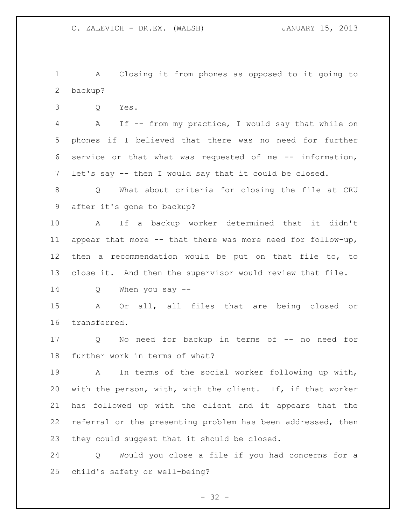A Closing it from phones as opposed to it going to backup?

Q Yes.

 A If -- from my practice, I would say that while on phones if I believed that there was no need for further service or that what was requested of me -- information, let's say -- then I would say that it could be closed.

 Q What about criteria for closing the file at CRU after it's gone to backup?

 A If a backup worker determined that it didn't appear that more -- that there was more need for follow-up, then a recommendation would be put on that file to, to close it. And then the supervisor would review that file.

Q When you say --

 A Or all, all files that are being closed or transferred.

 Q No need for backup in terms of -- no need for further work in terms of what?

 A In terms of the social worker following up with, with the person, with, with the client. If, if that worker has followed up with the client and it appears that the referral or the presenting problem has been addressed, then they could suggest that it should be closed.

 Q Would you close a file if you had concerns for a child's safety or well-being?

 $- 32 -$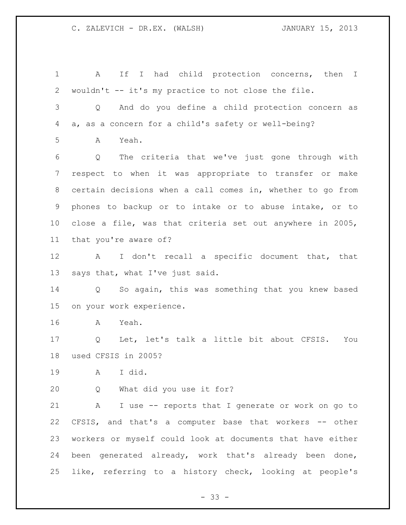A If I had child protection concerns, then I wouldn't -- it's my practice to not close the file. Q And do you define a child protection concern as a, as a concern for a child's safety or well-being? A Yeah. Q The criteria that we've just gone through with respect to when it was appropriate to transfer or make certain decisions when a call comes in, whether to go from phones to backup or to intake or to abuse intake, or to close a file, was that criteria set out anywhere in 2005, that you're aware of? A I don't recall a specific document that, that says that, what I've just said. Q So again, this was something that you knew based on your work experience. A Yeah. Q Let, let's talk a little bit about CFSIS. You used CFSIS in 2005? A I did. Q What did you use it for? A I use -- reports that I generate or work on go to CFSIS, and that's a computer base that workers -- other workers or myself could look at documents that have either been generated already, work that's already been done, like, referring to a history check, looking at people's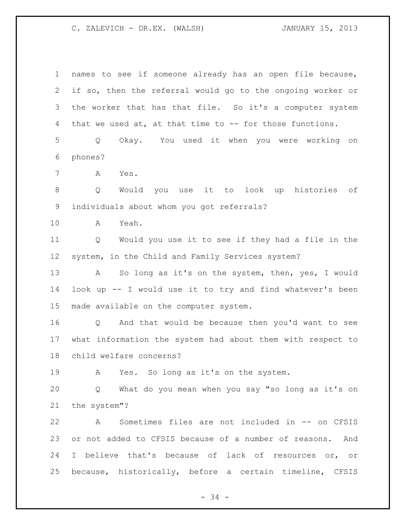| 1       | names to see if someone already has an open file because,             |
|---------|-----------------------------------------------------------------------|
| 2       | if so, then the referral would go to the ongoing worker or            |
| 3       | the worker that has that file. So it's a computer system              |
| 4       | that we used at, at that time to -- for those functions.              |
| 5       | Okay. You used it when you were working on<br>Q                       |
| 6       | phones?                                                               |
| 7       | Α<br>Yes.                                                             |
| $\,8\,$ | Would you use it to look up histories of<br>Q                         |
| 9       | individuals about whom you got referrals?                             |
| 10      | Yeah.<br>A                                                            |
| 11      | Would you use it to see if they had a file in the<br>Q                |
| 12      | system, in the Child and Family Services system?                      |
| 13      | So long as it's on the system, then, yes, I would<br>A                |
| 14      | look up -- I would use it to try and find whatever's been             |
| 15      | made available on the computer system.                                |
| 16      | And that would be because then you'd want to see<br>$Q \qquad \qquad$ |
| 17      | what information the system had about them with respect to            |
| 18      | child welfare concerns?                                               |
| 19      | Yes. So long as it's on the system.<br>A                              |
| 20      | What do you mean when you say "so long as it's on<br>Q                |
| 21      | the system"?                                                          |
| 22      | Sometimes files are not included in -- on CFSIS<br>A                  |
| 23      | or not added to CFSIS because of a number of reasons. And             |
| 24      | I believe that's because of lack of resources or, or                  |
| 25      | because, historically, before a certain timeline, CFSIS               |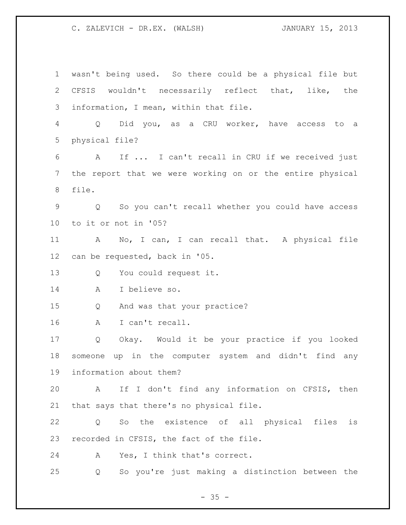wasn't being used. So there could be a physical file but CFSIS wouldn't necessarily reflect that, like, the information, I mean, within that file. Q Did you, as a CRU worker, have access to a physical file? A If ... I can't recall in CRU if we received just the report that we were working on or the entire physical file. Q So you can't recall whether you could have access to it or not in '05? A No, I can, I can recall that. A physical file can be requested, back in '05. Q You could request it. A I believe so. Q And was that your practice? A I can't recall. Q Okay. Would it be your practice if you looked someone up in the computer system and didn't find any information about them? A If I don't find any information on CFSIS, then that says that there's no physical file. Q So the existence of all physical files is recorded in CFSIS, the fact of the file. A Yes, I think that's correct. Q So you're just making a distinction between the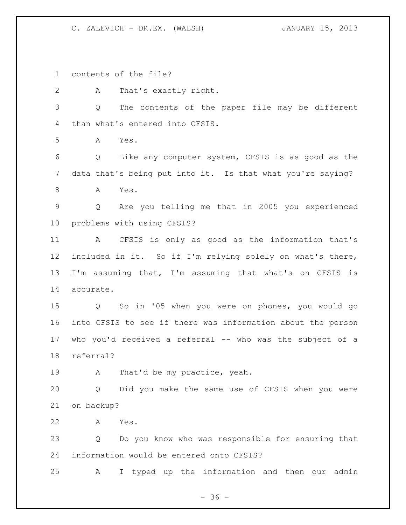contents of the file?

A That's exactly right.

 Q The contents of the paper file may be different than what's entered into CFSIS.

A Yes.

 Q Like any computer system, CFSIS is as good as the data that's being put into it. Is that what you're saying?

A Yes.

 Q Are you telling me that in 2005 you experienced problems with using CFSIS?

 A CFSIS is only as good as the information that's included in it. So if I'm relying solely on what's there, I'm assuming that, I'm assuming that what's on CFSIS is accurate.

 Q So in '05 when you were on phones, you would go into CFSIS to see if there was information about the person who you'd received a referral -- who was the subject of a referral?

19 A That'd be my practice, yeah.

 Q Did you make the same use of CFSIS when you were on backup?

A Yes.

 Q Do you know who was responsible for ensuring that information would be entered onto CFSIS?

A I typed up the information and then our admin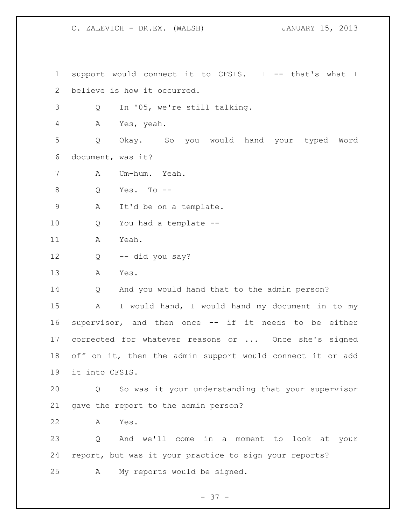support would connect it to CFSIS. I -- that's what I believe is how it occurred.

Q In '05, we're still talking.

A Yes, yeah.

 Q Okay. So you would hand your typed Word document, was it?

A Um-hum. Yeah.

Q Yes. To --

A It'd be on a template.

Q You had a template --

A Yeah.

Q -- did you say?

A Yes.

Q And you would hand that to the admin person?

 A I would hand, I would hand my document in to my supervisor, and then once -- if it needs to be either corrected for whatever reasons or ... Once she's signed off on it, then the admin support would connect it or add it into CFSIS.

 Q So was it your understanding that your supervisor gave the report to the admin person?

A Yes.

 Q And we'll come in a moment to look at your report, but was it your practice to sign your reports? A My reports would be signed.

 $- 37 -$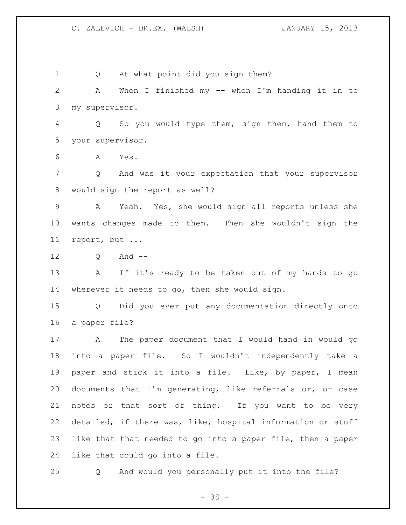Q At what point did you sign them? A When I finished my -- when I'm handing it in to my supervisor. Q So you would type them, sign them, hand them to your supervisor. A Yes. Q And was it your expectation that your supervisor would sign the report as well? A Yeah. Yes, she would sign all reports unless she wants changes made to them. Then she wouldn't sign the report, but ... 12 0 And -- A If it's ready to be taken out of my hands to go wherever it needs to go, then she would sign. Q Did you ever put any documentation directly onto a paper file? A The paper document that I would hand in would go into a paper file. So I wouldn't independently take a paper and stick it into a file. Like, by paper, I mean documents that I'm generating, like referrals or, or case notes or that sort of thing. If you want to be very detailed, if there was, like, hospital information or stuff like that that needed to go into a paper file, then a paper like that could go into a file.

Q And would you personally put it into the file?

- 38 -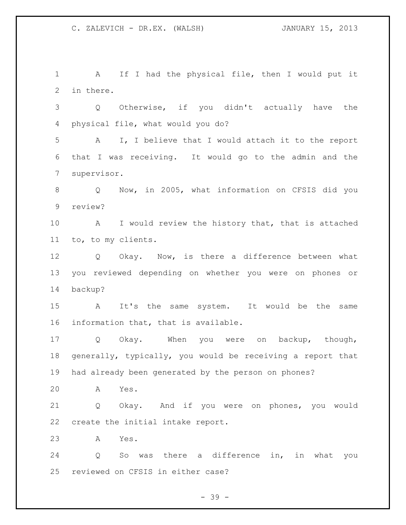A If I had the physical file, then I would put it in there. Q Otherwise, if you didn't actually have the physical file, what would you do? A I, I believe that I would attach it to the report that I was receiving. It would go to the admin and the supervisor. Q Now, in 2005, what information on CFSIS did you review? A I would review the history that, that is attached to, to my clients. Q Okay. Now, is there a difference between what you reviewed depending on whether you were on phones or backup? A It's the same system. It would be the same information that, that is available. Q Okay. When you were on backup, though, generally, typically, you would be receiving a report that had already been generated by the person on phones? A Yes. Q Okay. And if you were on phones, you would create the initial intake report. A Yes. Q So was there a difference in, in what you reviewed on CFSIS in either case?

- 39 -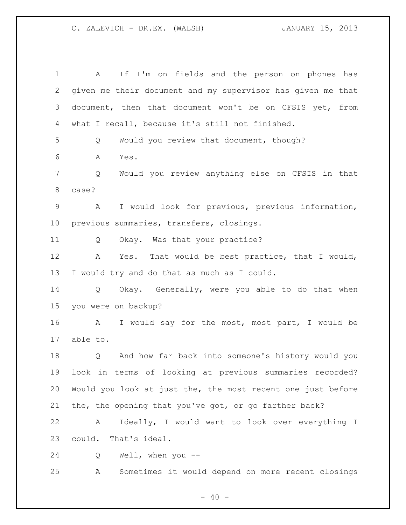| $\mathbf 1$ | If I'm on fields and the person on phones has<br>A          |
|-------------|-------------------------------------------------------------|
| 2           | given me their document and my supervisor has given me that |
| 3           | document, then that document won't be on CFSIS yet, from    |
| 4           | what I recall, because it's still not finished.             |
| 5           | Would you review that document, though?<br>Q                |
| 6           | Α<br>Yes.                                                   |
| 7           | Would you review anything else on CFSIS in that<br>Q        |
| 8           | case?                                                       |
| 9           | I would look for previous, previous information,<br>A       |
| $10 \,$     | previous summaries, transfers, closings.                    |
| 11          | Okay. Was that your practice?<br>Q                          |
| 12          | That would be best practice, that I would,<br>Α<br>Yes.     |
| 13          | I would try and do that as much as I could.                 |
| 14          | Okay. Generally, were you able to do that when<br>Q         |
| 15          | you were on backup?                                         |
| 16          | I would say for the most, most part, I would be<br>A        |
| 17          | able to.                                                    |
| 18          | And how far back into someone's history would you<br>Q      |
| 19          | look in terms of looking at previous summaries recorded?    |
| 20          | Would you look at just the, the most recent one just before |
| 21          | the, the opening that you've got, or go farther back?       |
| 22          | Ideally, I would want to look over everything I<br>A        |
| 23          | could. That's ideal.                                        |
| 24          | Q<br>Well, when you --                                      |
| 25          | Sometimes it would depend on more recent closings<br>Α      |

- 40 -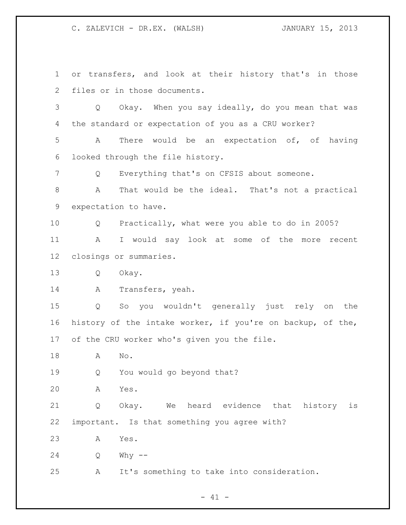or transfers, and look at their history that's in those files or in those documents. Q Okay. When you say ideally, do you mean that was the standard or expectation of you as a CRU worker? A There would be an expectation of, of having looked through the file history. Q Everything that's on CFSIS about someone. A That would be the ideal. That's not a practical expectation to have. Q Practically, what were you able to do in 2005? A I would say look at some of the more recent closings or summaries. Q Okay. A Transfers, yeah. Q So you wouldn't generally just rely on the history of the intake worker, if you're on backup, of the, of the CRU worker who's given you the file. A No. Q You would go beyond that? A Yes. Q Okay. We heard evidence that history is important. Is that something you agree with? A Yes. Q Why -- A It's something to take into consideration.

 $- 41 -$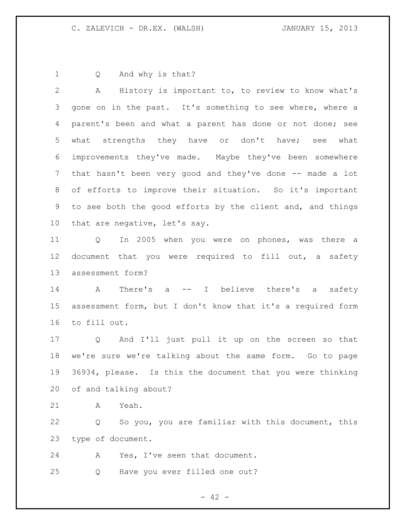Q And why is that?

 A History is important to, to review to know what's gone on in the past. It's something to see where, where a parent's been and what a parent has done or not done; see what strengths they have or don't have; see what improvements they've made. Maybe they've been somewhere that hasn't been very good and they've done -- made a lot of efforts to improve their situation. So it's important to see both the good efforts by the client and, and things that are negative, let's say. Q In 2005 when you were on phones, was there a document that you were required to fill out, a safety assessment form? A There's a -- I believe there's a safety assessment form, but I don't know that it's a required form to fill out. Q And I'll just pull it up on the screen so that we're sure we're talking about the same form. Go to page 36934, please. Is this the document that you were thinking of and talking about?

A Yeah.

 Q So you, you are familiar with this document, this type of document.

A Yes, I've seen that document.

Q Have you ever filled one out?

 $- 42 -$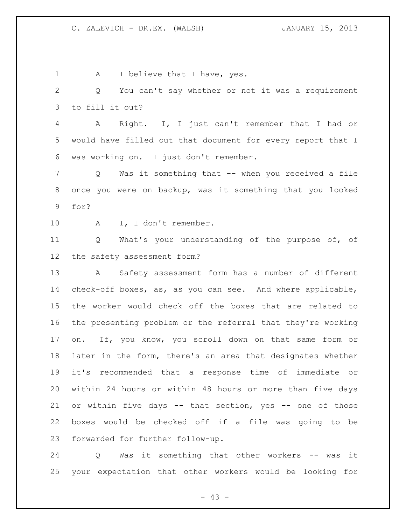1 A I believe that I have, yes. Q You can't say whether or not it was a requirement to fill it out? A Right. I, I just can't remember that I had or would have filled out that document for every report that I was working on. I just don't remember. Q Was it something that -- when you received a file once you were on backup, was it something that you looked for? 10 A I, I don't remember. Q What's your understanding of the purpose of, of the safety assessment form? A Safety assessment form has a number of different check-off boxes, as, as you can see. And where applicable, the worker would check off the boxes that are related to the presenting problem or the referral that they're working on. If, you know, you scroll down on that same form or later in the form, there's an area that designates whether it's recommended that a response time of immediate or within 24 hours or within 48 hours or more than five days or within five days -- that section, yes -- one of those boxes would be checked off if a file was going to be forwarded for further follow-up.

 Q Was it something that other workers -- was it your expectation that other workers would be looking for

 $- 43 -$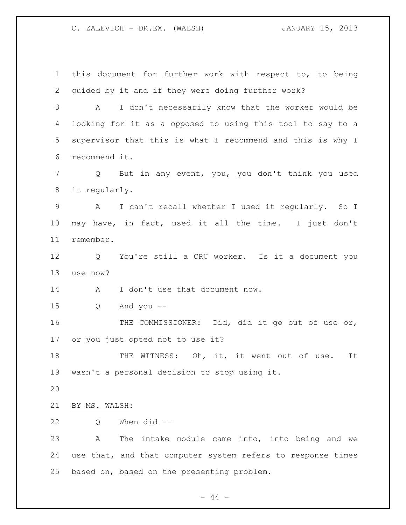this document for further work with respect to, to being guided by it and if they were doing further work? A I don't necessarily know that the worker would be looking for it as a opposed to using this tool to say to a supervisor that this is what I recommend and this is why I recommend it. Q But in any event, you, you don't think you used it regularly. A I can't recall whether I used it regularly. So I may have, in fact, used it all the time. I just don't remember. Q You're still a CRU worker. Is it a document you use now? 14 A I don't use that document now. Q And you -- THE COMMISSIONER: Did, did it go out of use or, or you just opted not to use it? 18 THE WITNESS: Oh, it, it went out of use. It wasn't a personal decision to stop using it. BY MS. WALSH: Q When did -- A The intake module came into, into being and we use that, and that computer system refers to response times based on, based on the presenting problem.

- 44 -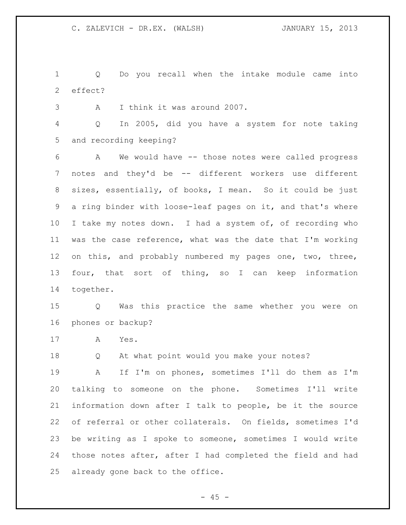Q Do you recall when the intake module came into effect?

A I think it was around 2007.

 Q In 2005, did you have a system for note taking and recording keeping?

 A We would have -- those notes were called progress 7 notes and they'd be -- different workers use different sizes, essentially, of books, I mean. So it could be just a ring binder with loose-leaf pages on it, and that's where I take my notes down. I had a system of, of recording who was the case reference, what was the date that I'm working on this, and probably numbered my pages one, two, three, four, that sort of thing, so I can keep information together.

 Q Was this practice the same whether you were on phones or backup?

A Yes.

Q At what point would you make your notes?

 A If I'm on phones, sometimes I'll do them as I'm talking to someone on the phone. Sometimes I'll write information down after I talk to people, be it the source of referral or other collaterals. On fields, sometimes I'd be writing as I spoke to someone, sometimes I would write those notes after, after I had completed the field and had already gone back to the office.

 $- 45 -$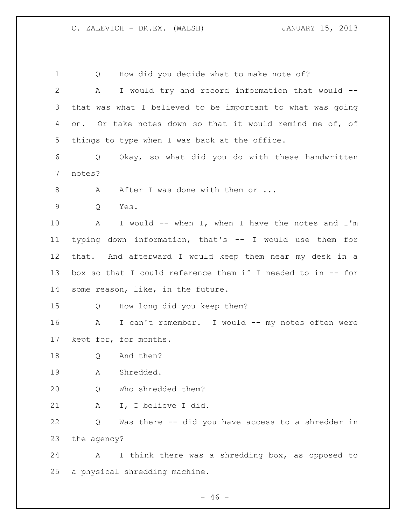1 Q How did you decide what to make note of? A I would try and record information that would -- that was what I believed to be important to what was going on. Or take notes down so that it would remind me of, of things to type when I was back at the office. Q Okay, so what did you do with these handwritten notes? 8 A After I was done with them or ... Q Yes. A I would -- when I, when I have the notes and I'm typing down information, that's -- I would use them for that. And afterward I would keep them near my desk in a box so that I could reference them if I needed to in -- for some reason, like, in the future. Q How long did you keep them? A I can't remember. I would -- my notes often were kept for, for months. Q And then? A Shredded. Q Who shredded them? A I, I believe I did. Q Was there -- did you have access to a shredder in the agency? A I think there was a shredding box, as opposed to a physical shredding machine.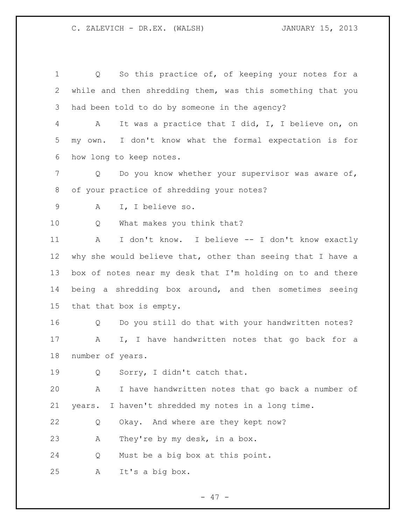1 Q So this practice of, of keeping your notes for a while and then shredding them, was this something that you had been told to do by someone in the agency? A It was a practice that I did, I, I believe on, on my own. I don't know what the formal expectation is for how long to keep notes. 7 Q Do you know whether your supervisor was aware of, of your practice of shredding your notes? A I, I believe so. Q What makes you think that? A I don't know. I believe -- I don't know exactly why she would believe that, other than seeing that I have a box of notes near my desk that I'm holding on to and there being a shredding box around, and then sometimes seeing that that box is empty. Q Do you still do that with your handwritten notes? 17 A I, I have handwritten notes that go back for a number of years. Q Sorry, I didn't catch that. A I have handwritten notes that go back a number of years. I haven't shredded my notes in a long time. Q Okay. And where are they kept now? A They're by my desk, in a box. Q Must be a big box at this point. A It's a big box.

 $- 47 -$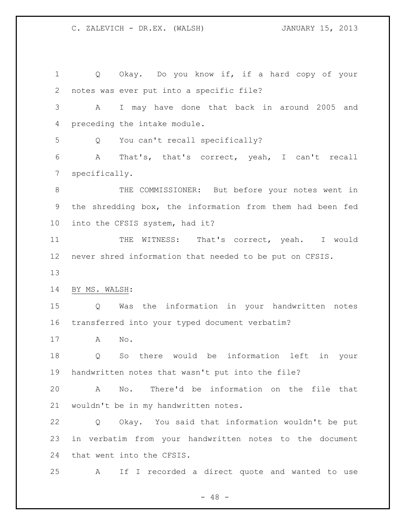Q Okay. Do you know if, if a hard copy of your notes was ever put into a specific file? A I may have done that back in around 2005 and preceding the intake module. Q You can't recall specifically? A That's, that's correct, yeah, I can't recall specifically. THE COMMISSIONER: But before your notes went in the shredding box, the information from them had been fed into the CFSIS system, had it? 11 THE WITNESS: That's correct, yeah. I would never shred information that needed to be put on CFSIS. BY MS. WALSH: Q Was the information in your handwritten notes transferred into your typed document verbatim? A No. Q So there would be information left in your handwritten notes that wasn't put into the file? A No. There'd be information on the file that wouldn't be in my handwritten notes. Q Okay. You said that information wouldn't be put in verbatim from your handwritten notes to the document that went into the CFSIS. A If I recorded a direct quote and wanted to use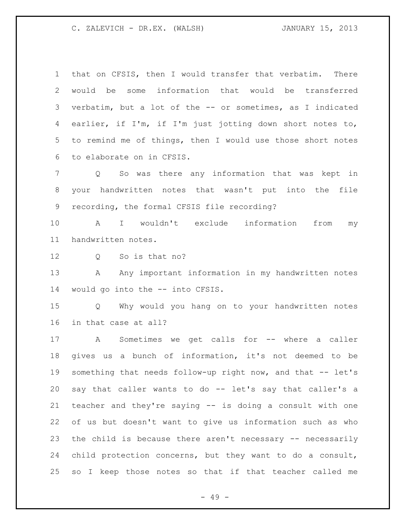that on CFSIS, then I would transfer that verbatim. There would be some information that would be transferred verbatim, but a lot of the -- or sometimes, as I indicated earlier, if I'm, if I'm just jotting down short notes to, to remind me of things, then I would use those short notes to elaborate on in CFSIS.

 Q So was there any information that was kept in your handwritten notes that wasn't put into the file recording, the formal CFSIS file recording?

 A I wouldn't exclude information from my handwritten notes.

Q So is that no?

13 A Any important information in my handwritten notes would go into the -- into CFSIS.

 Q Why would you hang on to your handwritten notes in that case at all?

 A Sometimes we get calls for -- where a caller gives us a bunch of information, it's not deemed to be something that needs follow-up right now, and that -- let's say that caller wants to do -- let's say that caller's a teacher and they're saying -- is doing a consult with one of us but doesn't want to give us information such as who the child is because there aren't necessary -- necessarily child protection concerns, but they want to do a consult, so I keep those notes so that if that teacher called me

- 49 -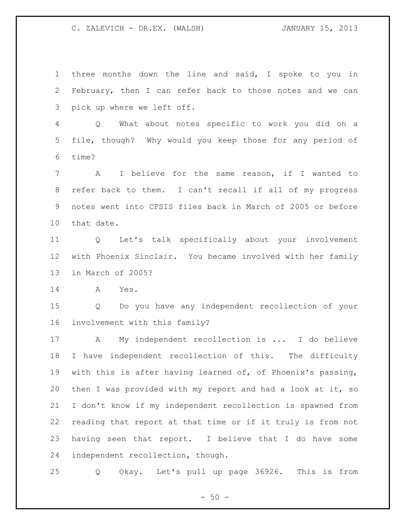three months down the line and said, I spoke to you in February, then I can refer back to those notes and we can pick up where we left off.

 Q What about notes specific to work you did on a file, though? Why would you keep those for any period of time?

 A I believe for the same reason, if I wanted to refer back to them. I can't recall if all of my progress notes went into CFSIS files back in March of 2005 or before that date.

 Q Let's talk specifically about your involvement with Phoenix Sinclair. You became involved with her family in March of 2005?

A Yes.

 Q Do you have any independent recollection of your involvement with this family?

 A My independent recollection is ... I do believe I have independent recollection of this. The difficulty with this is after having learned of, of Phoenix's passing, then I was provided with my report and had a look at it, so I don't know if my independent recollection is spawned from reading that report at that time or if it truly is from not having seen that report. I believe that I do have some independent recollection, though.

Q Okay. Let's pull up page 36926. This is from

 $-50 -$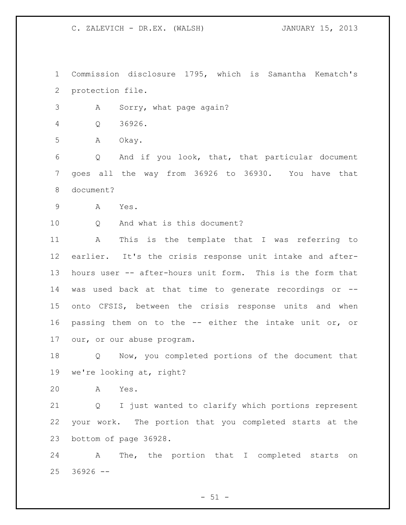Commission disclosure 1795, which is Samantha Kematch's protection file.

A Sorry, what page again?

Q 36926.

A Okay.

 Q And if you look, that, that particular document goes all the way from 36926 to 36930. You have that document?

A Yes.

10 0 And what is this document?

 A This is the template that I was referring to earlier. It's the crisis response unit intake and after- hours user -- after-hours unit form. This is the form that was used back at that time to generate recordings or -- onto CFSIS, between the crisis response units and when passing them on to the -- either the intake unit or, or our, or our abuse program.

 Q Now, you completed portions of the document that we're looking at, right?

A Yes.

 Q I just wanted to clarify which portions represent your work. The portion that you completed starts at the bottom of page 36928.

 A The, the portion that I completed starts on  $36926$  --

 $-51 -$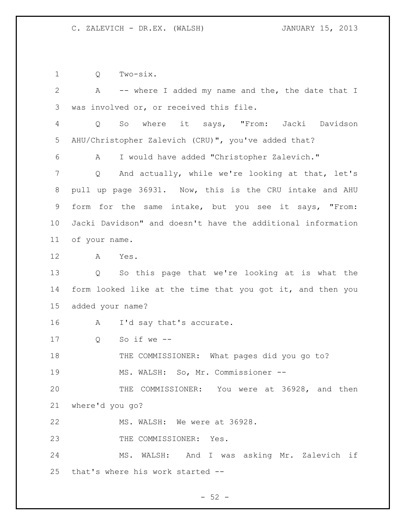Q Two-six.

2 A -- where I added my name and the, the date that I was involved or, or received this file. Q So where it says, "From: Jacki Davidson AHU/Christopher Zalevich (CRU)", you've added that? A I would have added "Christopher Zalevich." Q And actually, while we're looking at that, let's pull up page 36931. Now, this is the CRU intake and AHU form for the same intake, but you see it says, "From: Jacki Davidson" and doesn't have the additional information of your name. A Yes. Q So this page that we're looking at is what the 14 form looked like at the time that you got it, and then you added your name? A I'd say that's accurate. Q So if we -- THE COMMISSIONER: What pages did you go to? MS. WALSH: So, Mr. Commissioner -- THE COMMISSIONER: You were at 36928, and then where'd you go? MS. WALSH: We were at 36928. 23 THE COMMISSIONER: Yes. MS. WALSH: And I was asking Mr. Zalevich if that's where his work started --

 $-52 -$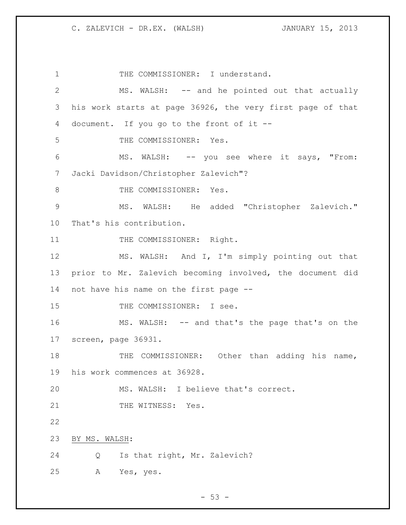1 THE COMMISSIONER: I understand. MS. WALSH: -- and he pointed out that actually his work starts at page 36926, the very first page of that document. If you go to the front of it -- THE COMMISSIONER: Yes. MS. WALSH: -- you see where it says, "From: Jacki Davidson/Christopher Zalevich"? 8 THE COMMISSIONER: Yes. MS. WALSH: He added "Christopher Zalevich." That's his contribution. 11 THE COMMISSIONER: Right. MS. WALSH: And I, I'm simply pointing out that prior to Mr. Zalevich becoming involved, the document did not have his name on the first page -- 15 THE COMMISSIONER: I see. MS. WALSH: -- and that's the page that's on the screen, page 36931. THE COMMISSIONER: Other than adding his name, his work commences at 36928. MS. WALSH: I believe that's correct. 21 THE WITNESS: Yes. BY MS. WALSH: Q Is that right, Mr. Zalevich? A Yes, yes.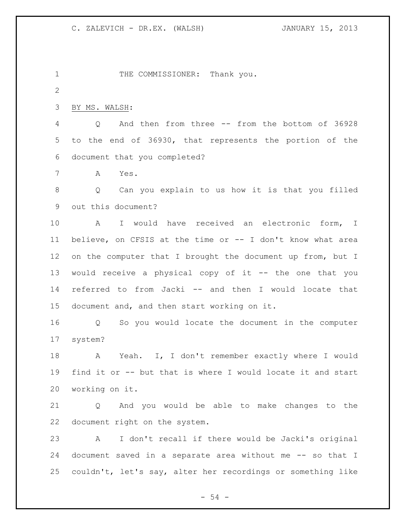1 THE COMMISSIONER: Thank you. BY MS. WALSH: Q And then from three -- from the bottom of 36928 to the end of 36930, that represents the portion of the document that you completed? A Yes. Q Can you explain to us how it is that you filled out this document? A I would have received an electronic form, I believe, on CFSIS at the time or -- I don't know what area 12 on the computer that I brought the document up from, but I would receive a physical copy of it -- the one that you referred to from Jacki -- and then I would locate that document and, and then start working on it. Q So you would locate the document in the computer system? A Yeah. I, I don't remember exactly where I would find it or -- but that is where I would locate it and start working on it. Q And you would be able to make changes to the

 A I don't recall if there would be Jacki's original document saved in a separate area without me -- so that I couldn't, let's say, alter her recordings or something like

document right on the system.

 $-54 -$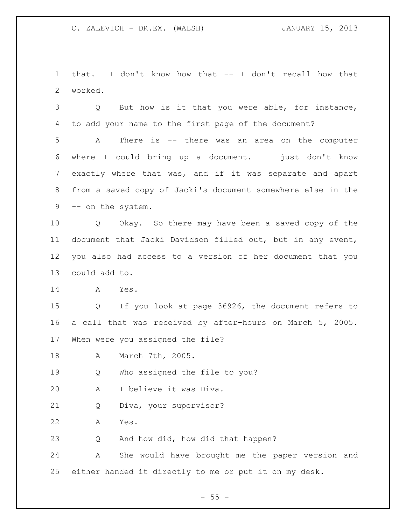that. I don't know how that -- I don't recall how that worked.

 Q But how is it that you were able, for instance, to add your name to the first page of the document?

 A There is -- there was an area on the computer where I could bring up a document. I just don't know exactly where that was, and if it was separate and apart from a saved copy of Jacki's document somewhere else in the -- on the system.

 Q Okay. So there may have been a saved copy of the document that Jacki Davidson filled out, but in any event, you also had access to a version of her document that you could add to.

A Yes.

 Q If you look at page 36926, the document refers to a call that was received by after-hours on March 5, 2005. When were you assigned the file?

A March 7th, 2005.

Q Who assigned the file to you?

A I believe it was Diva.

Q Diva, your supervisor?

A Yes.

Q And how did, how did that happen?

 A She would have brought me the paper version and either handed it directly to me or put it on my desk.

 $- 55 -$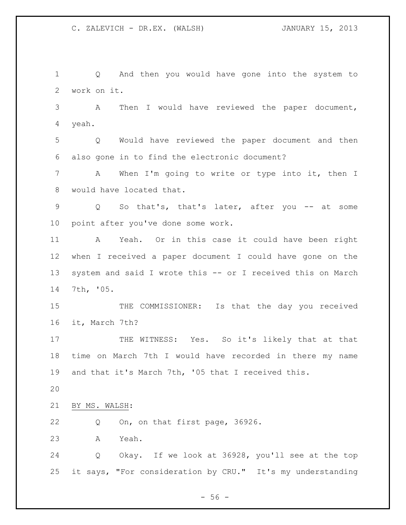$-56 -$  Q And then you would have gone into the system to work on it. A Then I would have reviewed the paper document, yeah. Q Would have reviewed the paper document and then also gone in to find the electronic document? A When I'm going to write or type into it, then I would have located that. Q So that's, that's later, after you -- at some point after you've done some work. A Yeah. Or in this case it could have been right when I received a paper document I could have gone on the system and said I wrote this -- or I received this on March 7th, '05. 15 THE COMMISSIONER: Is that the day you received it, March 7th? 17 THE WITNESS: Yes. So it's likely that at that time on March 7th I would have recorded in there my name and that it's March 7th, '05 that I received this. BY MS. WALSH: Q On, on that first page, 36926. A Yeah. Q Okay. If we look at 36928, you'll see at the top it says, "For consideration by CRU." It's my understanding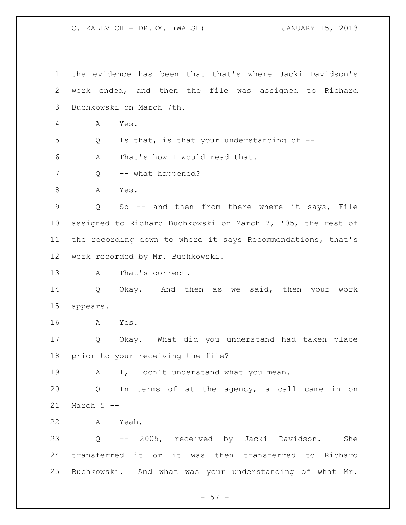the evidence has been that that's where Jacki Davidson's work ended, and then the file was assigned to Richard Buchkowski on March 7th. A Yes. Q Is that, is that your understanding of -- A That's how I would read that. 7 Q -- what happened? 8 A Yes. Q So -- and then from there where it says, File assigned to Richard Buchkowski on March 7, '05, the rest of the recording down to where it says Recommendations, that's work recorded by Mr. Buchkowski. 13 A That's correct. Q Okay. And then as we said, then your work appears. A Yes. Q Okay. What did you understand had taken place prior to your receiving the file? 19 A I, I don't understand what you mean. Q In terms of at the agency, a call came in on March 5 -- A Yeah. Q -- 2005, received by Jacki Davidson. She transferred it or it was then transferred to Richard Buchkowski. And what was your understanding of what Mr.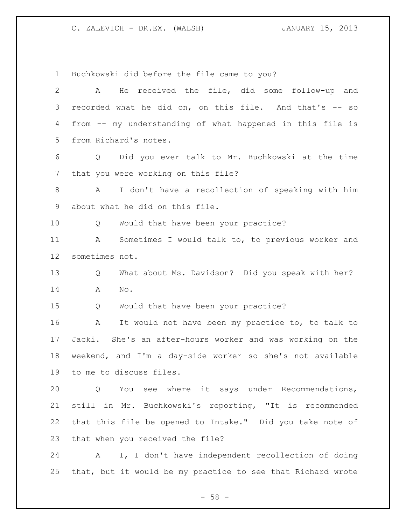Buchkowski did before the file came to you? A He received the file, did some follow-up and recorded what he did on, on this file. And that's -- so from -- my understanding of what happened in this file is from Richard's notes. Q Did you ever talk to Mr. Buchkowski at the time that you were working on this file? A I don't have a recollection of speaking with him about what he did on this file. Q Would that have been your practice? A Sometimes I would talk to, to previous worker and sometimes not. Q What about Ms. Davidson? Did you speak with her? A No. Q Would that have been your practice? A It would not have been my practice to, to talk to Jacki. She's an after-hours worker and was working on the weekend, and I'm a day-side worker so she's not available to me to discuss files. Q You see where it says under Recommendations, still in Mr. Buchkowski's reporting, "It is recommended that this file be opened to Intake." Did you take note of that when you received the file? A I, I don't have independent recollection of doing that, but it would be my practice to see that Richard wrote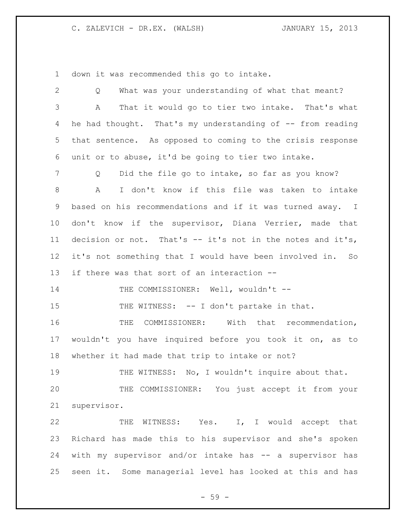down it was recommended this go to intake.

| $\overline{2}$ | What was your understanding of what that meant?<br>Q         |
|----------------|--------------------------------------------------------------|
| 3              | That it would go to tier two intake. That's what<br>А        |
| 4              | he had thought. That's my understanding of -- from reading   |
| 5              | that sentence. As opposed to coming to the crisis response   |
| 6              | unit or to abuse, it'd be going to tier two intake.          |
| 7              | Did the file go to intake, so far as you know?<br>Q          |
| 8              | $\mathbb A$<br>I don't know if this file was taken to intake |
| 9              | based on his recommendations and if it was turned away. I    |
| 10             | don't know if the supervisor, Diana Verrier, made that       |
| 11             | decision or not. That's $-$ it's not in the notes and it's,  |
| 12             | it's not something that I would have been involved in. So    |
| 13             | if there was that sort of an interaction --                  |
| 14             | THE COMMISSIONER: Well, wouldn't --                          |
| 15             | THE WITNESS: -- I don't partake in that.                     |
| 16             | THE COMMISSIONER: With that recommendation,                  |
| 17             | wouldn't you have inquired before you took it on, as to      |
| 18             | whether it had made that trip to intake or not?              |
| 19             | THE WITNESS: No, I wouldn't inquire about that.              |
|                |                                                              |
| 20             | THE COMMISSIONER: You just accept it from your               |
| 21             | supervisor.                                                  |
| 22             | THE WITNESS: Yes. I, I would accept that                     |
| 23             | Richard has made this to his supervisor and she's spoken     |
| 24             | with my supervisor and/or intake has -- a supervisor has     |

- 59 -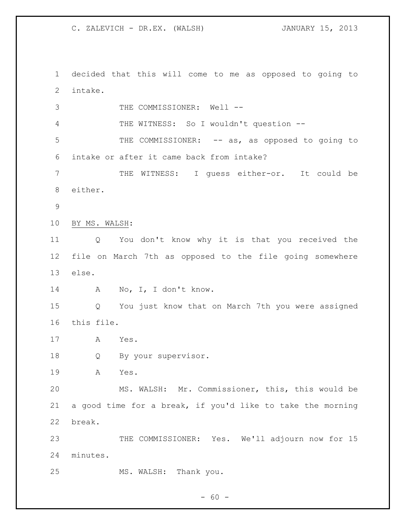decided that this will come to me as opposed to going to intake.

3 THE COMMISSIONER: Well -- THE WITNESS: So I wouldn't question -- 5 THE COMMISSIONER: -- as, as opposed to going to intake or after it came back from intake? 7 THE WITNESS: I guess either-or. It could be either. BY MS. WALSH: Q You don't know why it is that you received the file on March 7th as opposed to the file going somewhere else. 14 A No, I, I don't know. Q You just know that on March 7th you were assigned this file. A Yes. Q By your supervisor. A Yes. MS. WALSH: Mr. Commissioner, this, this would be a good time for a break, if you'd like to take the morning break. 23 THE COMMISSIONER: Yes. We'll adjourn now for 15 minutes. MS. WALSH: Thank you.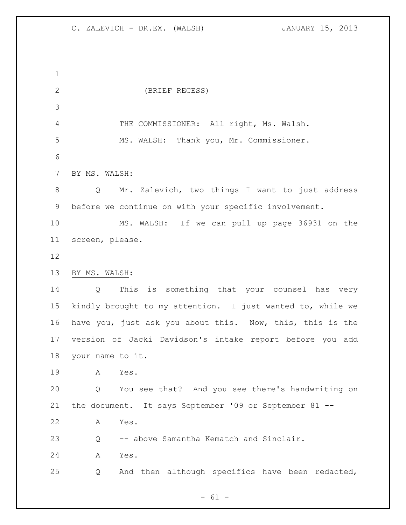(BRIEF RECESS) THE COMMISSIONER: All right, Ms. Walsh. MS. WALSH: Thank you, Mr. Commissioner. BY MS. WALSH: Q Mr. Zalevich, two things I want to just address before we continue on with your specific involvement. MS. WALSH: If we can pull up page 36931 on the screen, please. BY MS. WALSH: Q This is something that your counsel has very kindly brought to my attention. I just wanted to, while we 16 have you, just ask you about this. Now, this, this is the version of Jacki Davidson's intake report before you add your name to it. A Yes. Q You see that? And you see there's handwriting on the document. It says September '09 or September 81 -- A Yes. Q -- above Samantha Kematch and Sinclair. A Yes. Q And then although specifics have been redacted,

 $- 61 -$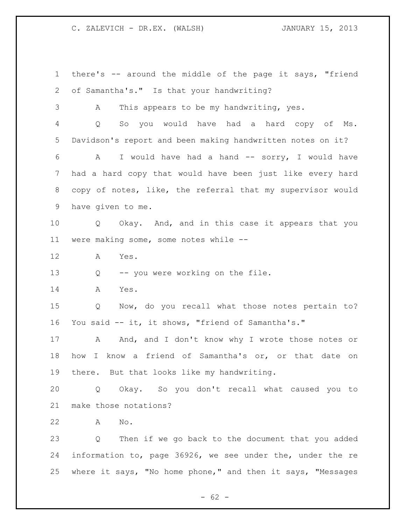there's -- around the middle of the page it says, "friend of Samantha's." Is that your handwriting? A This appears to be my handwriting, yes. Q So you would have had a hard copy of Ms. Davidson's report and been making handwritten notes on it? A I would have had a hand -- sorry, I would have had a hard copy that would have been just like every hard copy of notes, like, the referral that my supervisor would have given to me. Q Okay. And, and in this case it appears that you were making some, some notes while -- A Yes. Q -- you were working on the file. A Yes. Q Now, do you recall what those notes pertain to? You said -- it, it shows, "friend of Samantha's." 17 A And, and I don't know why I wrote those notes or how I know a friend of Samantha's or, or that date on there. But that looks like my handwriting. Q Okay. So you don't recall what caused you to make those notations? A No. Q Then if we go back to the document that you added information to, page 36926, we see under the, under the re where it says, "No home phone," and then it says, "Messages

 $- 62 -$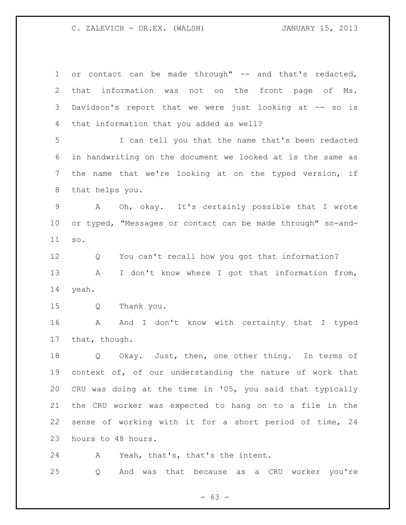1 or contact can be made through" -- and that's redacted, that information was not on the front page of Ms. Davidson's report that we were just looking at -- so is that information that you added as well? I can tell you that the name that's been redacted in handwriting on the document we looked at is the same as the name that we're looking at on the typed version, if that helps you. A Oh, okay. It's certainly possible that I wrote or typed, "Messages or contact can be made through" so-and- so. Q You can't recall how you got that information? 13 A I don't know where I got that information from, yeah. Q Thank you. A And I don't know with certainty that I typed that, though. Q Okay. Just, then, one other thing. In terms of context of, of our understanding the nature of work that CRU was doing at the time in '05, you said that typically the CRU worker was expected to hang on to a file in the sense of working with it for a short period of time, 24 hours to 48 hours.

A Yeah, that's, that's the intent.

Q And was that because as a CRU worker you're

 $- 63 -$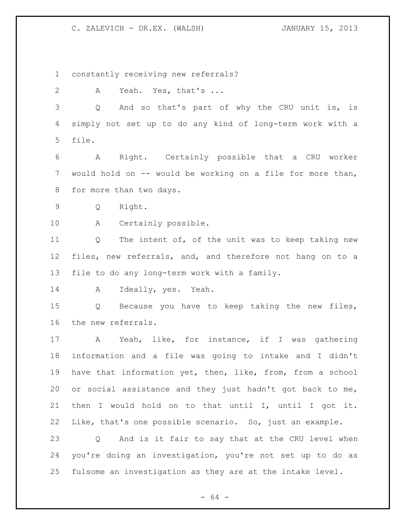constantly receiving new referrals?

A Yeah. Yes, that's ...

 Q And so that's part of why the CRU unit is, is simply not set up to do any kind of long-term work with a file.

 A Right. Certainly possible that a CRU worker would hold on -- would be working on a file for more than, for more than two days.

Q Right.

A Certainly possible.

11 Q The intent of, of the unit was to keep taking new files, new referrals, and, and therefore not hang on to a file to do any long-term work with a family.

A Ideally, yes. Yeah.

 Q Because you have to keep taking the new files, the new referrals.

 A Yeah, like, for instance, if I was gathering information and a file was going to intake and I didn't have that information yet, then, like, from, from a school or social assistance and they just hadn't got back to me, then I would hold on to that until I, until I got it. Like, that's one possible scenario. So, just an example. Q And is it fair to say that at the CRU level when you're doing an investigation, you're not set up to do as

fulsome an investigation as they are at the intake level.

- 64 -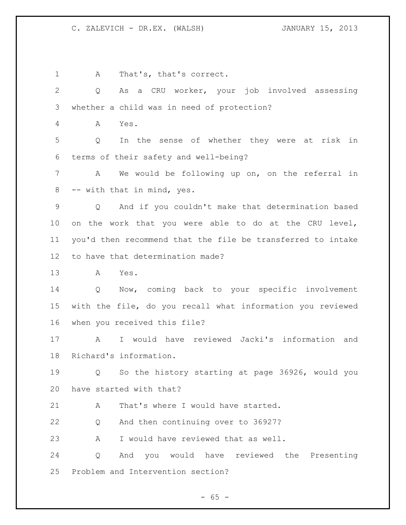A That's, that's correct. Q As a CRU worker, your job involved assessing whether a child was in need of protection? A Yes. Q In the sense of whether they were at risk in terms of their safety and well-being? A We would be following up on, on the referral in -- with that in mind, yes. Q And if you couldn't make that determination based on the work that you were able to do at the CRU level, you'd then recommend that the file be transferred to intake to have that determination made? A Yes. Q Now, coming back to your specific involvement with the file, do you recall what information you reviewed when you received this file? A I would have reviewed Jacki's information and Richard's information. Q So the history starting at page 36926, would you have started with that? 21 A That's where I would have started. Q And then continuing over to 36927? A I would have reviewed that as well. Q And you would have reviewed the Presenting Problem and Intervention section?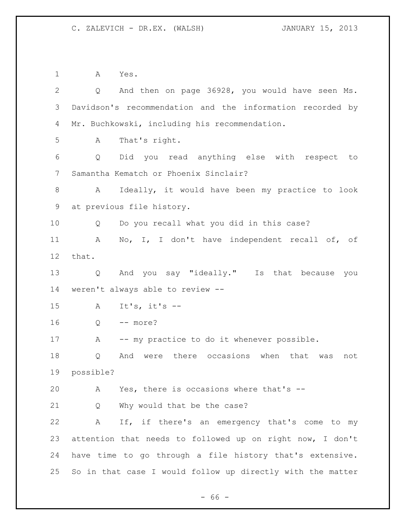A Yes. Q And then on page 36928, you would have seen Ms. Davidson's recommendation and the information recorded by Mr. Buchkowski, including his recommendation. A That's right. Q Did you read anything else with respect to Samantha Kematch or Phoenix Sinclair? A Ideally, it would have been my practice to look at previous file history. Q Do you recall what you did in this case? A No, I, I don't have independent recall of, of that. Q And you say "ideally." Is that because you weren't always able to review -- A It's, it's -- Q -- more? A -- my practice to do it whenever possible. Q And were there occasions when that was not possible? A Yes, there is occasions where that's -- Q Why would that be the case? A If, if there's an emergency that's come to my attention that needs to followed up on right now, I don't have time to go through a file history that's extensive. So in that case I would follow up directly with the matter

 $- 66 -$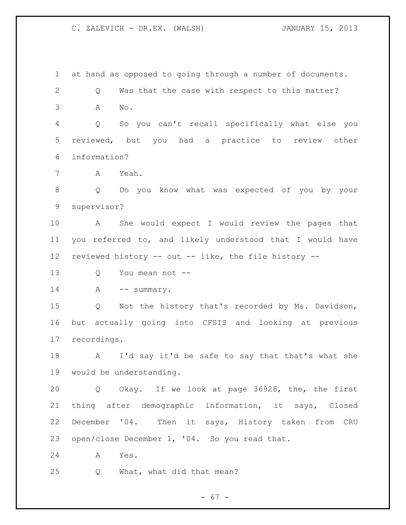at hand as opposed to going through a number of documents. Q Was that the case with respect to this matter? A No. Q So you can't recall specifically what else you reviewed, but you had a practice to review other information? A Yeah. Q Do you know what was expected of you by your supervisor? A She would expect I would review the pages that you referred to, and likely understood that I would have reviewed history -- out -- like, the file history -- Q You mean not -- 14 A -- summary. Q Not the history that's recorded by Ms. Davidson, but actually going into CFSIS and looking at previous recordings. A I'd say it'd be safe to say that that's what she would be understanding. Q Okay. If we look at page 36926, the, the first thing after demographic information, it says, Closed December '04. Then it says, History taken from CRU open/close December 1, '04. So you read that. A Yes. Q What, what did that mean?

- 67 -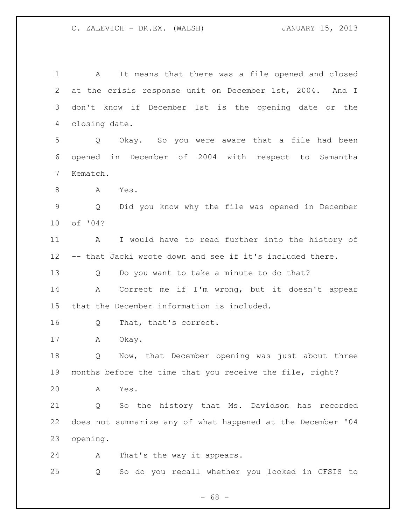A It means that there was a file opened and closed at the crisis response unit on December 1st, 2004. And I don't know if December 1st is the opening date or the closing date. Q Okay. So you were aware that a file had been opened in December of 2004 with respect to Samantha Kematch. A Yes. Q Did you know why the file was opened in December of '04? A I would have to read further into the history of -- that Jacki wrote down and see if it's included there. Q Do you want to take a minute to do that? A Correct me if I'm wrong, but it doesn't appear that the December information is included. Q That, that's correct. A Okay. Q Now, that December opening was just about three months before the time that you receive the file, right? A Yes. Q So the history that Ms. Davidson has recorded does not summarize any of what happened at the December '04 opening. A That's the way it appears. Q So do you recall whether you looked in CFSIS to

 $- 68 -$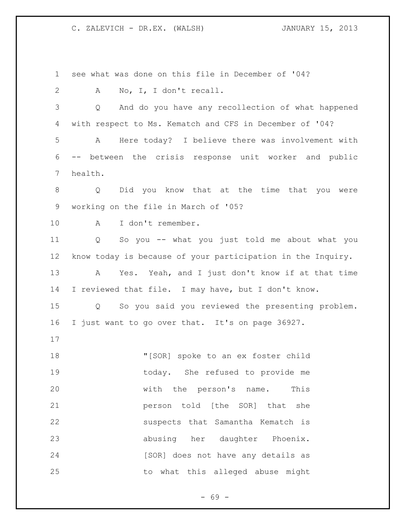see what was done on this file in December of '04? A No, I, I don't recall. Q And do you have any recollection of what happened with respect to Ms. Kematch and CFS in December of '04? A Here today? I believe there was involvement with -- between the crisis response unit worker and public health. Q Did you know that at the time that you were working on the file in March of '05? A I don't remember. Q So you -- what you just told me about what you know today is because of your participation in the Inquiry. A Yes. Yeah, and I just don't know if at that time I reviewed that file. I may have, but I don't know. Q So you said you reviewed the presenting problem. I just want to go over that. It's on page 36927. "[SOR] spoke to an ex foster child today. She refused to provide me with the person's name. This **person told** [the SOR] that she suspects that Samantha Kematch is abusing her daughter Phoenix. 24 [SOR] does not have any details as to what this alleged abuse might

- 69 -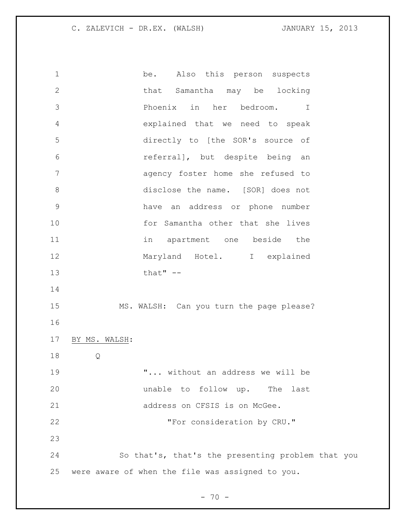be. Also this person suspects that Samantha may be locking Phoenix in her bedroom. I explained that we need to speak directly to [the SOR's source of referral], but despite being an agency foster home she refused to 8 disclose the name. [SOR] does not have an address or phone number for Samantha other that she lives in apartment one beside the 12 Maryland Hotel. I explained that" -- MS. WALSH: Can you turn the page please? BY MS. WALSH: Q "... without an address we will be unable to follow up. The last 21 address on CFSIS is on McGee. **"For consideration by CRU."**  So that's, that's the presenting problem that you were aware of when the file was assigned to you.

 $- 70 -$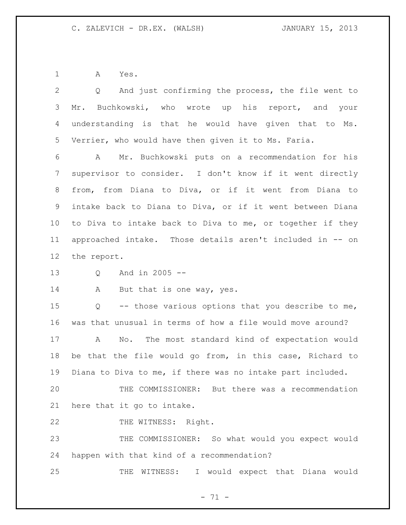A Yes.

| 2               | And just confirming the process, the file went to<br>$Q \left( \frac{1}{2} \right)$ |
|-----------------|-------------------------------------------------------------------------------------|
| 3               | Mr. Buchkowski, who wrote up his report, and your                                   |
| 4               | understanding is that he would have given that to Ms.                               |
| 5               | Verrier, who would have then given it to Ms. Faria.                                 |
| 6               | Mr. Buchkowski puts on a recommendation for his<br>A                                |
| $7\overline{ }$ | supervisor to consider. I don't know if it went directly                            |
| 8               | from, from Diana to Diva, or if it went from Diana to                               |
| 9               | intake back to Diana to Diva, or if it went between Diana                           |
| 10              | to Diva to intake back to Diva to me, or together if they                           |
| 11              | approached intake. Those details aren't included in -- on                           |
| $12 \,$         | the report.                                                                         |
| 13              | And in 2005 --<br>Q                                                                 |
| 14              | But that is one way, yes.<br>A                                                      |
| 15              | Q -- those various options that you describe to me,                                 |
| 16              | was that unusual in terms of how a file would move around?                          |
| 17              | No. The most standard kind of expectation would<br>A                                |
| 18              | be that the file would go from, in this case, Richard to                            |
| 19              | Diana to Diva to me, if there was no intake part included.                          |
| 20              | THE COMMISSIONER: But there was a recommendation                                    |
| 21              | here that it go to intake.                                                          |
| 22              | THE WITNESS: Right.                                                                 |
| 23              | THE COMMISSIONER: So what would you expect would                                    |
| 24              | happen with that kind of a recommendation?                                          |
| 25              | would expect that Diana would<br>THE<br>WITNESS:<br>$\mathbf{I}$                    |

- 71 -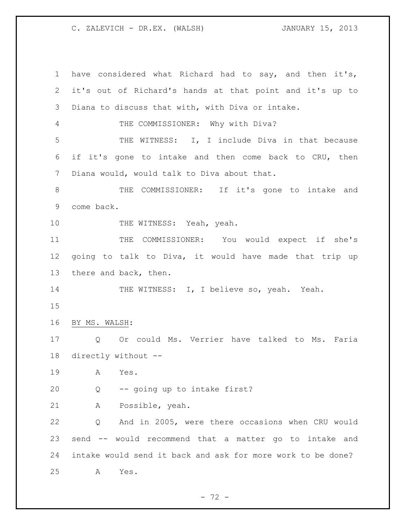have considered what Richard had to say, and then it's, it's out of Richard's hands at that point and it's up to Diana to discuss that with, with Diva or intake. THE COMMISSIONER: Why with Diva? THE WITNESS: I, I include Diva in that because if it's gone to intake and then come back to CRU, then Diana would, would talk to Diva about that. THE COMMISSIONER: If it's gone to intake and come back. 10 THE WITNESS: Yeah, yeah. 11 THE COMMISSIONER: You would expect if she's going to talk to Diva, it would have made that trip up there and back, then. 14 THE WITNESS: I, I believe so, yeah. Yeah. BY MS. WALSH: Q Or could Ms. Verrier have talked to Ms. Faria directly without -- A Yes. Q -- going up to intake first? A Possible, yeah. Q And in 2005, were there occasions when CRU would send -- would recommend that a matter go to intake and intake would send it back and ask for more work to be done? A Yes.

- 72 -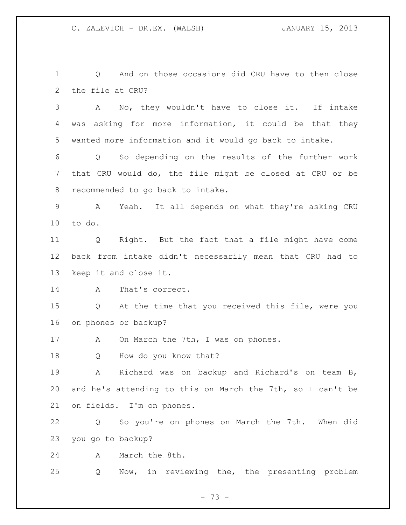Q And on those occasions did CRU have to then close the file at CRU?

 A No, they wouldn't have to close it. If intake was asking for more information, it could be that they wanted more information and it would go back to intake.

 Q So depending on the results of the further work that CRU would do, the file might be closed at CRU or be recommended to go back to intake.

 A Yeah. It all depends on what they're asking CRU to do.

 Q Right. But the fact that a file might have come back from intake didn't necessarily mean that CRU had to keep it and close it.

A That's correct.

 Q At the time that you received this file, were you on phones or backup?

17 A On March the 7th, I was on phones.

Q How do you know that?

 A Richard was on backup and Richard's on team B, and he's attending to this on March the 7th, so I can't be on fields. I'm on phones.

 Q So you're on phones on March the 7th. When did you go to backup?

A March the 8th.

Q Now, in reviewing the, the presenting problem

- 73 -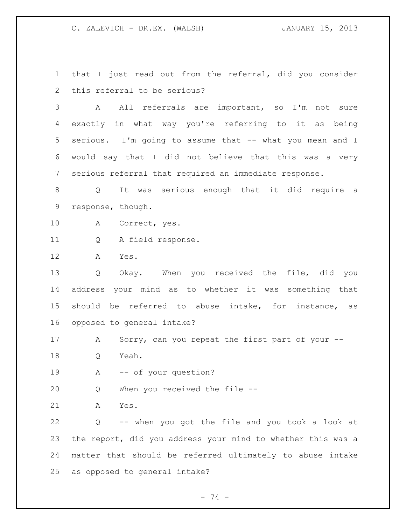that I just read out from the referral, did you consider this referral to be serious?

 A All referrals are important, so I'm not sure exactly in what way you're referring to it as being 5 serious. I'm going to assume that -- what you mean and I would say that I did not believe that this was a very serious referral that required an immediate response.

 Q It was serious enough that it did require a response, though.

- A Correct, yes.
- Q A field response.

A Yes.

 Q Okay. When you received the file, did you address your mind as to whether it was something that should be referred to abuse intake, for instance, as opposed to general intake?

17 A Sorry, can you repeat the first part of your --

Q Yeah.

A -- of your question?

Q When you received the file --

A Yes.

 Q -- when you got the file and you took a look at the report, did you address your mind to whether this was a matter that should be referred ultimately to abuse intake as opposed to general intake?

- 74 -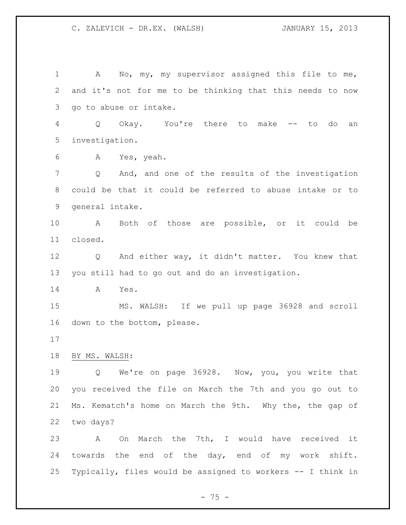1 A No, my, my supervisor assigned this file to me, and it's not for me to be thinking that this needs to now go to abuse or intake. Q Okay. You're there to make -- to do an investigation. A Yes, yeah. Q And, and one of the results of the investigation could be that it could be referred to abuse intake or to general intake. A Both of those are possible, or it could be closed. Q And either way, it didn't matter. You knew that you still had to go out and do an investigation. A Yes. MS. WALSH: If we pull up page 36928 and scroll down to the bottom, please. BY MS. WALSH: Q We're on page 36928. Now, you, you write that you received the file on March the 7th and you go out to Ms. Kematch's home on March the 9th. Why the, the gap of two days? A On March the 7th, I would have received it towards the end of the day, end of my work shift. Typically, files would be assigned to workers -- I think in

 $- 75 -$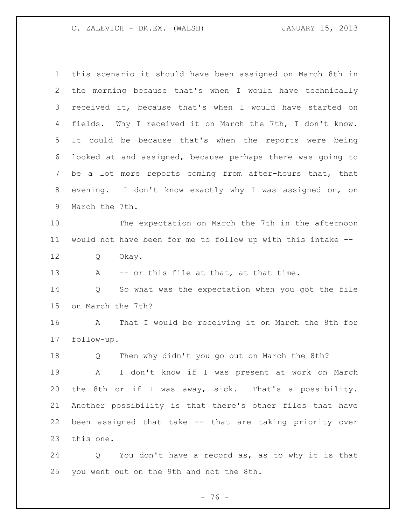this scenario it should have been assigned on March 8th in the morning because that's when I would have technically received it, because that's when I would have started on fields. Why I received it on March the 7th, I don't know. It could be because that's when the reports were being looked at and assigned, because perhaps there was going to be a lot more reports coming from after-hours that, that evening. I don't know exactly why I was assigned on, on March the 7th. The expectation on March the 7th in the afternoon would not have been for me to follow up with this intake -- Q Okay. 13 A -- or this file at that, at that time. Q So what was the expectation when you got the file on March the 7th? A That I would be receiving it on March the 8th for follow-up. Q Then why didn't you go out on March the 8th? A I don't know if I was present at work on March the 8th or if I was away, sick. That's a possibility. Another possibility is that there's other files that have been assigned that take -- that are taking priority over this one.

 Q You don't have a record as, as to why it is that you went out on the 9th and not the 8th.

- 76 -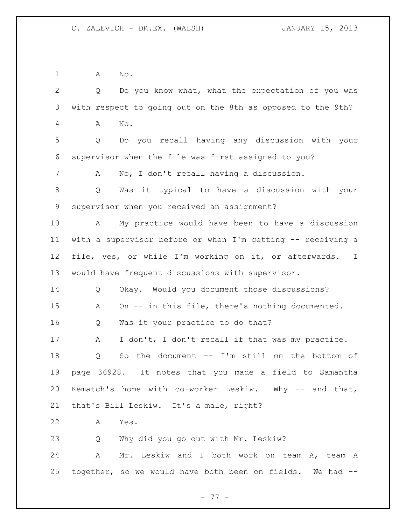A No.

 Q Do you know what, what the expectation of you was with respect to going out on the 8th as opposed to the 9th? A No. Q Do you recall having any discussion with your supervisor when the file was first assigned to you? A No, I don't recall having a discussion. Q Was it typical to have a discussion with your supervisor when you received an assignment? A My practice would have been to have a discussion with a supervisor before or when I'm getting -- receiving a file, yes, or while I'm working on it, or afterwards. I would have frequent discussions with supervisor. Q Okay. Would you document those discussions? A On -- in this file, there's nothing documented. Q Was it your practice to do that? A I don't, I don't recall if that was my practice. Q So the document -- I'm still on the bottom of page 36928. It notes that you made a field to Samantha Kematch's home with co-worker Leskiw. Why -- and that, that's Bill Leskiw. It's a male, right? A Yes. Q Why did you go out with Mr. Leskiw? A Mr. Leskiw and I both work on team A, team A together, so we would have both been on fields. We had --

- 77 -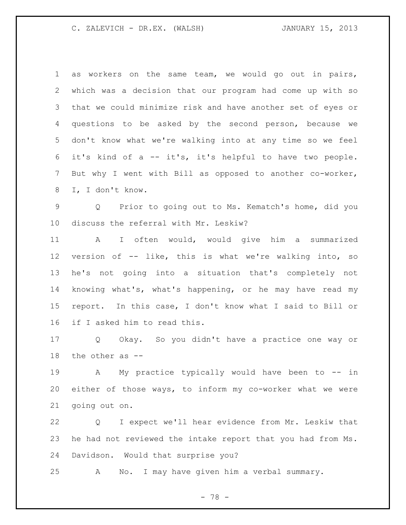as workers on the same team, we would go out in pairs, which was a decision that our program had come up with so that we could minimize risk and have another set of eyes or questions to be asked by the second person, because we don't know what we're walking into at any time so we feel it's kind of a -- it's, it's helpful to have two people. But why I went with Bill as opposed to another co-worker, I, I don't know.

 Q Prior to going out to Ms. Kematch's home, did you discuss the referral with Mr. Leskiw?

 A I often would, would give him a summarized version of -- like, this is what we're walking into, so he's not going into a situation that's completely not knowing what's, what's happening, or he may have read my report. In this case, I don't know what I said to Bill or if I asked him to read this.

 Q Okay. So you didn't have a practice one way or the other as --

 A My practice typically would have been to -- in either of those ways, to inform my co-worker what we were going out on.

 Q I expect we'll hear evidence from Mr. Leskiw that he had not reviewed the intake report that you had from Ms. Davidson. Would that surprise you?

A No. I may have given him a verbal summary.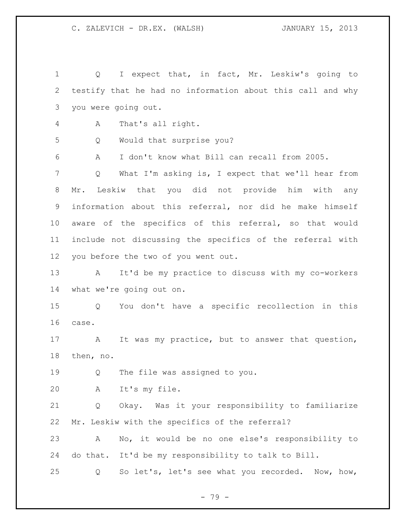1 Q I expect that, in fact, Mr. Leskiw's going to testify that he had no information about this call and why you were going out. A That's all right. Q Would that surprise you? A I don't know what Bill can recall from 2005. Q What I'm asking is, I expect that we'll hear from Mr. Leskiw that you did not provide him with any information about this referral, nor did he make himself aware of the specifics of this referral, so that would include not discussing the specifics of the referral with you before the two of you went out. A It'd be my practice to discuss with my co-workers what we're going out on. Q You don't have a specific recollection in this case. A It was my practice, but to answer that question, then, no. Q The file was assigned to you. A It's my file. Q Okay. Was it your responsibility to familiarize Mr. Leskiw with the specifics of the referral? A No, it would be no one else's responsibility to do that. It'd be my responsibility to talk to Bill. Q So let's, let's see what you recorded. Now, how,

- 79 -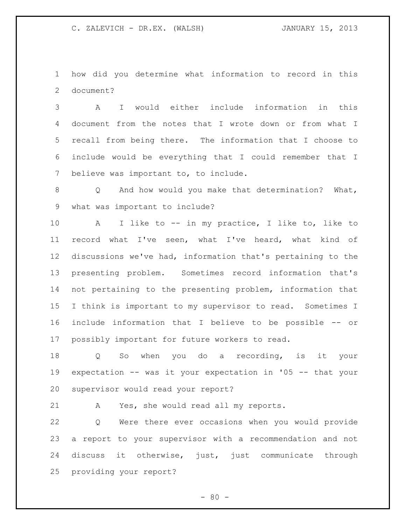how did you determine what information to record in this document?

 A I would either include information in this document from the notes that I wrote down or from what I recall from being there. The information that I choose to include would be everything that I could remember that I believe was important to, to include.

 Q And how would you make that determination? What, what was important to include?

 A I like to -- in my practice, I like to, like to record what I've seen, what I've heard, what kind of discussions we've had, information that's pertaining to the presenting problem. Sometimes record information that's not pertaining to the presenting problem, information that I think is important to my supervisor to read. Sometimes I include information that I believe to be possible -- or possibly important for future workers to read.

 Q So when you do a recording, is it your expectation -- was it your expectation in '05 -- that your supervisor would read your report?

A Yes, she would read all my reports.

 Q Were there ever occasions when you would provide a report to your supervisor with a recommendation and not discuss it otherwise, just, just communicate through providing your report?

 $- 80 -$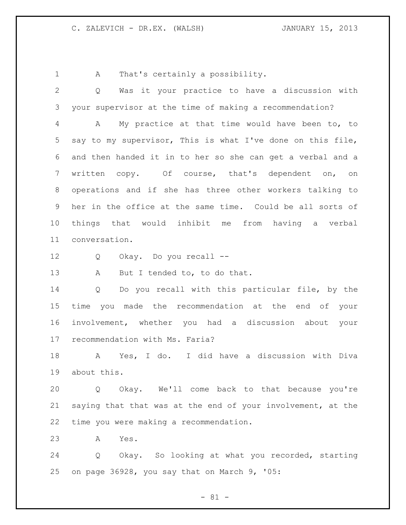1 A That's certainly a possibility.

 Q Was it your practice to have a discussion with your supervisor at the time of making a recommendation? A My practice at that time would have been to, to say to my supervisor, This is what I've done on this file, and then handed it in to her so she can get a verbal and a written copy. Of course, that's dependent on, on operations and if she has three other workers talking to her in the office at the same time. Could be all sorts of things that would inhibit me from having a verbal conversation. Q Okay. Do you recall -- 13 A But I tended to, to do that. Q Do you recall with this particular file, by the time you made the recommendation at the end of your involvement, whether you had a discussion about your recommendation with Ms. Faria? A Yes, I do. I did have a discussion with Diva about this. Q Okay. We'll come back to that because you're saying that that was at the end of your involvement, at the time you were making a recommendation. A Yes.

 Q Okay. So looking at what you recorded, starting on page 36928, you say that on March 9, '05:

 $- 81 -$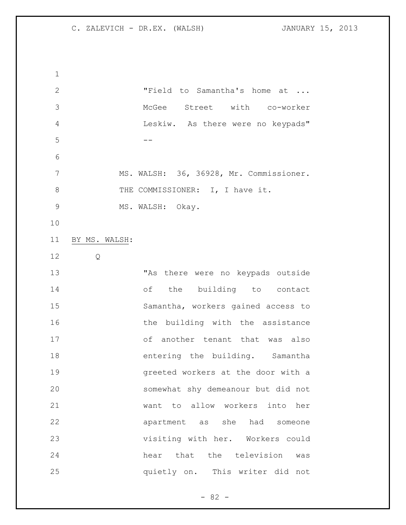"Field to Samantha's home at ... McGee Street with co-worker Leskiw. As there were no keypads" -- MS. WALSH: 36, 36928, Mr. Commissioner. 8 THE COMMISSIONER: I, I have it. 9 MS. WALSH: Okay. BY MS. WALSH: Q "As there were no keypads outside of the building to contact Samantha, workers gained access to 16 the building with the assistance of another tenant that was also 18 entering the building. Samantha greeted workers at the door with a somewhat shy demeanour but did not want to allow workers into her apartment as she had someone visiting with her. Workers could hear that the television was quietly on. This writer did not

 $- 82 -$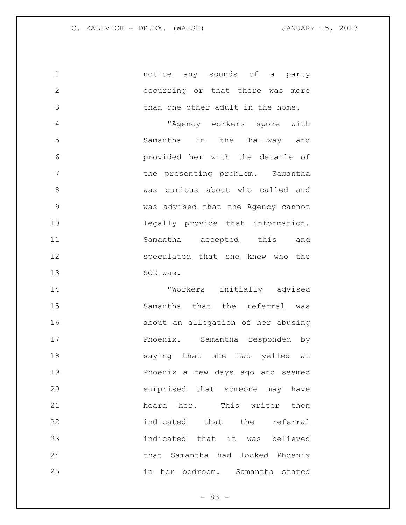notice any sounds of a party occurring or that there was more than one other adult in the home. "Agency workers spoke with Samantha in the hallway and provided her with the details of 7 the presenting problem. Samantha was curious about who called and was advised that the Agency cannot legally provide that information. Samantha accepted this and speculated that she knew who the

13 SOR was.

 "Workers initially advised Samantha that the referral was about an allegation of her abusing Phoenix. Samantha responded by saying that she had yelled at Phoenix a few days ago and seemed surprised that someone may have 21 heard her. This writer then indicated that the referral indicated that it was believed that Samantha had locked Phoenix in her bedroom. Samantha stated

 $- 83 -$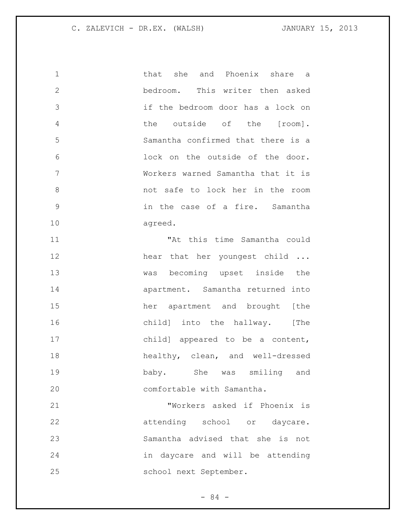that she and Phoenix share a bedroom. This writer then asked if the bedroom door has a lock on the outside of the [room]. Samantha confirmed that there is a lock on the outside of the door. Workers warned Samantha that it is not safe to lock her in the room in the case of a fire. Samantha agreed. "At this time Samantha could 12 hear that her youngest child ... was becoming upset inside the apartment. Samantha returned into her apartment and brought [the 16 child] into the hallway. [The child] appeared to be a content, healthy, clean, and well-dressed baby. She was smiling and 20 comfortable with Samantha. "Workers asked if Phoenix is 22 attending school or daycare. Samantha advised that she is not in daycare and will be attending

 $-84 -$ 

school next September.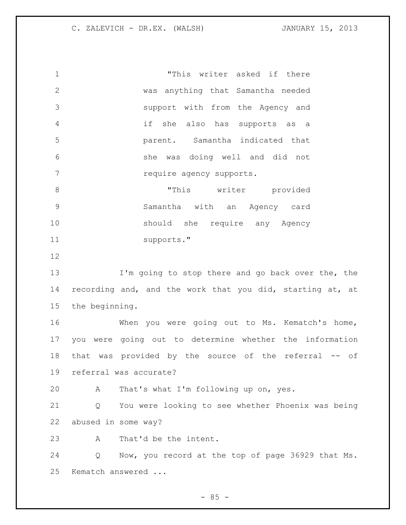"This writer asked if there was anything that Samantha needed support with from the Agency and if she also has supports as a parent. Samantha indicated that she was doing well and did not 7 require agency supports. 8 This writer provided Samantha with an Agency card should she require any Agency supports." I'm going to stop there and go back over the, the recording and, and the work that you did, starting at, at the beginning. When you were going out to Ms. Kematch's home, you were going out to determine whether the information 18 that was provided by the source of the referral -- of referral was accurate? A That's what I'm following up on, yes. Q You were looking to see whether Phoenix was being abused in some way? A That'd be the intent. Q Now, you record at the top of page 36929 that Ms. Kematch answered ...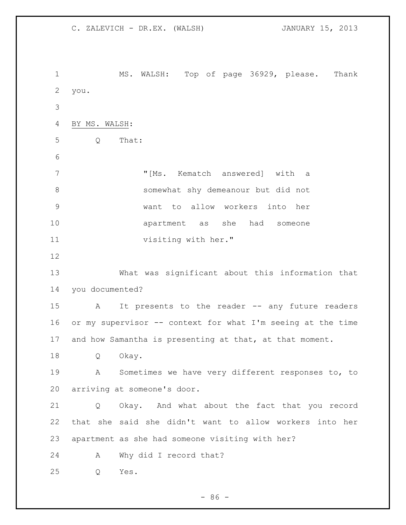MS. WALSH: Top of page 36929, please. Thank you. BY MS. WALSH: Q That: 7 "[Ms. Kematch answered] with a somewhat shy demeanour but did not want to allow workers into her apartment as she had someone visiting with her." What was significant about this information that you documented? A It presents to the reader -- any future readers or my supervisor -- context for what I'm seeing at the time and how Samantha is presenting at that, at that moment. Q Okay. A Sometimes we have very different responses to, to arriving at someone's door. Q Okay. And what about the fact that you record that she said she didn't want to allow workers into her apartment as she had someone visiting with her? A Why did I record that? Q Yes.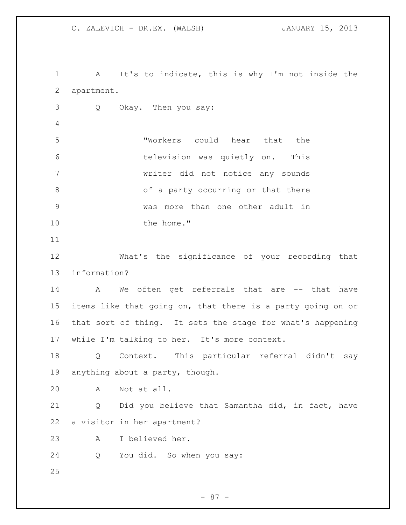A It's to indicate, this is why I'm not inside the apartment. Q Okay. Then you say: "Workers could hear that the television was quietly on. This writer did not notice any sounds 8 of a party occurring or that there was more than one other adult in 10 the home." What's the significance of your recording that information? 14 A We often get referrals that are -- that have items like that going on, that there is a party going on or that sort of thing. It sets the stage for what's happening while I'm talking to her. It's more context. Q Context. This particular referral didn't say anything about a party, though. A Not at all. Q Did you believe that Samantha did, in fact, have a visitor in her apartment? A I believed her. Q You did. So when you say: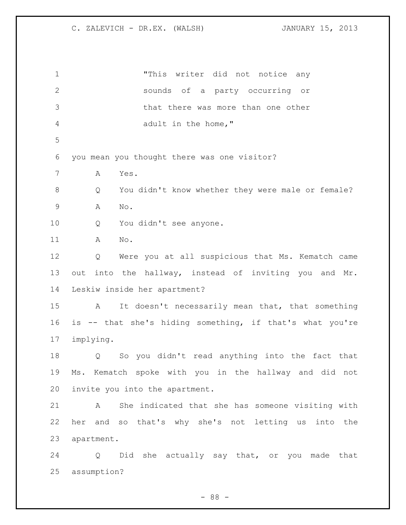| $\mathbf 1$    | "This writer did not notice any                                  |
|----------------|------------------------------------------------------------------|
| $\overline{2}$ | sounds of a party occurring or                                   |
| 3              | that there was more than one other                               |
| 4              | adult in the home, "                                             |
| 5              |                                                                  |
| 6              | you mean you thought there was one visitor?                      |
| 7              | Yes.<br>A                                                        |
| $\,8\,$        | You didn't know whether they were male or female?<br>Q           |
| $\mathsf 9$    | Α<br>No.                                                         |
| 10             | You didn't see anyone.<br>Q                                      |
| 11             | Α<br>No.                                                         |
| 12             | Were you at all suspicious that Ms. Kematch came<br>Q            |
| 13             | out into the hallway, instead of inviting you and Mr.            |
| 14             | Leskiw inside her apartment?                                     |
| 15             | It doesn't necessarily mean that, that something<br>$\mathbf{A}$ |
| 16             | is -- that she's hiding something, if that's what you're         |
| 17             | implying.                                                        |
| 18             | So you didn't read anything into the fact that<br>Q              |
| 19             | Ms. Kematch spoke with you in the hallway and did not            |
| 20             | invite you into the apartment.                                   |
| 21             | She indicated that she has someone visiting with<br>A            |
| 22             | her and so that's why she's not letting us into the              |
| 23             | apartment.                                                       |
| 24             | Did she actually say that, or you made that<br>Q                 |
| 25             | assumption?                                                      |

- 88 -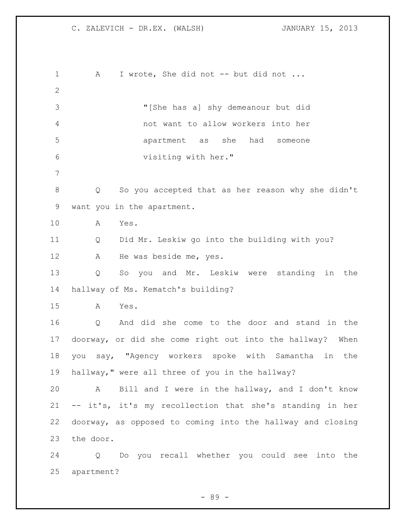1 A I wrote, She did not -- but did not ... "[She has a] shy demeanour but did not want to allow workers into her apartment as she had someone visiting with her." Q So you accepted that as her reason why she didn't want you in the apartment. A Yes. Q Did Mr. Leskiw go into the building with you? 12 A He was beside me, yes. Q So you and Mr. Leskiw were standing in the hallway of Ms. Kematch's building? A Yes. Q And did she come to the door and stand in the doorway, or did she come right out into the hallway? When you say, "Agency workers spoke with Samantha in the hallway," were all three of you in the hallway? A Bill and I were in the hallway, and I don't know -- it's, it's my recollection that she's standing in her doorway, as opposed to coming into the hallway and closing the door. Q Do you recall whether you could see into the

apartment?

- 89 -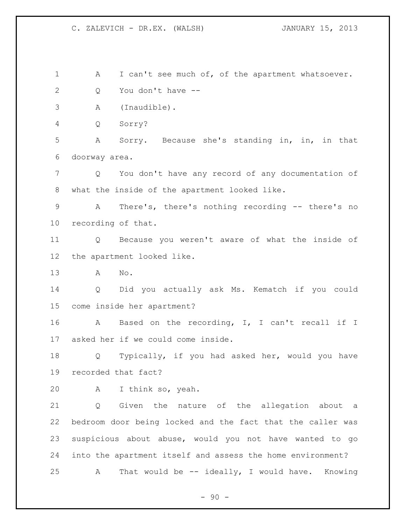1 A I can't see much of, of the apartment whatsoever. Q You don't have -- A (Inaudible). Q Sorry? A Sorry. Because she's standing in, in, in that doorway area. Q You don't have any record of any documentation of what the inside of the apartment looked like. A There's, there's nothing recording -- there's no recording of that. Q Because you weren't aware of what the inside of the apartment looked like. A No. Q Did you actually ask Ms. Kematch if you could come inside her apartment? A Based on the recording, I, I can't recall if I asked her if we could come inside. Q Typically, if you had asked her, would you have recorded that fact? A I think so, yeah. Q Given the nature of the allegation about a bedroom door being locked and the fact that the caller was suspicious about abuse, would you not have wanted to go into the apartment itself and assess the home environment? A That would be -- ideally, I would have. Knowing

 $-90 -$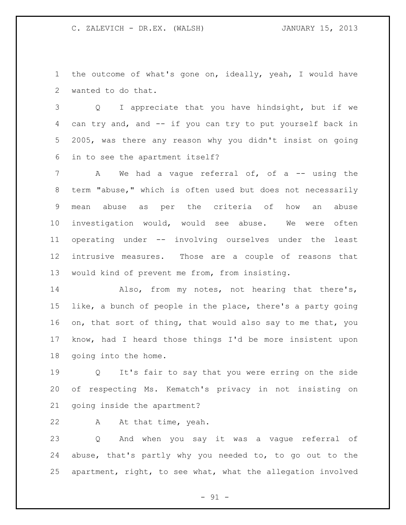the outcome of what's gone on, ideally, yeah, I would have wanted to do that.

 Q I appreciate that you have hindsight, but if we can try and, and -- if you can try to put yourself back in 2005, was there any reason why you didn't insist on going in to see the apartment itself?

7 A We had a vague referral of, of a -- using the term "abuse," which is often used but does not necessarily mean abuse as per the criteria of how an abuse investigation would, would see abuse. We were often operating under -- involving ourselves under the least intrusive measures. Those are a couple of reasons that would kind of prevent me from, from insisting.

 Also, from my notes, not hearing that there's, like, a bunch of people in the place, there's a party going 16 on, that sort of thing, that would also say to me that, you know, had I heard those things I'd be more insistent upon going into the home.

 Q It's fair to say that you were erring on the side of respecting Ms. Kematch's privacy in not insisting on going inside the apartment?

A At that time, yeah.

 Q And when you say it was a vague referral of abuse, that's partly why you needed to, to go out to the apartment, right, to see what, what the allegation involved

- 91 -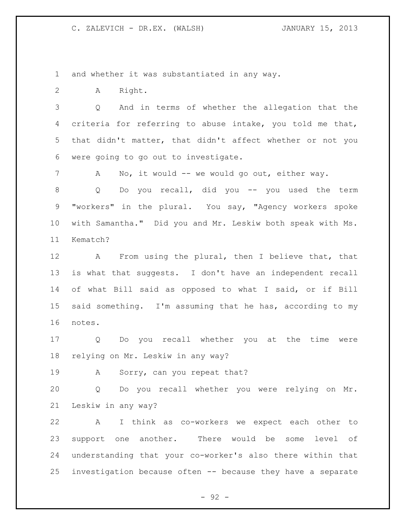and whether it was substantiated in any way.

A Right.

 Q And in terms of whether the allegation that the criteria for referring to abuse intake, you told me that, that didn't matter, that didn't affect whether or not you were going to go out to investigate.

7 A No, it would -- we would go out, either way.

8 Q Do you recall, did you -- you used the term "workers" in the plural. You say, "Agency workers spoke with Samantha." Did you and Mr. Leskiw both speak with Ms. Kematch?

 A From using the plural, then I believe that, that is what that suggests. I don't have an independent recall of what Bill said as opposed to what I said, or if Bill said something. I'm assuming that he has, according to my notes.

 Q Do you recall whether you at the time were relying on Mr. Leskiw in any way?

A Sorry, can you repeat that?

 Q Do you recall whether you were relying on Mr. Leskiw in any way?

 A I think as co-workers we expect each other to support one another. There would be some level of understanding that your co-worker's also there within that investigation because often -- because they have a separate

- 92 -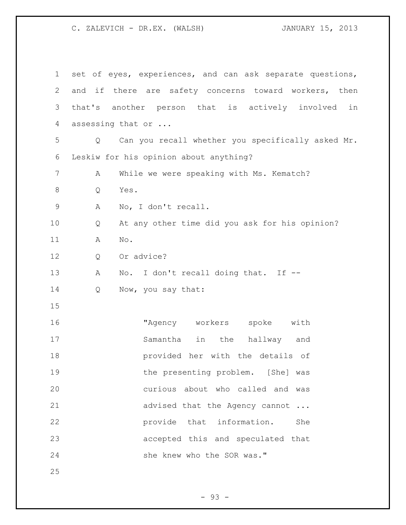| 1           | set of eyes, experiences, and can ask separate questions, |
|-------------|-----------------------------------------------------------|
| 2           | and if there are safety concerns toward workers, then     |
| 3           | that's<br>another person that is actively involved<br>in  |
| 4           | assessing that or                                         |
| 5           | Can you recall whether you specifically asked Mr.<br>Q    |
| 6           | Leskiw for his opinion about anything?                    |
| 7           | While we were speaking with Ms. Kematch?<br>Α             |
| 8           | Yes.<br>Q                                                 |
| $\mathsf 9$ | No, I don't recall.<br>Α                                  |
| 10          | At any other time did you ask for his opinion?<br>Q       |
| 11          | No.<br>Α                                                  |
| 12          | Or advice?<br>Q                                           |
| 13          | No. I don't recall doing that. If --<br>Α                 |
| 14          | Now, you say that:<br>Q                                   |
| 15          |                                                           |
| 16          | "Agency workers<br>spoke<br>with                          |
| 17          | Samantha<br>the<br>in<br>hallway and                      |
| 18          | provided her with the details of                          |
| 19          | the presenting problem. [She] was                         |
| 20          | curious about who called and was                          |
| 21          | advised that the Agency cannot                            |
| 22          | provide that information.<br>She                          |
| 23          | accepted this and speculated that                         |
| 24          | she knew who the SOR was."                                |
| 25          |                                                           |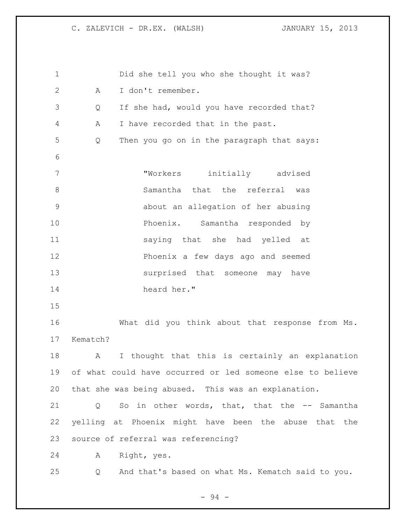Did she tell you who she thought it was? A I don't remember. Q If she had, would you have recorded that? A I have recorded that in the past. Q Then you go on in the paragraph that says: "Workers initially advised 8 Samantha that the referral was about an allegation of her abusing Phoenix. Samantha responded by saying that she had yelled at Phoenix a few days ago and seemed surprised that someone may have heard her." What did you think about that response from Ms. Kematch? A I thought that this is certainly an explanation of what could have occurred or led someone else to believe that she was being abused. This was an explanation. Q So in other words, that, that the -- Samantha yelling at Phoenix might have been the abuse that the source of referral was referencing? A Right, yes. Q And that's based on what Ms. Kematch said to you.

- 94 -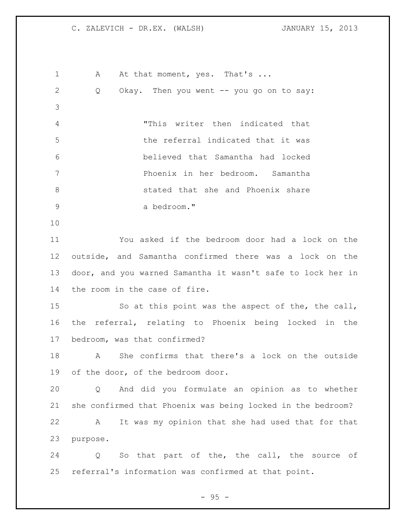1 A At that moment, yes. That's ... Q Okay. Then you went -- you go on to say: "This writer then indicated that the referral indicated that it was believed that Samantha had locked Phoenix in her bedroom. Samantha stated that she and Phoenix share a bedroom." You asked if the bedroom door had a lock on the outside, and Samantha confirmed there was a lock on the door, and you warned Samantha it wasn't safe to lock her in the room in the case of fire. So at this point was the aspect of the, the call, the referral, relating to Phoenix being locked in the bedroom, was that confirmed? A She confirms that there's a lock on the outside of the door, of the bedroom door. Q And did you formulate an opinion as to whether she confirmed that Phoenix was being locked in the bedroom? A It was my opinion that she had used that for that purpose. Q So that part of the, the call, the source of referral's information was confirmed at that point.

 $-95 -$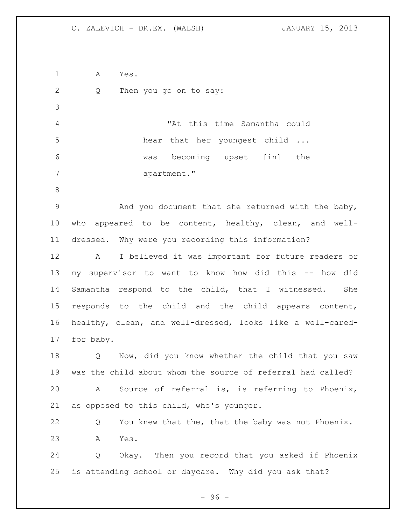A Yes. Q Then you go on to say: "At this time Samantha could 5 hear that her youngest child ... was becoming upset [in] the 7 apartment." And you document that she returned with the baby, who appeared to be content, healthy, clean, and well- dressed. Why were you recording this information? A I believed it was important for future readers or my supervisor to want to know how did this -- how did Samantha respond to the child, that I witnessed. She responds to the child and the child appears content, healthy, clean, and well-dressed, looks like a well-cared- for baby. Q Now, did you know whether the child that you saw was the child about whom the source of referral had called? A Source of referral is, is referring to Phoenix, as opposed to this child, who's younger. Q You knew that the, that the baby was not Phoenix. A Yes. Q Okay. Then you record that you asked if Phoenix is attending school or daycare. Why did you ask that?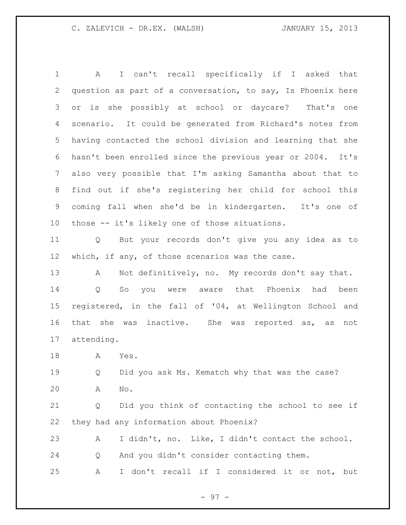A I can't recall specifically if I asked that question as part of a conversation, to say, Is Phoenix here or is she possibly at school or daycare? That's one scenario. It could be generated from Richard's notes from having contacted the school division and learning that she hasn't been enrolled since the previous year or 2004. It's also very possible that I'm asking Samantha about that to find out if she's registering her child for school this coming fall when she'd be in kindergarten. It's one of those -- it's likely one of those situations. Q But your records don't give you any idea as to 12 which, if any, of those scenarios was the case. 13 A Not definitively, no. My records don't say that. Q So you were aware that Phoenix had been registered, in the fall of '04, at Wellington School and that she was inactive. She was reported as, as not attending. A Yes. Q Did you ask Ms. Kematch why that was the case? A No. Q Did you think of contacting the school to see if they had any information about Phoenix?

 A I didn't, no. Like, I didn't contact the school. Q And you didn't consider contacting them. A I don't recall if I considered it or not, but

- 97 -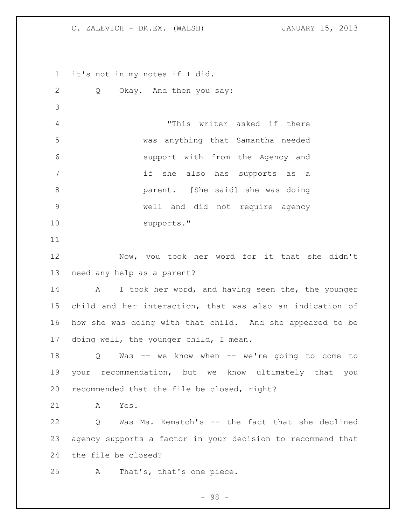it's not in my notes if I did. Q Okay. And then you say: "This writer asked if there was anything that Samantha needed support with from the Agency and if she also has supports as a parent. [She said] she was doing well and did not require agency supports." Now, you took her word for it that she didn't need any help as a parent? 14 A I took her word, and having seen the, the younger child and her interaction, that was also an indication of how she was doing with that child. And she appeared to be doing well, the younger child, I mean. Q Was -- we know when -- we're going to come to your recommendation, but we know ultimately that you recommended that the file be closed, right? A Yes. Q Was Ms. Kematch's -- the fact that she declined agency supports a factor in your decision to recommend that the file be closed? A That's, that's one piece.

- 98 -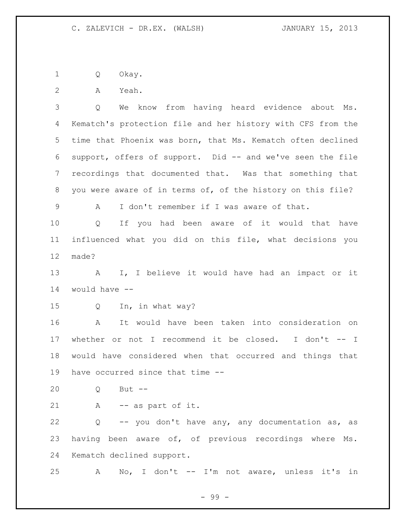Q Okay.

A Yeah.

 Q We know from having heard evidence about Ms. Kematch's protection file and her history with CFS from the time that Phoenix was born, that Ms. Kematch often declined support, offers of support. Did -- and we've seen the file recordings that documented that. Was that something that you were aware of in terms of, of the history on this file?

A I don't remember if I was aware of that.

 Q If you had been aware of it would that have influenced what you did on this file, what decisions you made?

 A I, I believe it would have had an impact or it would have --

Q In, in what way?

 A It would have been taken into consideration on whether or not I recommend it be closed. I don't -- I would have considered when that occurred and things that have occurred since that time --

Q But --

A -- as part of it.

 Q -- you don't have any, any documentation as, as having been aware of, of previous recordings where Ms. Kematch declined support.

A No, I don't -- I'm not aware, unless it's in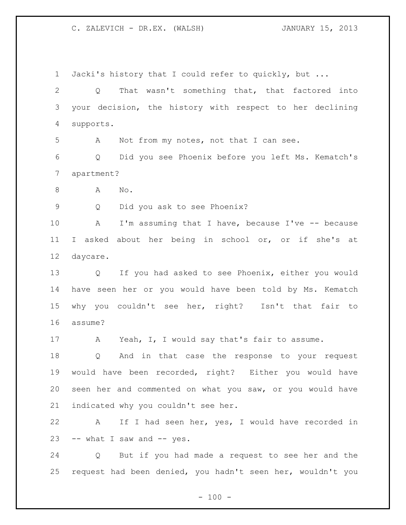Jacki's history that I could refer to quickly, but ... Q That wasn't something that, that factored into your decision, the history with respect to her declining supports. A Not from my notes, not that I can see. Q Did you see Phoenix before you left Ms. Kematch's apartment? 8 A No. Q Did you ask to see Phoenix? A I'm assuming that I have, because I've -- because I asked about her being in school or, or if she's at daycare. Q If you had asked to see Phoenix, either you would have seen her or you would have been told by Ms. Kematch why you couldn't see her, right? Isn't that fair to assume? 17 A Yeah, I, I would say that's fair to assume. Q And in that case the response to your request would have been recorded, right? Either you would have seen her and commented on what you saw, or you would have indicated why you couldn't see her. A If I had seen her, yes, I would have recorded in -- what I saw and -- yes. Q But if you had made a request to see her and the

request had been denied, you hadn't seen her, wouldn't you

 $- 100 -$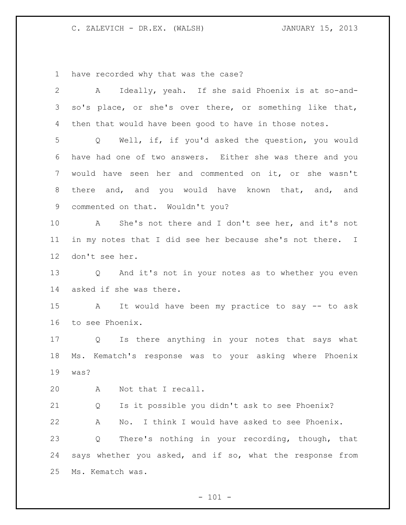have recorded why that was the case?

| $\overline{2}$ | A Ideally, yeah. If she said Phoenix is at so-and-        |
|----------------|-----------------------------------------------------------|
| 3              | so's place, or she's over there, or something like that,  |
| 4              | then that would have been good to have in those notes.    |
| 5              | Q Well, if, if you'd asked the question, you would        |
| 6              | have had one of two answers. Either she was there and you |
| 7              | would have seen her and commented on it, or she wasn't    |
| 8              | there and, and you would have known that, and, and        |
| 9              | commented on that. Wouldn't you?                          |
| 10             | A She's not there and I don't see her, and it's not       |
| 11             | in my notes that I did see her because she's not there. I |
| 12             | don't see her.                                            |
| 13             | Q And it's not in your notes as to whether you even       |
| 14             | asked if she was there.                                   |
| 15             | A It would have been my practice to say -- to ask         |
| 16             | to see Phoenix.                                           |
| 17             | Q Is there anything in your notes that says what          |
| 18             | Ms. Kematch's response was to your asking where Phoenix   |
| 19             | was?                                                      |
| 20             | Not that I recall.<br>A                                   |
| 21             | Is it possible you didn't ask to see Phoenix?<br>Q        |
| 22             | No. I think I would have asked to see Phoenix.<br>Α       |
| 23             | There's nothing in your recording, though, that<br>Q      |
| 24             | says whether you asked, and if so, what the response from |
| 25             | Ms. Kematch was.                                          |

- 101 -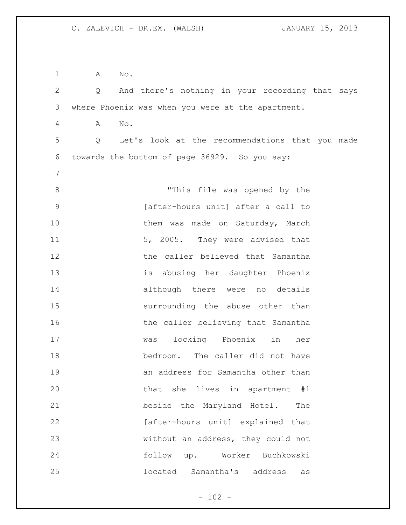A No. Q And there's nothing in your recording that says where Phoenix was when you were at the apartment. A No. Q Let's look at the recommendations that you made towards the bottom of page 36929. So you say: 8 This file was opened by the [after-hours unit] after a call to 10 them was made on Saturday, March 11 5, 2005. They were advised that the caller believed that Samantha is abusing her daughter Phoenix although there were no details surrounding the abuse other than 16 the caller believing that Samantha was locking Phoenix in her bedroom. The caller did not have an address for Samantha other than that she lives in apartment #1 beside the Maryland Hotel. The 22 [after-hours unit] explained that without an address, they could not follow up. Worker Buchkowski located Samantha's address as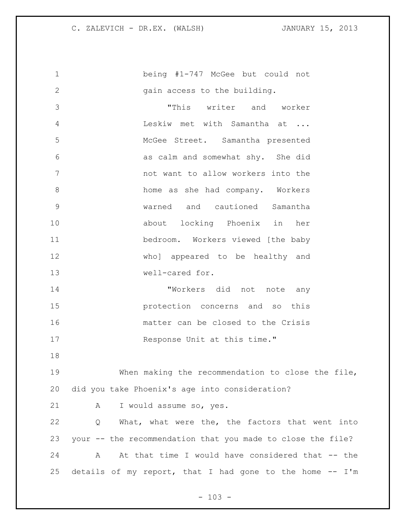being #1-747 McGee but could not 2 gain access to the building. "This writer and worker Leskiw met with Samantha at ... McGee Street. Samantha presented as calm and somewhat shy. She did not want to allow workers into the home as she had company. Workers warned and cautioned Samantha about locking Phoenix in her bedroom. Workers viewed [the baby who] appeared to be healthy and well-cared for. "Workers did not note any protection concerns and so this matter can be closed to the Crisis 17 Response Unit at this time." When making the recommendation to close the file, did you take Phoenix's age into consideration? A I would assume so, yes. Q What, what were the, the factors that went into your -- the recommendation that you made to close the file? A At that time I would have considered that -- the details of my report, that I had gone to the home -- I'm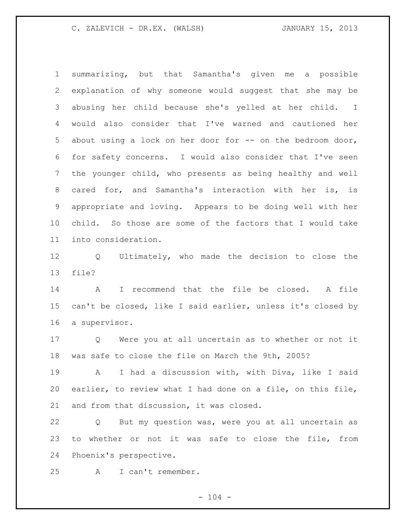summarizing, but that Samantha's given me a possible explanation of why someone would suggest that she may be abusing her child because she's yelled at her child. I would also consider that I've warned and cautioned her 5 about using a lock on her door for -- on the bedroom door, for safety concerns. I would also consider that I've seen the younger child, who presents as being healthy and well cared for, and Samantha's interaction with her is, is appropriate and loving. Appears to be doing well with her child. So those are some of the factors that I would take into consideration.

 Q Ultimately, who made the decision to close the file?

 A I recommend that the file be closed. A file can't be closed, like I said earlier, unless it's closed by a supervisor.

 Q Were you at all uncertain as to whether or not it was safe to close the file on March the 9th, 2005?

 A I had a discussion with, with Diva, like I said earlier, to review what I had done on a file, on this file, and from that discussion, it was closed.

 Q But my question was, were you at all uncertain as to whether or not it was safe to close the file, from Phoenix's perspective.

A I can't remember.

 $- 104 -$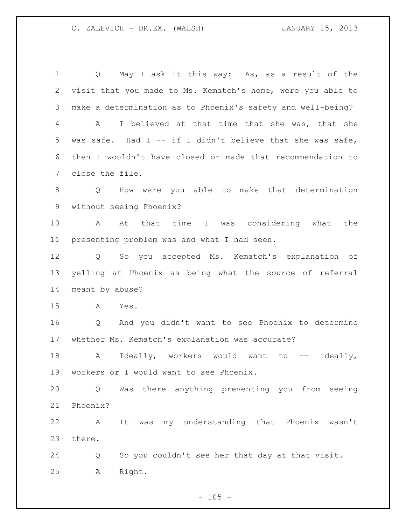Q May I ask it this way: As, as a result of the visit that you made to Ms. Kematch's home, were you able to make a determination as to Phoenix's safety and well-being? A I believed at that time that she was, that she was safe. Had I -- if I didn't believe that she was safe, then I wouldn't have closed or made that recommendation to close the file. Q How were you able to make that determination without seeing Phoenix? A At that time I was considering what the presenting problem was and what I had seen. Q So you accepted Ms. Kematch's explanation of yelling at Phoenix as being what the source of referral meant by abuse? A Yes. Q And you didn't want to see Phoenix to determine whether Ms. Kematch's explanation was accurate? 18 A Ideally, workers would want to -- ideally, workers or I would want to see Phoenix. Q Was there anything preventing you from seeing Phoenix? A It was my understanding that Phoenix wasn't there. Q So you couldn't see her that day at that visit. A Right.

 $- 105 -$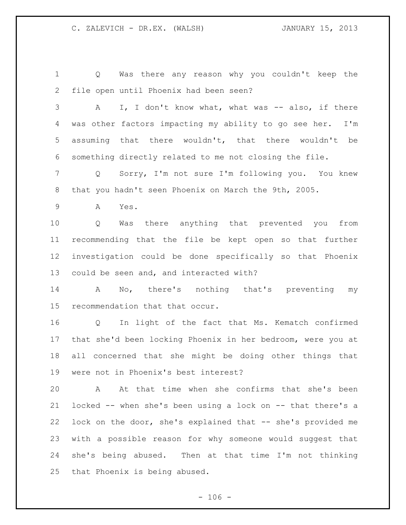Q Was there any reason why you couldn't keep the file open until Phoenix had been seen?

3 A I, I don't know what, what was -- also, if there was other factors impacting my ability to go see her. I'm assuming that there wouldn't, that there wouldn't be something directly related to me not closing the file.

 Q Sorry, I'm not sure I'm following you. You knew that you hadn't seen Phoenix on March the 9th, 2005.

A Yes.

 Q Was there anything that prevented you from recommending that the file be kept open so that further investigation could be done specifically so that Phoenix could be seen and, and interacted with?

 A No, there's nothing that's preventing my recommendation that that occur.

 Q In light of the fact that Ms. Kematch confirmed that she'd been locking Phoenix in her bedroom, were you at all concerned that she might be doing other things that were not in Phoenix's best interest?

 A At that time when she confirms that she's been locked -- when she's been using a lock on -- that there's a 22 lock on the door, she's explained that -- she's provided me with a possible reason for why someone would suggest that she's being abused. Then at that time I'm not thinking that Phoenix is being abused.

 $- 106 -$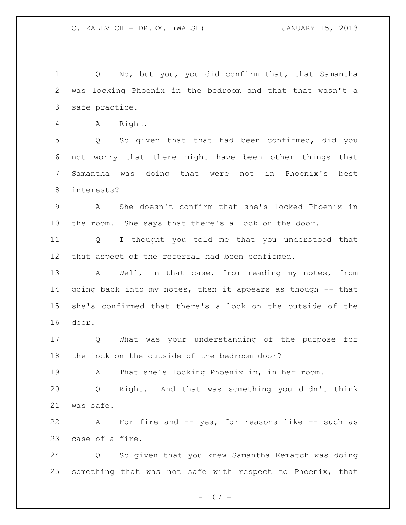Q No, but you, you did confirm that, that Samantha was locking Phoenix in the bedroom and that that wasn't a safe practice.

A Right.

 Q So given that that had been confirmed, did you not worry that there might have been other things that Samantha was doing that were not in Phoenix's best interests?

 A She doesn't confirm that she's locked Phoenix in the room. She says that there's a lock on the door.

 Q I thought you told me that you understood that that aspect of the referral had been confirmed.

13 A Well, in that case, from reading my notes, from going back into my notes, then it appears as though -- that she's confirmed that there's a lock on the outside of the door.

 Q What was your understanding of the purpose for the lock on the outside of the bedroom door?

A That she's locking Phoenix in, in her room.

 Q Right. And that was something you didn't think was safe.

22 A For fire and -- yes, for reasons like -- such as case of a fire.

 Q So given that you knew Samantha Kematch was doing something that was not safe with respect to Phoenix, that

 $- 107 -$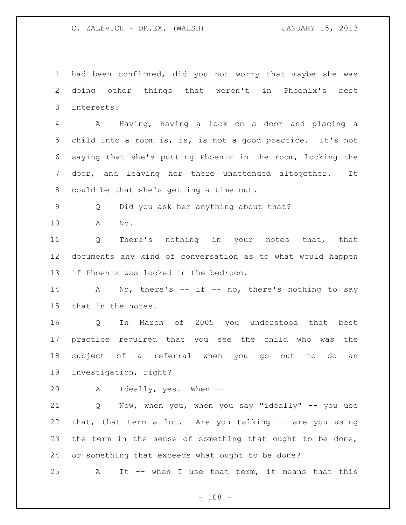had been confirmed, did you not worry that maybe she was doing other things that weren't in Phoenix's best interests?

 A Having, having a lock on a door and placing a child into a room is, is, is not a good practice. It's not saying that she's putting Phoenix in the room, locking the door, and leaving her there unattended altogether. It could be that she's getting a time out.

Q Did you ask her anything about that?

A No.

 Q There's nothing in your notes that, that documents any kind of conversation as to what would happen if Phoenix was locked in the bedroom.

14 A No, there's -- if -- no, there's nothing to say that in the notes.

 Q In March of 2005 you understood that best practice required that you see the child who was the subject of a referral when you go out to do an investigation, right?

A Ideally, yes. When --

 Q Now, when you, when you say "ideally" -- you use that, that term a lot. Are you talking -- are you using the term in the sense of something that ought to be done, or something that exceeds what ought to be done?

A It -- when I use that term, it means that this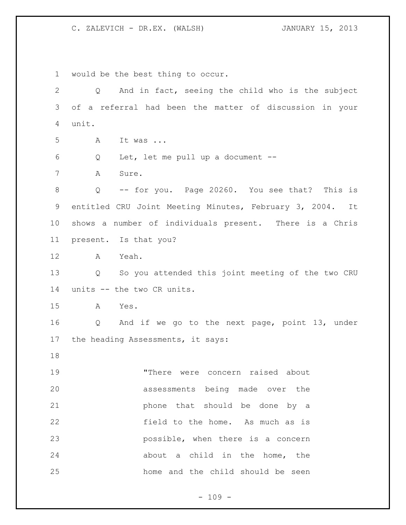would be the best thing to occur. Q And in fact, seeing the child who is the subject of a referral had been the matter of discussion in your unit. A It was ... Q Let, let me pull up a document -- A Sure. Q -- for you. Page 20260. You see that? This is entitled CRU Joint Meeting Minutes, February 3, 2004. It shows a number of individuals present. There is a Chris present. Is that you? A Yeah. Q So you attended this joint meeting of the two CRU units -- the two CR units. A Yes. Q And if we go to the next page, point 13, under the heading Assessments, it says: "There were concern raised about assessments being made over the phone that should be done by a field to the home. As much as is possible, when there is a concern 24 about a child in the home, the home and the child should be seen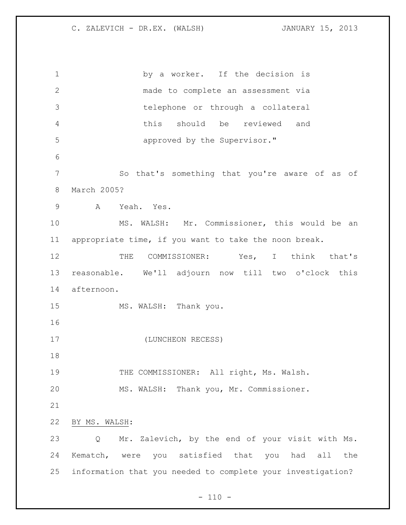1 by a worker. If the decision is made to complete an assessment via telephone or through a collateral this should be reviewed and approved by the Supervisor." So that's something that you're aware of as of March 2005? A Yeah. Yes. MS. WALSH: Mr. Commissioner, this would be an appropriate time, if you want to take the noon break. THE COMMISSIONER: Yes, I think that's reasonable. We'll adjourn now till two o'clock this afternoon. 15 MS. WALSH: Thank you. (LUNCHEON RECESS) 19 THE COMMISSIONER: All right, Ms. Walsh. MS. WALSH: Thank you, Mr. Commissioner. BY MS. WALSH: Q Mr. Zalevich, by the end of your visit with Ms. Kematch, were you satisfied that you had all the information that you needed to complete your investigation?

 $- 110 -$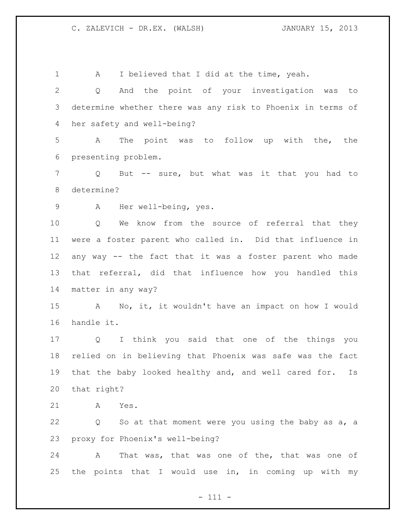1 A I believed that I did at the time, yeah. Q And the point of your investigation was to determine whether there was any risk to Phoenix in terms of her safety and well-being? A The point was to follow up with the, the presenting problem. Q But -- sure, but what was it that you had to determine? A Her well-being, yes. Q We know from the source of referral that they were a foster parent who called in. Did that influence in any way -- the fact that it was a foster parent who made that referral, did that influence how you handled this matter in any way? A No, it, it wouldn't have an impact on how I would handle it. Q I think you said that one of the things you relied on in believing that Phoenix was safe was the fact that the baby looked healthy and, and well cared for. Is that right? A Yes. Q So at that moment were you using the baby as a, a proxy for Phoenix's well-being? A That was, that was one of the, that was one of the points that I would use in, in coming up with my

- 111 -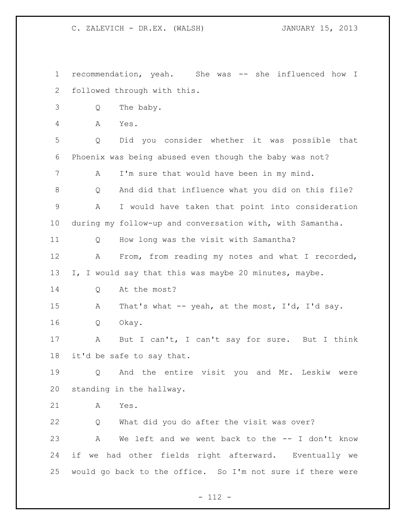recommendation, yeah. She was -- she influenced how I followed through with this. Q The baby. A Yes. Q Did you consider whether it was possible that Phoenix was being abused even though the baby was not? A I'm sure that would have been in my mind. Q And did that influence what you did on this file? A I would have taken that point into consideration during my follow-up and conversation with, with Samantha. Q How long was the visit with Samantha? A From, from reading my notes and what I recorded, I, I would say that this was maybe 20 minutes, maybe. Q At the most? 15 A That's what -- yeah, at the most, I'd, I'd say. Q Okay. A But I can't, I can't say for sure. But I think it'd be safe to say that. Q And the entire visit you and Mr. Leskiw were standing in the hallway. A Yes. Q What did you do after the visit was over? A We left and we went back to the -- I don't know if we had other fields right afterward. Eventually we would go back to the office. So I'm not sure if there were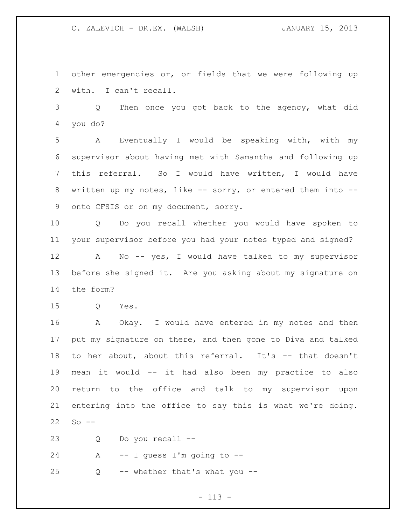other emergencies or, or fields that we were following up with. I can't recall.

 Q Then once you got back to the agency, what did you do?

 A Eventually I would be speaking with, with my supervisor about having met with Samantha and following up this referral. So I would have written, I would have 8 written up my notes, like -- sorry, or entered them into --onto CFSIS or on my document, sorry.

 Q Do you recall whether you would have spoken to your supervisor before you had your notes typed and signed?

 A No -- yes, I would have talked to my supervisor before she signed it. Are you asking about my signature on the form?

Q Yes.

 A Okay. I would have entered in my notes and then put my signature on there, and then gone to Diva and talked to her about, about this referral. It's -- that doesn't mean it would -- it had also been my practice to also return to the office and talk to my supervisor upon entering into the office to say this is what we're doing. So  $-$ 

Q Do you recall --

24 A -- I guess I'm going to --

Q -- whether that's what you --

 $- 113 -$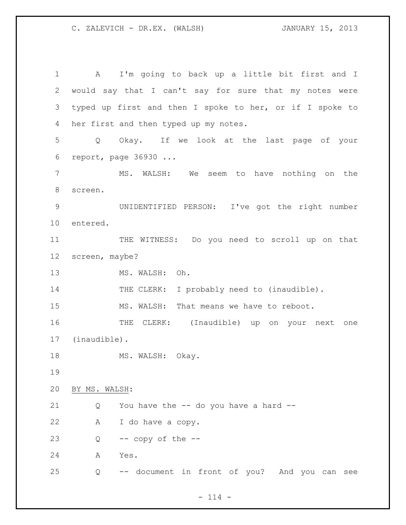A I'm going to back up a little bit first and I would say that I can't say for sure that my notes were typed up first and then I spoke to her, or if I spoke to her first and then typed up my notes. Q Okay. If we look at the last page of your report, page 36930 ... MS. WALSH: We seem to have nothing on the screen. UNIDENTIFIED PERSON: I've got the right number entered. THE WITNESS: Do you need to scroll up on that screen, maybe? 13 MS. WALSH: Oh. 14 THE CLERK: I probably need to (inaudible). MS. WALSH: That means we have to reboot. THE CLERK: (Inaudible) up on your next one (inaudible). 18 MS. WALSH: Okay. BY MS. WALSH: Q You have the -- do you have a hard -- A I do have a copy.  $Q$  -- copy of the  $-$  A Yes. Q -- document in front of you? And you can see

 $- 114 -$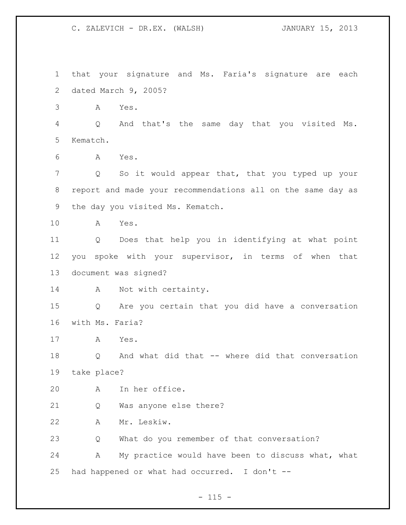that your signature and Ms. Faria's signature are each dated March 9, 2005? A Yes. Q And that's the same day that you visited Ms. Kematch. A Yes. Q So it would appear that, that you typed up your report and made your recommendations all on the same day as the day you visited Ms. Kematch. A Yes. Q Does that help you in identifying at what point you spoke with your supervisor, in terms of when that document was signed? 14 A Not with certainty. Q Are you certain that you did have a conversation with Ms. Faria? A Yes. Q And what did that -- where did that conversation take place? A In her office. Q Was anyone else there? A Mr. Leskiw. Q What do you remember of that conversation? A My practice would have been to discuss what, what had happened or what had occurred. I don't --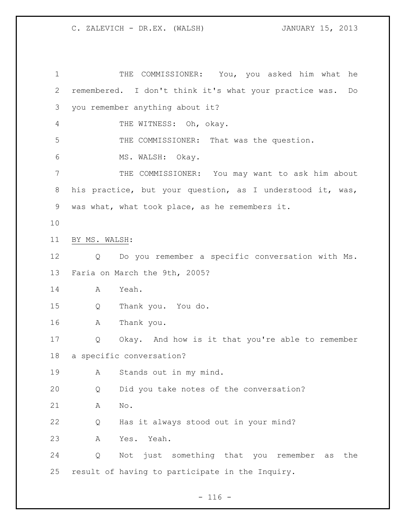THE COMMISSIONER: You, you asked him what he remembered. I don't think it's what your practice was. Do you remember anything about it? 4 THE WITNESS: Oh, okay. THE COMMISSIONER: That was the question. MS. WALSH: Okay. THE COMMISSIONER: You may want to ask him about his practice, but your question, as I understood it, was, was what, what took place, as he remembers it. BY MS. WALSH: Q Do you remember a specific conversation with Ms. Faria on March the 9th, 2005? A Yeah. Q Thank you. You do. A Thank you. Q Okay. And how is it that you're able to remember a specific conversation? A Stands out in my mind. Q Did you take notes of the conversation? A No. Q Has it always stood out in your mind? A Yes. Yeah. Q Not just something that you remember as the result of having to participate in the Inquiry.

 $- 116 -$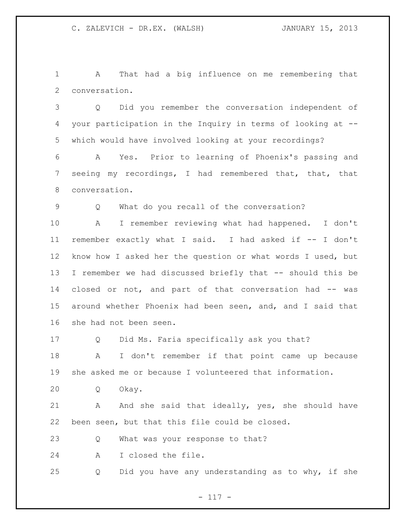A That had a big influence on me remembering that conversation.

 Q Did you remember the conversation independent of your participation in the Inquiry in terms of looking at -- which would have involved looking at your recordings?

 A Yes. Prior to learning of Phoenix's passing and seeing my recordings, I had remembered that, that, that conversation.

Q What do you recall of the conversation?

 A I remember reviewing what had happened. I don't remember exactly what I said. I had asked if -- I don't know how I asked her the question or what words I used, but I remember we had discussed briefly that -- should this be closed or not, and part of that conversation had -- was around whether Phoenix had been seen, and, and I said that she had not been seen.

Q Did Ms. Faria specifically ask you that?

 A I don't remember if that point came up because she asked me or because I volunteered that information.

Q Okay.

 A And she said that ideally, yes, she should have been seen, but that this file could be closed.

Q What was your response to that?

A I closed the file.

Q Did you have any understanding as to why, if she

- 117 -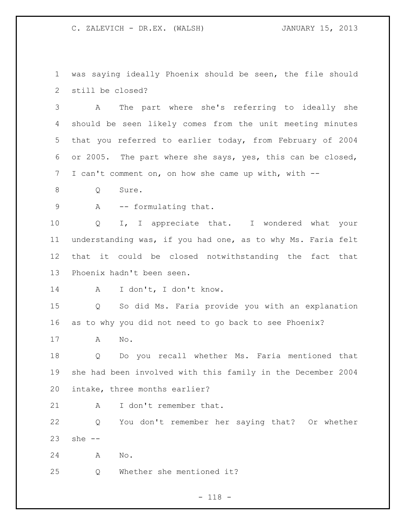was saying ideally Phoenix should be seen, the file should still be closed?

 A The part where she's referring to ideally she should be seen likely comes from the unit meeting minutes that you referred to earlier today, from February of 2004 or 2005. The part where she says, yes, this can be closed, I can't comment on, on how she came up with, with --

8 Q Sure.

9 A -- formulating that.

 Q I, I appreciate that. I wondered what your understanding was, if you had one, as to why Ms. Faria felt that it could be closed notwithstanding the fact that Phoenix hadn't been seen.

A I don't, I don't know.

 Q So did Ms. Faria provide you with an explanation as to why you did not need to go back to see Phoenix?

A No.

 Q Do you recall whether Ms. Faria mentioned that she had been involved with this family in the December 2004 intake, three months earlier?

21 A I don't remember that.

 Q You don't remember her saying that? Or whether she --

A No.

Q Whether she mentioned it?

- 118 -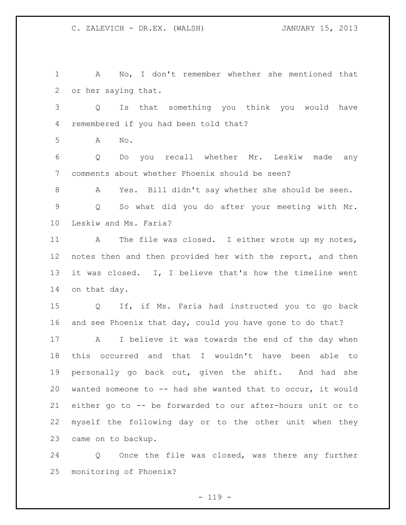A No, I don't remember whether she mentioned that or her saying that. Q Is that something you think you would have remembered if you had been told that? A No. Q Do you recall whether Mr. Leskiw made any comments about whether Phoenix should be seen? A Yes. Bill didn't say whether she should be seen. Q So what did you do after your meeting with Mr. Leskiw and Ms. Faria? 11 A The file was closed. I either wrote up my notes, notes then and then provided her with the report, and then it was closed. I, I believe that's how the timeline went on that day. Q If, if Ms. Faria had instructed you to go back and see Phoenix that day, could you have gone to do that? A I believe it was towards the end of the day when this occurred and that I wouldn't have been able to personally go back out, given the shift. And had she wanted someone to -- had she wanted that to occur, it would either go to -- be forwarded to our after-hours unit or to myself the following day or to the other unit when they came on to backup.

 Q Once the file was closed, was there any further monitoring of Phoenix?

 $- 119 -$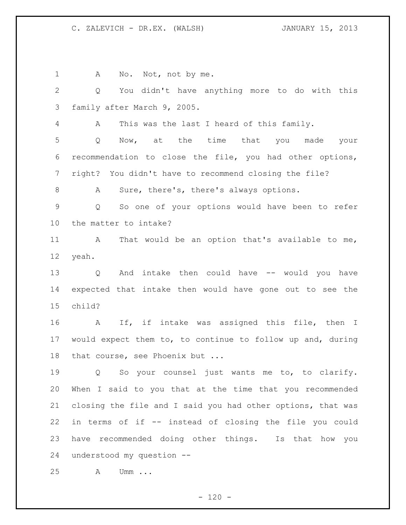1 A No. Not, not by me.

 Q You didn't have anything more to do with this family after March 9, 2005.

A This was the last I heard of this family.

 Q Now, at the time that you made your recommendation to close the file, you had other options, right? You didn't have to recommend closing the file?

A Sure, there's, there's always options.

 Q So one of your options would have been to refer the matter to intake?

11 A That would be an option that's available to me, yeah.

 Q And intake then could have -- would you have expected that intake then would have gone out to see the child?

 A If, if intake was assigned this file, then I would expect them to, to continue to follow up and, during 18 that course, see Phoenix but ...

 Q So your counsel just wants me to, to clarify. When I said to you that at the time that you recommended closing the file and I said you had other options, that was in terms of if -- instead of closing the file you could have recommended doing other things. Is that how you understood my question --

A Umm ...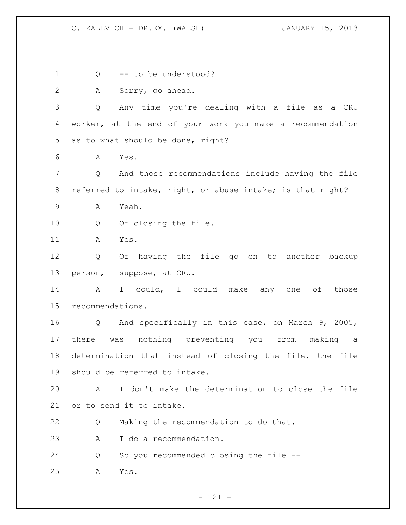Q -- to be understood? A Sorry, go ahead. Q Any time you're dealing with a file as a CRU worker, at the end of your work you make a recommendation as to what should be done, right? A Yes. Q And those recommendations include having the file referred to intake, right, or abuse intake; is that right? A Yeah. Q Or closing the file. A Yes. Q Or having the file go on to another backup person, I suppose, at CRU. 14 A I could, I could make any one of those recommendations. Q And specifically in this case, on March 9, 2005, there was nothing preventing you from making a determination that instead of closing the file, the file should be referred to intake. A I don't make the determination to close the file or to send it to intake. Q Making the recommendation to do that. A I do a recommendation. Q So you recommended closing the file -- A Yes.

- 121 -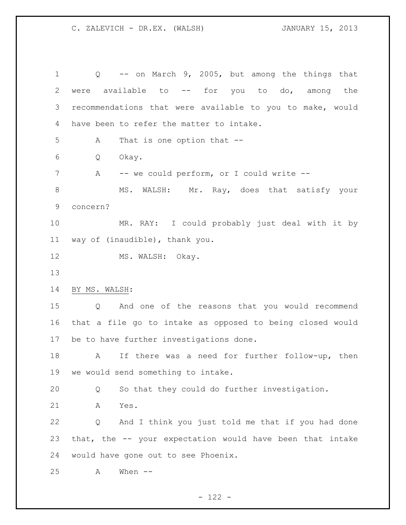Q -- on March 9, 2005, but among the things that were available to -- for you to do, among the recommendations that were available to you to make, would have been to refer the matter to intake. A That is one option that -- Q Okay. 7 A -- we could perform, or I could write --8 MS. WALSH: Mr. Ray, does that satisfy your concern? MR. RAY: I could probably just deal with it by way of (inaudible), thank you. 12 MS. WALSH: Okay. BY MS. WALSH: Q And one of the reasons that you would recommend that a file go to intake as opposed to being closed would be to have further investigations done. A If there was a need for further follow-up, then we would send something to intake. Q So that they could do further investigation. A Yes. Q And I think you just told me that if you had done that, the -- your expectation would have been that intake would have gone out to see Phoenix. A When --

 $- 122 -$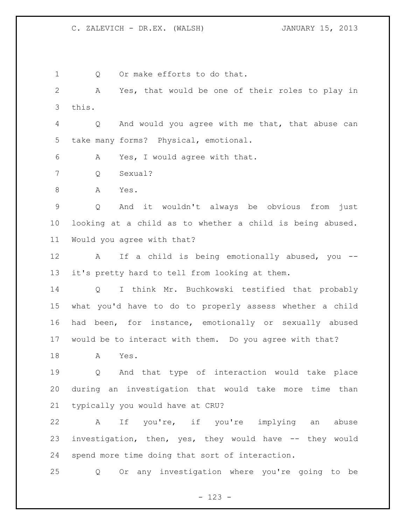1 Q Or make efforts to do that. A Yes, that would be one of their roles to play in this. Q And would you agree with me that, that abuse can take many forms? Physical, emotional. A Yes, I would agree with that. Q Sexual? A Yes. Q And it wouldn't always be obvious from just looking at a child as to whether a child is being abused. Would you agree with that? A If a child is being emotionally abused, you -- it's pretty hard to tell from looking at them. Q I think Mr. Buchkowski testified that probably what you'd have to do to properly assess whether a child had been, for instance, emotionally or sexually abused would be to interact with them. Do you agree with that? A Yes. Q And that type of interaction would take place during an investigation that would take more time than typically you would have at CRU? A If you're, if you're implying an abuse investigation, then, yes, they would have -- they would spend more time doing that sort of interaction. Q Or any investigation where you're going to be

- 123 -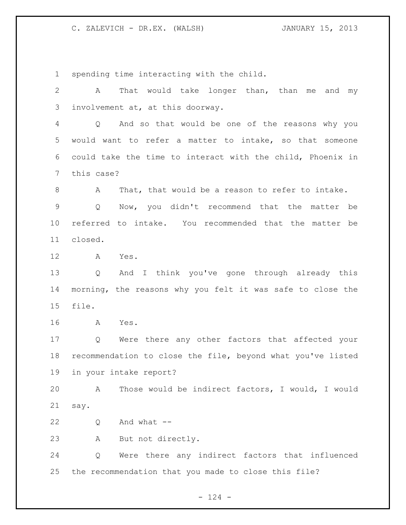spending time interacting with the child.

 A That would take longer than, than me and my involvement at, at this doorway. Q And so that would be one of the reasons why you would want to refer a matter to intake, so that someone could take the time to interact with the child, Phoenix in this case? A That, that would be a reason to refer to intake. Q Now, you didn't recommend that the matter be referred to intake. You recommended that the matter be closed. A Yes. Q And I think you've gone through already this morning, the reasons why you felt it was safe to close the file. A Yes. Q Were there any other factors that affected your recommendation to close the file, beyond what you've listed in your intake report? A Those would be indirect factors, I would, I would say. Q And what -- A But not directly. Q Were there any indirect factors that influenced the recommendation that you made to close this file?

 $- 124 -$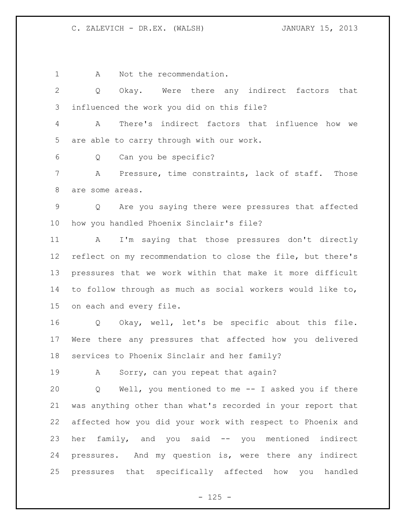1 A Not the recommendation.

 Q Okay. Were there any indirect factors that influenced the work you did on this file?

 A There's indirect factors that influence how we are able to carry through with our work.

Q Can you be specific?

 A Pressure, time constraints, lack of staff. Those are some areas.

 Q Are you saying there were pressures that affected how you handled Phoenix Sinclair's file?

 A I'm saying that those pressures don't directly reflect on my recommendation to close the file, but there's pressures that we work within that make it more difficult to follow through as much as social workers would like to, on each and every file.

 Q Okay, well, let's be specific about this file. Were there any pressures that affected how you delivered services to Phoenix Sinclair and her family?

A Sorry, can you repeat that again?

 Q Well, you mentioned to me -- I asked you if there was anything other than what's recorded in your report that affected how you did your work with respect to Phoenix and her family, and you said -- you mentioned indirect pressures. And my question is, were there any indirect pressures that specifically affected how you handled

 $- 125 -$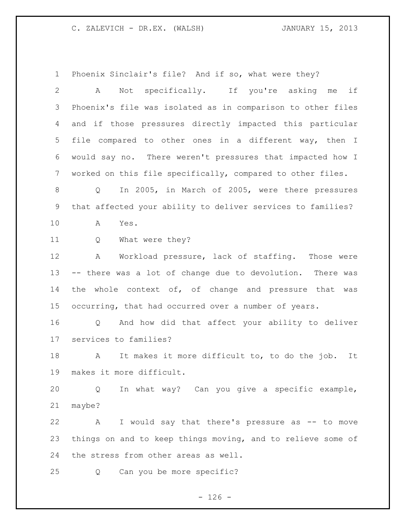Phoenix Sinclair's file? And if so, what were they?

 A Not specifically. If you're asking me if Phoenix's file was isolated as in comparison to other files and if those pressures directly impacted this particular file compared to other ones in a different way, then I would say no. There weren't pressures that impacted how I worked on this file specifically, compared to other files. Q In 2005, in March of 2005, were there pressures that affected your ability to deliver services to families? A Yes. Q What were they? A Workload pressure, lack of staffing. Those were -- there was a lot of change due to devolution. There was 14 the whole context of, of change and pressure that was occurring, that had occurred over a number of years. Q And how did that affect your ability to deliver services to families? A It makes it more difficult to, to do the job. It makes it more difficult. Q In what way? Can you give a specific example, maybe? A I would say that there's pressure as -- to move things on and to keep things moving, and to relieve some of the stress from other areas as well. Q Can you be more specific?

 $- 126 -$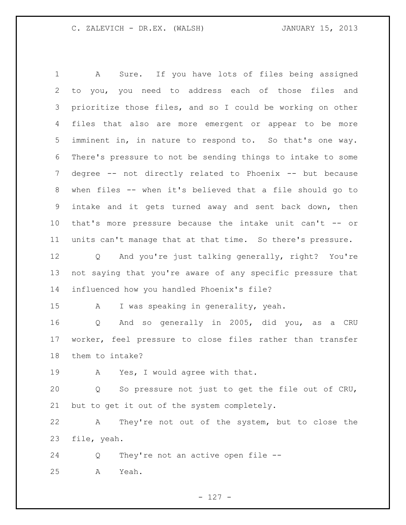A Sure. If you have lots of files being assigned to you, you need to address each of those files and prioritize those files, and so I could be working on other files that also are more emergent or appear to be more imminent in, in nature to respond to. So that's one way. There's pressure to not be sending things to intake to some degree -- not directly related to Phoenix -- but because when files -- when it's believed that a file should go to intake and it gets turned away and sent back down, then that's more pressure because the intake unit can't -- or units can't manage that at that time. So there's pressure. Q And you're just talking generally, right? You're not saying that you're aware of any specific pressure that influenced how you handled Phoenix's file? A I was speaking in generality, yeah. Q And so generally in 2005, did you, as a CRU worker, feel pressure to close files rather than transfer them to intake? A Yes, I would agree with that. Q So pressure not just to get the file out of CRU, but to get it out of the system completely. A They're not out of the system, but to close the file, yeah. Q They're not an active open file -- A Yeah.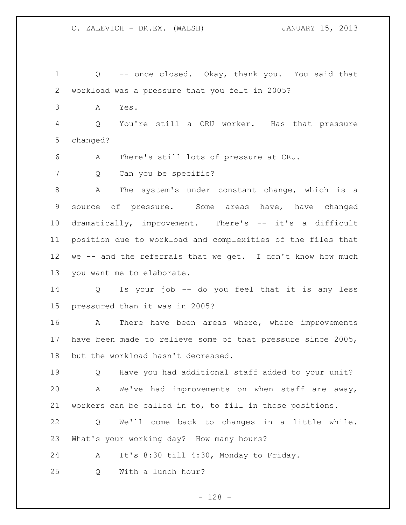Q -- once closed. Okay, thank you. You said that workload was a pressure that you felt in 2005? A Yes. Q You're still a CRU worker. Has that pressure changed? A There's still lots of pressure at CRU. 7 Q Can you be specific? A The system's under constant change, which is a source of pressure. Some areas have, have changed dramatically, improvement. There's -- it's a difficult position due to workload and complexities of the files that 12 we -- and the referrals that we get. I don't know how much you want me to elaborate. Q Is your job -- do you feel that it is any less

pressured than it was in 2005?

 A There have been areas where, where improvements have been made to relieve some of that pressure since 2005, but the workload hasn't decreased.

 Q Have you had additional staff added to your unit? A We've had improvements on when staff are away, workers can be called in to, to fill in those positions.

 Q We'll come back to changes in a little while. What's your working day? How many hours?

A It's 8:30 till 4:30, Monday to Friday.

Q With a lunch hour?

- 128 -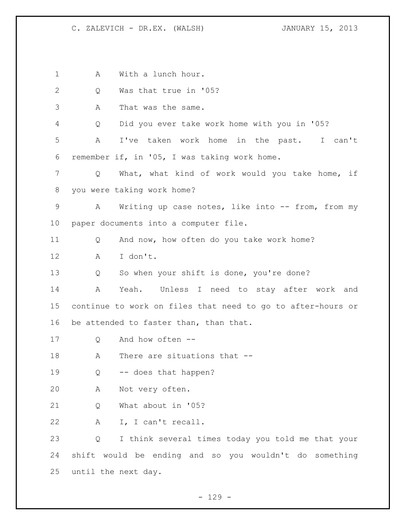A With a lunch hour. Q Was that true in '05? A That was the same. Q Did you ever take work home with you in '05? A I've taken work home in the past. I can't remember if, in '05, I was taking work home. Q What, what kind of work would you take home, if you were taking work home? 9 A Writing up case notes, like into -- from, from my paper documents into a computer file. Q And now, how often do you take work home? A I don't. Q So when your shift is done, you're done? A Yeah. Unless I need to stay after work and continue to work on files that need to go to after-hours or 16 be attended to faster than, than that. Q And how often -- 18 A There are situations that -- Q -- does that happen? A Not very often. Q What about in '05? A I, I can't recall. Q I think several times today you told me that your shift would be ending and so you wouldn't do something until the next day.

 $- 129 -$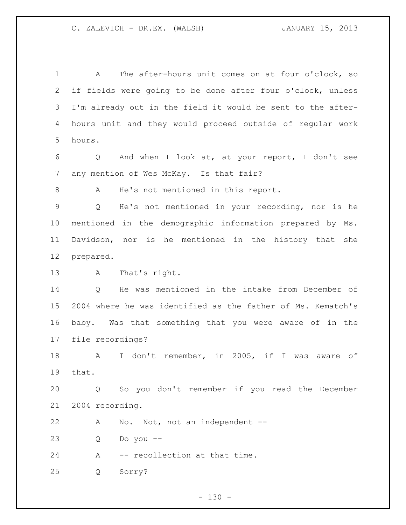A The after-hours unit comes on at four o'clock, so if fields were going to be done after four o'clock, unless I'm already out in the field it would be sent to the after- hours unit and they would proceed outside of regular work hours.

 Q And when I look at, at your report, I don't see any mention of Wes McKay. Is that fair?

A He's not mentioned in this report.

 Q He's not mentioned in your recording, nor is he mentioned in the demographic information prepared by Ms. Davidson, nor is he mentioned in the history that she prepared.

A That's right.

 Q He was mentioned in the intake from December of 2004 where he was identified as the father of Ms. Kematch's baby. Was that something that you were aware of in the file recordings?

 A I don't remember, in 2005, if I was aware of that.

 Q So you don't remember if you read the December 2004 recording.

A No. Not, not an independent --

Q Do you --

A -- recollection at that time.

Q Sorry?

 $- 130 -$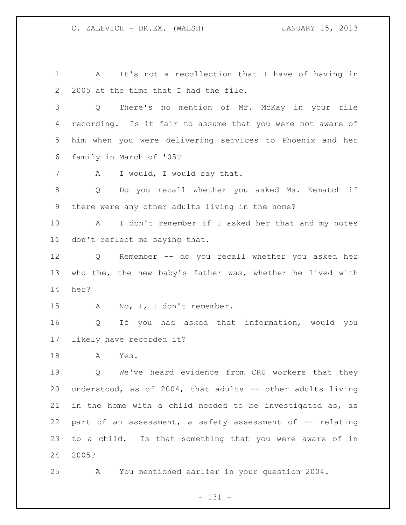A It's not a recollection that I have of having in 2005 at the time that I had the file. Q There's no mention of Mr. McKay in your file recording. Is it fair to assume that you were not aware of him when you were delivering services to Phoenix and her family in March of '05? 7 A I would, I would say that. Q Do you recall whether you asked Ms. Kematch if there were any other adults living in the home? A I don't remember if I asked her that and my notes don't reflect me saying that. Q Remember -- do you recall whether you asked her who the, the new baby's father was, whether he lived with her? 15 A No, I, I don't remember. Q If you had asked that information, would you likely have recorded it? A Yes. Q We've heard evidence from CRU workers that they understood, as of 2004, that adults -- other adults living in the home with a child needed to be investigated as, as 22 part of an assessment, a safety assessment of -- relating to a child. Is that something that you were aware of in 2005? A You mentioned earlier in your question 2004.

- 131 -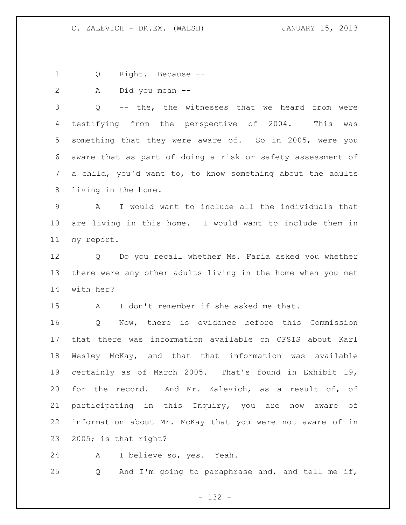Q Right. Because --

A Did you mean --

 Q -- the, the witnesses that we heard from were testifying from the perspective of 2004. This was something that they were aware of. So in 2005, were you aware that as part of doing a risk or safety assessment of a child, you'd want to, to know something about the adults living in the home.

 A I would want to include all the individuals that are living in this home. I would want to include them in my report.

 Q Do you recall whether Ms. Faria asked you whether there were any other adults living in the home when you met with her?

A I don't remember if she asked me that.

 Q Now, there is evidence before this Commission that there was information available on CFSIS about Karl Wesley McKay, and that that information was available certainly as of March 2005. That's found in Exhibit 19, for the record. And Mr. Zalevich, as a result of, of participating in this Inquiry, you are now aware of information about Mr. McKay that you were not aware of in 2005; is that right?

A I believe so, yes. Yeah.

Q And I'm going to paraphrase and, and tell me if,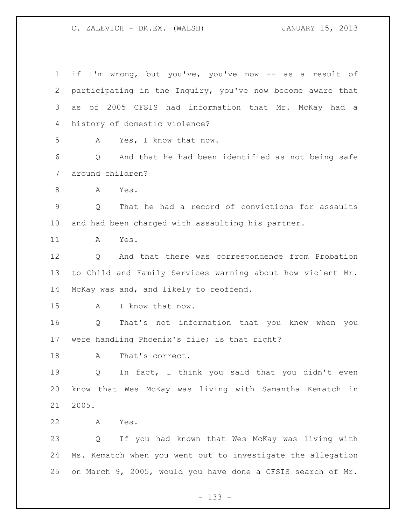if I'm wrong, but you've, you've now -- as a result of participating in the Inquiry, you've now become aware that as of 2005 CFSIS had information that Mr. McKay had a history of domestic violence? A Yes, I know that now. Q And that he had been identified as not being safe around children? A Yes. Q That he had a record of convictions for assaults and had been charged with assaulting his partner. A Yes. Q And that there was correspondence from Probation to Child and Family Services warning about how violent Mr. McKay was and, and likely to reoffend. A I know that now. Q That's not information that you knew when you were handling Phoenix's file; is that right? 18 A That's correct. Q In fact, I think you said that you didn't even know that Wes McKay was living with Samantha Kematch in 2005. A Yes. Q If you had known that Wes McKay was living with Ms. Kematch when you went out to investigate the allegation on March 9, 2005, would you have done a CFSIS search of Mr.

- 133 -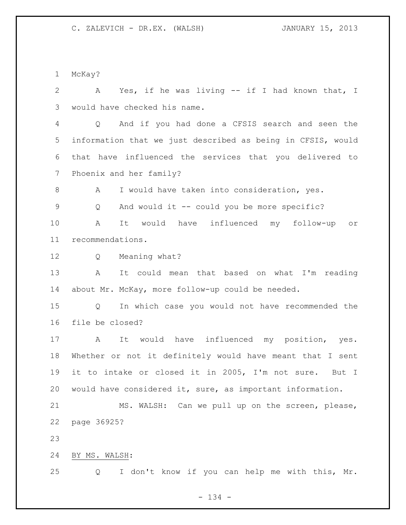McKay?

 A Yes, if he was living -- if I had known that, I would have checked his name. Q And if you had done a CFSIS search and seen the information that we just described as being in CFSIS, would that have influenced the services that you delivered to Phoenix and her family? A I would have taken into consideration, yes. Q And would it -- could you be more specific? A It would have influenced my follow-up or recommendations. Q Meaning what? A It could mean that based on what I'm reading about Mr. McKay, more follow-up could be needed. Q In which case you would not have recommended the file be closed? A It would have influenced my position, yes. Whether or not it definitely would have meant that I sent it to intake or closed it in 2005, I'm not sure. But I would have considered it, sure, as important information. MS. WALSH: Can we pull up on the screen, please, page 36925? BY MS. WALSH: Q I don't know if you can help me with this, Mr.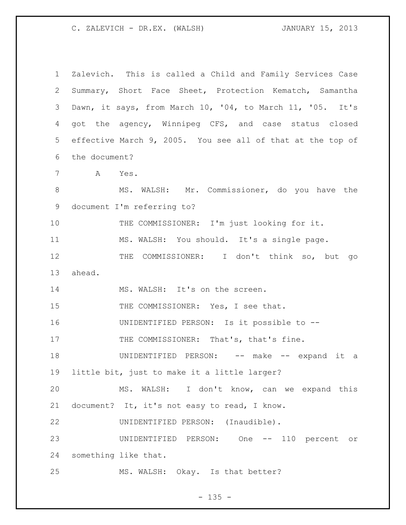| $\mathbf 1$ | Zalevich. This is called a Child and Family Services Case  |
|-------------|------------------------------------------------------------|
| 2           | Summary, Short Face Sheet, Protection Kematch, Samantha    |
| 3           | Dawn, it says, from March 10, '04, to March 11, '05. It's  |
| 4           | got the agency, Winnipeg CFS, and case status closed       |
| 5           | effective March 9, 2005. You see all of that at the top of |
| 6           | the document?                                              |
| 7           | A Yes.                                                     |
| 8           | MS. WALSH: Mr. Commissioner, do you have the               |
| $\mathsf 9$ | document I'm referring to?                                 |
| 10          | THE COMMISSIONER: I'm just looking for it.                 |
| 11          | MS. WALSH: You should. It's a single page.                 |
| 12          | THE COMMISSIONER: I don't think so, but go                 |
| 13          | ahead.                                                     |
| 14          | MS. WALSH: It's on the screen.                             |
| 15          | THE COMMISSIONER: Yes, I see that.                         |
| 16          | UNIDENTIFIED PERSON: Is it possible to --                  |
| 17          | THE COMMISSIONER: That's, that's fine.                     |
| 18          | UNIDENTIFIED PERSON: -- make -- expand it a                |
| 19          | little bit, just to make it a little larger?               |
| 20          | MS. WALSH: I don't know, can we expand this                |
| 21          | document? It, it's not easy to read, I know.               |
| 22          | UNIDENTIFIED PERSON: (Inaudible).                          |
| 23          | UNIDENTIFIED PERSON: One -- 110 percent or                 |
| 24          | something like that.                                       |
| 25          | MS. WALSH: Okay. Is that better?                           |

- 135 -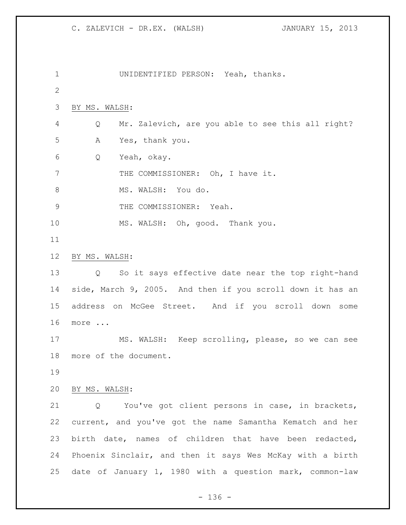UNIDENTIFIED PERSON: Yeah, thanks. BY MS. WALSH: Q Mr. Zalevich, are you able to see this all right? A Yes, thank you. Q Yeah, okay. 7 THE COMMISSIONER: Oh, I have it. 8 MS. WALSH: You do. 9 THE COMMISSIONER: Yeah. MS. WALSH: Oh, good. Thank you. BY MS. WALSH: Q So it says effective date near the top right-hand side, March 9, 2005. And then if you scroll down it has an address on McGee Street. And if you scroll down some more ... MS. WALSH: Keep scrolling, please, so we can see more of the document. BY MS. WALSH: Q You've got client persons in case, in brackets, current, and you've got the name Samantha Kematch and her birth date, names of children that have been redacted, Phoenix Sinclair, and then it says Wes McKay with a birth date of January 1, 1980 with a question mark, common-law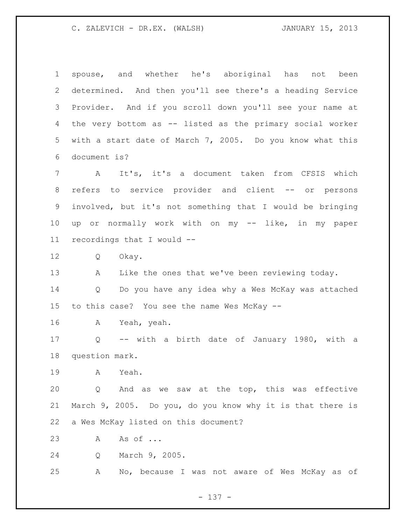spouse, and whether he's aboriginal has not been determined. And then you'll see there's a heading Service Provider. And if you scroll down you'll see your name at the very bottom as -- listed as the primary social worker with a start date of March 7, 2005. Do you know what this document is? A It's, it's a document taken from CFSIS which refers to service provider and client -- or persons involved, but it's not something that I would be bringing up or normally work with on my -- like, in my paper recordings that I would -- Q Okay. A Like the ones that we've been reviewing today. Q Do you have any idea why a Wes McKay was attached to this case? You see the name Wes McKay -- A Yeah, yeah. Q -- with a birth date of January 1980, with a question mark. A Yeah. Q And as we saw at the top, this was effective March 9, 2005. Do you, do you know why it is that there is a Wes McKay listed on this document? A As of ... Q March 9, 2005. A No, because I was not aware of Wes McKay as of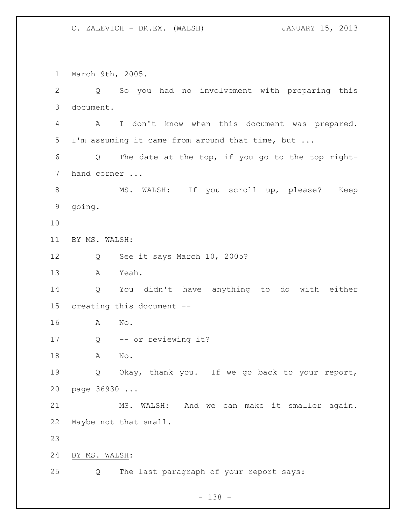March 9th, 2005. Q So you had no involvement with preparing this document. A I don't know when this document was prepared. I'm assuming it came from around that time, but ... Q The date at the top, if you go to the top right- hand corner ... 8 MS. WALSH: If you scroll up, please? Keep going. BY MS. WALSH: Q See it says March 10, 2005? A Yeah. Q You didn't have anything to do with either creating this document -- A No. 17 Q -- or reviewing it? A No. Q Okay, thank you. If we go back to your report, page 36930 ... MS. WALSH: And we can make it smaller again. Maybe not that small. BY MS. WALSH: Q The last paragraph of your report says:

- 138 -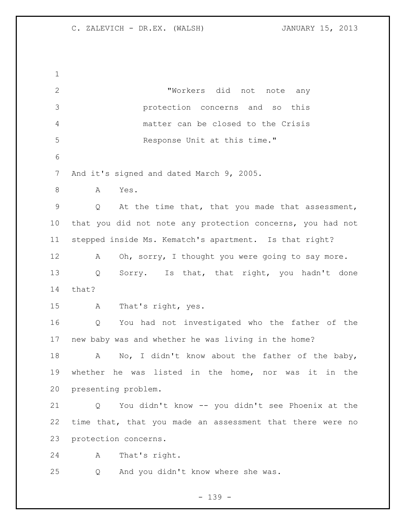| $\mathbf 1$     |                                                            |
|-----------------|------------------------------------------------------------|
| $\mathbf{2}$    | "Workers did not note any                                  |
| 3               | protection concerns and so<br>this                         |
| $\overline{4}$  | matter can be closed to the Crisis                         |
| 5               | Response Unit at this time."                               |
| 6               |                                                            |
| 7               | And it's signed and dated March 9, 2005.                   |
| $8\,$           | Yes.<br>Α                                                  |
| $\mathcal{G}$   | At the time that, that you made that assessment,<br>Q      |
| 10 <sub>o</sub> | that you did not note any protection concerns, you had not |
| 11              | stepped inside Ms. Kematch's apartment. Is that right?     |
| 12              | Oh, sorry, I thought you were going to say more.<br>А      |
| 13              | Sorry. Is that, that right, you hadn't done<br>Q           |
| 14              | that?                                                      |
| 15              | That's right, yes.<br>A                                    |
| 16              | You had not investigated who the father of the<br>Q        |
| 17              | new baby was and whether he was living in the home?        |
| 18              | No, I didn't know about the father of the baby,<br>А       |
| 19              | whether he was listed in the home, nor was<br>it in the    |
| 20              | presenting problem.                                        |
| 21              | You didn't know -- you didn't see Phoenix at the<br>Q      |
| 22              | time that, that you made an assessment that there were no  |
| 23              | protection concerns.                                       |
| 24              | That's right.<br>А                                         |
| 25              | And you didn't know where she was.<br>Q                    |

- 139 -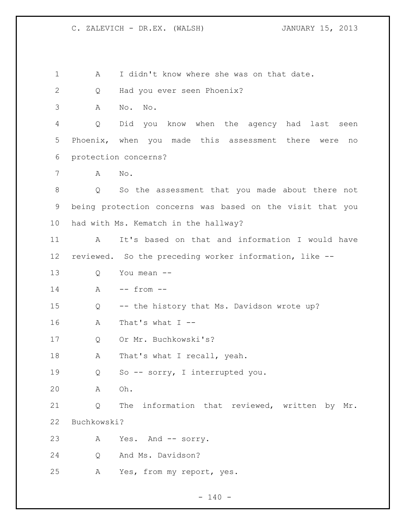1 A I didn't know where she was on that date. Q Had you ever seen Phoenix? A No. No. Q Did you know when the agency had last seen Phoenix, when you made this assessment there were no protection concerns? A No. Q So the assessment that you made about there not being protection concerns was based on the visit that you had with Ms. Kematch in the hallway? A It's based on that and information I would have reviewed. So the preceding worker information, like -- Q You mean -- A -- from -- Q -- the history that Ms. Davidson wrote up? A That's what I -- Q Or Mr. Buchkowski's? 18 A That's what I recall, yeah. Q So -- sorry, I interrupted you. A Oh. Q The information that reviewed, written by Mr. Buchkowski? 23 A Yes. And -- sorry. Q And Ms. Davidson? A Yes, from my report, yes.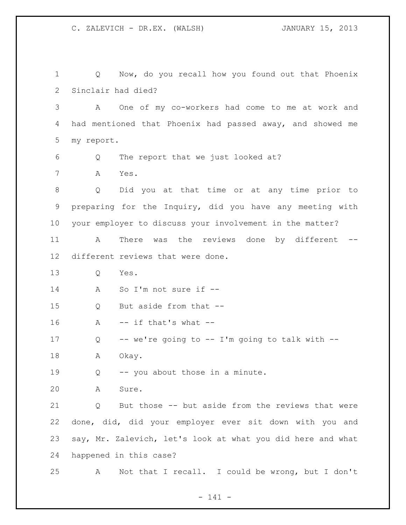Q Now, do you recall how you found out that Phoenix Sinclair had died? A One of my co-workers had come to me at work and had mentioned that Phoenix had passed away, and showed me my report. Q The report that we just looked at? A Yes. Q Did you at that time or at any time prior to preparing for the Inquiry, did you have any meeting with your employer to discuss your involvement in the matter? A There was the reviews done by different -- different reviews that were done. Q Yes. A So I'm not sure if -- Q But aside from that -- A  $-$  if that's what  $-$  Q -- we're going to -- I'm going to talk with -- 18 A Okay. 19 Q -- you about those in a minute. A Sure. Q But those -- but aside from the reviews that were done, did, did your employer ever sit down with you and say, Mr. Zalevich, let's look at what you did here and what happened in this case? A Not that I recall. I could be wrong, but I don't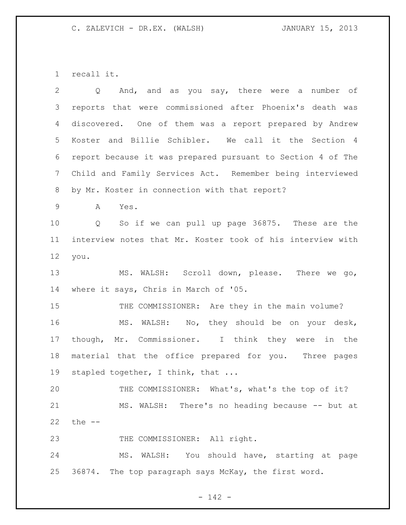recall it.

| $\overline{2}$  | And, and as you say, there were a number of<br>Q                    |
|-----------------|---------------------------------------------------------------------|
| 3               | reports that were commissioned after Phoenix's death was            |
| 4               | discovered. One of them was a report prepared by Andrew             |
| 5               | Koster and Billie Schibler. We call it the Section 4                |
| 6               | report because it was prepared pursuant to Section 4 of The         |
| $7\phantom{.0}$ | Child and Family Services Act. Remember being interviewed           |
| 8               | by Mr. Koster in connection with that report?                       |
| 9               | A<br>Yes.                                                           |
| 10              | So if we can pull up page 36875. These are the<br>$Q \qquad \qquad$ |
| 11              | interview notes that Mr. Koster took of his interview with          |
| 12              | you.                                                                |
| 13              | MS. WALSH: Scroll down, please. There we go,                        |
| 14              | where it says, Chris in March of '05.                               |
| 15              | THE COMMISSIONER: Are they in the main volume?                      |
| 16              | MS. WALSH: No, they should be on your desk,                         |
| 17              | though, Mr. Commissioner. I think they were<br>in the               |
| 18              | material that the office prepared for you. Three pages              |
| 19              | stapled together, I think, that                                     |
| 20              | THE COMMISSIONER: What's, what's the top of it?                     |
| 21              | MS. WALSH: There's no heading because -- but at                     |
| 22              | the $--$                                                            |
| 23              | THE COMMISSIONER: All right.                                        |
| 24              | MS. WALSH: You should have, starting at page                        |
| 25              | 36874. The top paragraph says McKay, the first word.                |

- 142 -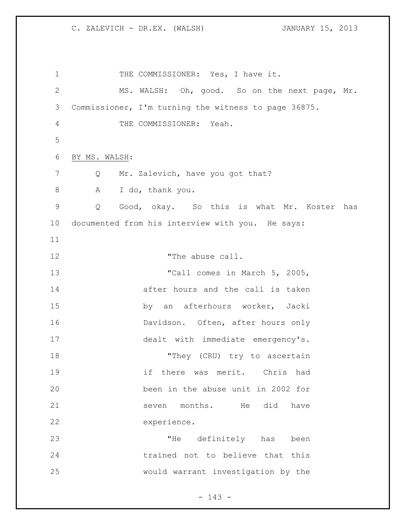1 THE COMMISSIONER: Yes, I have it. MS. WALSH: Oh, good. So on the next page, Mr. Commissioner, I'm turning the witness to page 36875. THE COMMISSIONER: Yeah. BY MS. WALSH: 7 Q Mr. Zalevich, have you got that? A I do, thank you. Q Good, okay. So this is what Mr. Koster has documented from his interview with you. He says: 12 The abuse call. 13 TCall comes in March 5, 2005, **14 after hours** and the call is taken by an afterhours worker, Jacki 16 Davidson. Often, after hours only 17 dealt with immediate emergency's. 18 They (CRU) try to ascertain if there was merit. Chris had been in the abuse unit in 2002 for 21 seven months. He did have experience. "He definitely has been trained not to believe that this would warrant investigation by the

- 143 -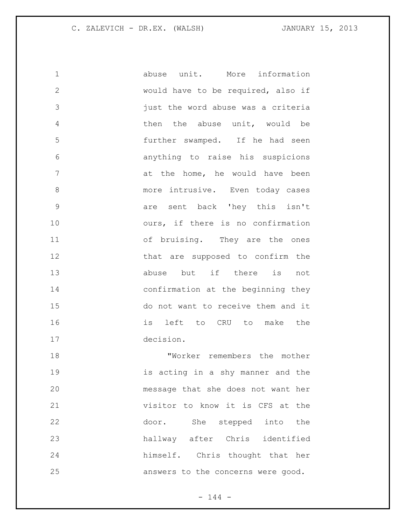abuse unit. More information would have to be required, also if just the word abuse was a criteria then the abuse unit, would be further swamped. If he had seen anything to raise his suspicions 7 at the home, he would have been 8 more intrusive. Even today cases are sent back 'hey this isn't ours, if there is no confirmation of bruising. They are the ones 12 that are supposed to confirm the abuse but if there is not confirmation at the beginning they do not want to receive them and it is left to CRU to make the decision. "Worker remembers the mother

 is acting in a shy manner and the message that she does not want her visitor to know it is CFS at the door. She stepped into the hallway after Chris identified himself. Chris thought that her answers to the concerns were good.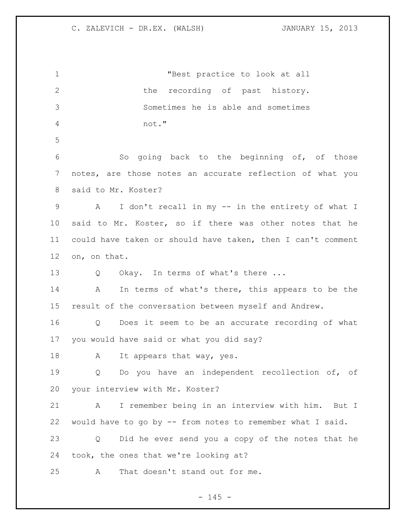"Best practice to look at all 2 the recording of past history. Sometimes he is able and sometimes not." So going back to the beginning of, of those notes, are those notes an accurate reflection of what you said to Mr. Koster? A I don't recall in my -- in the entirety of what I said to Mr. Koster, so if there was other notes that he could have taken or should have taken, then I can't comment on, on that. 13 Q Okay. In terms of what's there ... A In terms of what's there, this appears to be the result of the conversation between myself and Andrew. Q Does it seem to be an accurate recording of what you would have said or what you did say? 18 A It appears that way, yes. Q Do you have an independent recollection of, of your interview with Mr. Koster? A I remember being in an interview with him. But I would have to go by -- from notes to remember what I said. Q Did he ever send you a copy of the notes that he took, the ones that we're looking at? A That doesn't stand out for me.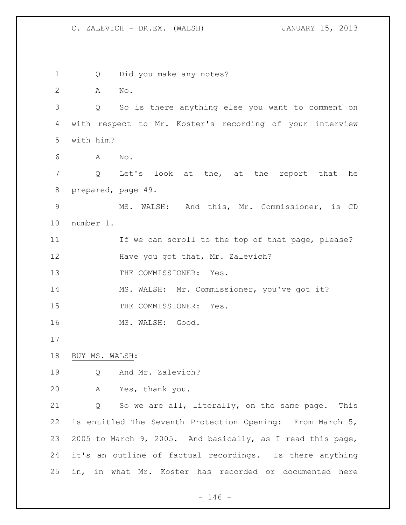Q Did you make any notes? A No. Q So is there anything else you want to comment on with respect to Mr. Koster's recording of your interview with him? A No. Q Let's look at the, at the report that he prepared, page 49. MS. WALSH: And this, Mr. Commissioner, is CD number 1. 11 If we can scroll to the top of that page, please? 12 Have you got that, Mr. Zalevich? 13 THE COMMISSIONER: Yes. MS. WALSH: Mr. Commissioner, you've got it? 15 THE COMMISSIONER: Yes. 16 MS. WALSH: Good. BUY MS. WALSH: Q And Mr. Zalevich? A Yes, thank you. Q So we are all, literally, on the same page. This is entitled The Seventh Protection Opening: From March 5, 2005 to March 9, 2005. And basically, as I read this page, it's an outline of factual recordings. Is there anything in, in what Mr. Koster has recorded or documented here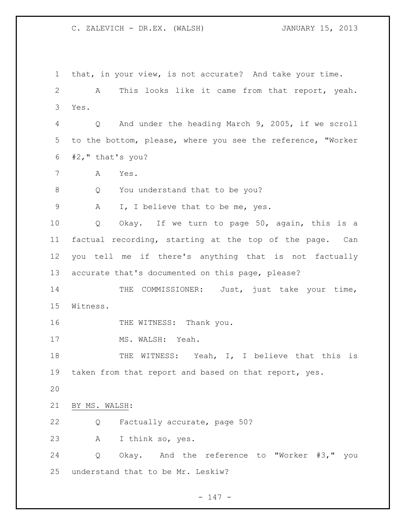that, in your view, is not accurate? And take your time. A This looks like it came from that report, yeah. Yes. Q And under the heading March 9, 2005, if we scroll to the bottom, please, where you see the reference, "Worker #2," that's you? A Yes. 8 Q You understand that to be you? A I, I believe that to be me, yes. Q Okay. If we turn to page 50, again, this is a factual recording, starting at the top of the page. Can you tell me if there's anything that is not factually accurate that's documented on this page, please? 14 THE COMMISSIONER: Just, just take your time, Witness. 16 THE WITNESS: Thank you. 17 MS. WALSH: Yeah. 18 THE WITNESS: Yeah, I, I believe that this is 19 taken from that report and based on that report, yes. BY MS. WALSH: Q Factually accurate, page 50? A I think so, yes. Q Okay. And the reference to "Worker #3," you understand that to be Mr. Leskiw?

 $- 147 -$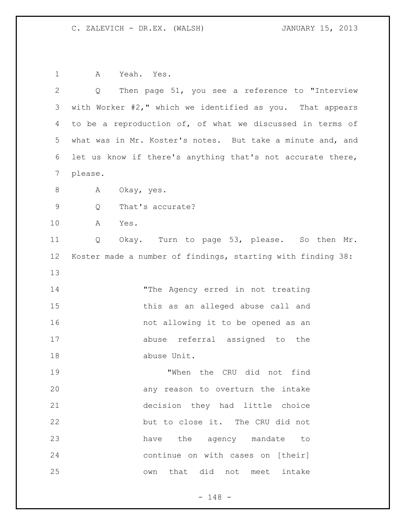A Yeah. Yes.

| $\overline{2}$ | Then page 51, you see a reference to "Interview<br>Q        |
|----------------|-------------------------------------------------------------|
| 3              | with Worker #2," which we identified as you. That appears   |
| 4              | to be a reproduction of, of what we discussed in terms of   |
| 5              | what was in Mr. Koster's notes. But take a minute and, and  |
| 6              | let us know if there's anything that's not accurate there,  |
| $\overline{7}$ | please.                                                     |
| $\,8\,$        | Okay, yes.<br>A                                             |
| $\mathsf 9$    | That's accurate?<br>Q                                       |
| 10             | Α<br>Yes.                                                   |
| 11             | Okay. Turn to page 53, please. So then Mr.<br>Q             |
| 12             | Koster made a number of findings, starting with finding 38: |
| 13             |                                                             |
| 14             | "The Agency erred in not treating                           |
| 15             | this as an alleged abuse call and                           |
| 16             | not allowing it to be opened as an                          |
| 17             | abuse referral assigned to the                              |
| 18             | abuse Unit.                                                 |
| 19             | "When the CRU did not find                                  |
| 20             | any reason to overturn the intake                           |
| 21             | decision they had little choice                             |
| 22             | but to close it. The CRU did not                            |
| 23             | have the agency mandate to                                  |
| 24             | continue on with cases on [their]                           |
| 25             | that did not meet intake<br>own                             |

- 148 -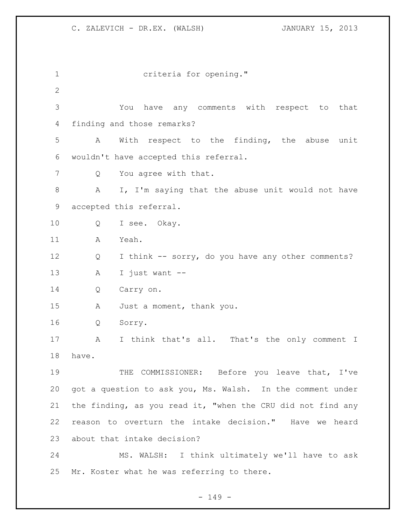| $\mathbf 1$  | criteria for opening."                                      |
|--------------|-------------------------------------------------------------|
| $\mathbf{2}$ |                                                             |
| 3            | have any comments with respect to that<br>You               |
| 4            | finding and those remarks?                                  |
| 5            | With respect to the finding, the abuse unit<br>A            |
| 6            | wouldn't have accepted this referral.                       |
| 7            | You agree with that.<br>Q                                   |
| $\,8\,$      | I, I'm saying that the abuse unit would not have<br>A       |
| 9            | accepted this referral.                                     |
| 10           | I see. Okay.<br>Q                                           |
| 11           | Yeah.<br>A                                                  |
| 12           | I think -- sorry, do you have any other comments?<br>Q      |
| 13           | I just want --<br>Α                                         |
| 14           | Q<br>Carry on.                                              |
| 15           | Just a moment, thank you.<br>A                              |
| 16           | Sorry.<br>Q                                                 |
| 17           | I think that's all. That's the only comment I<br>A          |
| 18           | have.                                                       |
| 19           | THE COMMISSIONER: Before you leave that, I've               |
| 20           | got a question to ask you, Ms. Walsh. In the comment under  |
| 21           | the finding, as you read it, "when the CRU did not find any |
| 22           | reason to overturn the intake decision." Have we heard      |
| 23           | about that intake decision?                                 |
| 24           | MS. WALSH: I think ultimately we'll have to ask             |
| 25           | Mr. Koster what he was referring to there.                  |

- 149 -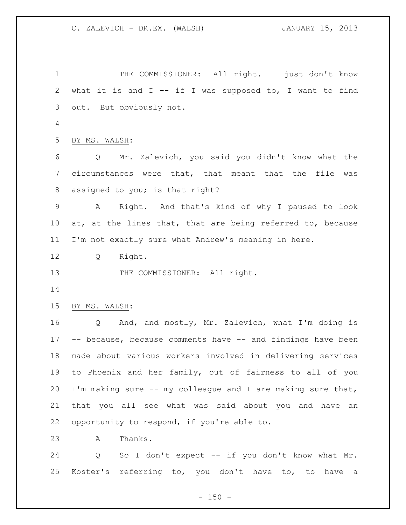1 THE COMMISSIONER: All right. I just don't know what it is and I -- if I was supposed to, I want to find out. But obviously not. BY MS. WALSH: Q Mr. Zalevich, you said you didn't know what the circumstances were that, that meant that the file was assigned to you; is that right? A Right. And that's kind of why I paused to look 10 at, at the lines that, that are being referred to, because I'm not exactly sure what Andrew's meaning in here. Q Right. 13 THE COMMISSIONER: All right. BY MS. WALSH: Q And, and mostly, Mr. Zalevich, what I'm doing is -- because, because comments have -- and findings have been made about various workers involved in delivering services to Phoenix and her family, out of fairness to all of you I'm making sure -- my colleague and I are making sure that, that you all see what was said about you and have an opportunity to respond, if you're able to. A Thanks.

 Q So I don't expect -- if you don't know what Mr. Koster's referring to, you don't have to, to have a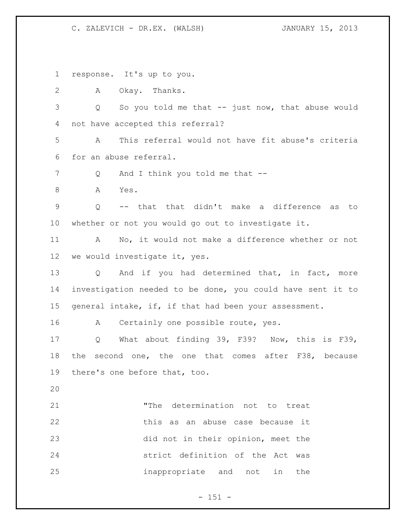response. It's up to you.

A Okay. Thanks.

 Q So you told me that -- just now, that abuse would not have accepted this referral?

 A This referral would not have fit abuse's criteria for an abuse referral.

7 Q And I think you told me that --

A Yes.

 Q -- that that didn't make a difference as to whether or not you would go out to investigate it.

 A No, it would not make a difference whether or not we would investigate it, yes.

13 Q And if you had determined that, in fact, more investigation needed to be done, you could have sent it to 15 general intake, if, if that had been your assessment.

16 A Certainly one possible route, yes.

 Q What about finding 39, F39? Now, this is F39, the second one, the one that comes after F38, because there's one before that, too.

 "The determination not to treat this as an abuse case because it did not in their opinion, meet the strict definition of the Act was inappropriate and not in the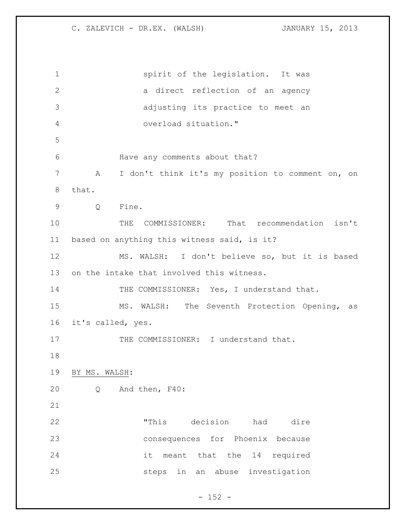spirit of the legislation. It was 2 a direct reflection of an agency adjusting its practice to meet an overload situation." Have any comments about that? A I don't think it's my position to comment on, on that. Q Fine. THE COMMISSIONER: That recommendation isn't based on anything this witness said, is it? MS. WALSH: I don't believe so, but it is based on the intake that involved this witness. 14 THE COMMISSIONER: Yes, I understand that. MS. WALSH: The Seventh Protection Opening, as it's called, yes. 17 THE COMMISSIONER: I understand that. BY MS. WALSH: Q And then, F40: "This decision had dire consequences for Phoenix because it meant that the 14 required steps in an abuse investigation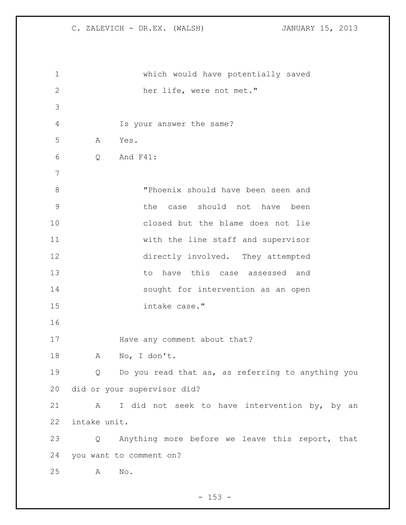which would have potentially saved her life, were not met." Is your answer the same? A Yes. Q And F41: "Phoenix should have been seen and the case should not have been closed but the blame does not lie with the line staff and supervisor directly involved. They attempted to have this case assessed and sought for intervention as an open intake case." **Have any comment about that?**  A No, I don't. Q Do you read that as, as referring to anything you did or your supervisor did? 21 A I did not seek to have intervention by, by an intake unit. Q Anything more before we leave this report, that you want to comment on? A No.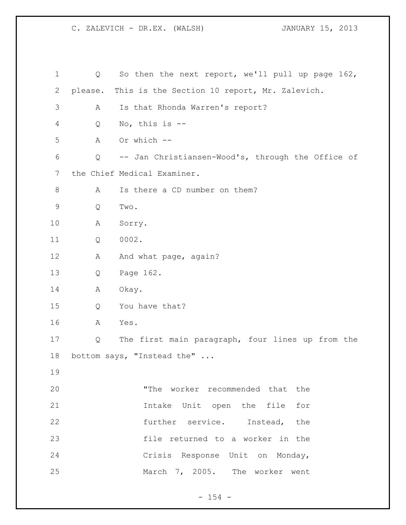| $\mathbf 1$ | Q       | So then the next report, we'll pull up page 162,  |
|-------------|---------|---------------------------------------------------|
| 2           | please. | This is the Section 10 report, Mr. Zalevich.      |
| 3           | А       | Is that Rhonda Warren's report?                   |
| 4           | Q       | No, this is --                                    |
| 5           | Α       | Or which --                                       |
| 6           | Q       | -- Jan Christiansen-Wood's, through the Office of |
| 7           |         | the Chief Medical Examiner.                       |
| 8           | A       | Is there a CD number on them?                     |
| $\mathsf 9$ | Q       | Two.                                              |
| 10          | Α       | Sorry.                                            |
| 11          | Q       | 0002.                                             |
| 12          | Α       | And what page, again?                             |
| 13          | Q       | Page 162.                                         |
| 14          | Α       | Okay.                                             |
| 15          | Q       | You have that?                                    |
| 16          | A       | Yes.                                              |
| 17          | Q       | The first main paragraph, four lines up from the  |
| 18          |         | bottom says, "Instead the"                        |
| 19          |         |                                                   |
| 20          |         | "The worker recommended that the                  |
| 21          |         | Intake Unit open the file for                     |
| 22          |         | further service. Instead, the                     |
| 23          |         | file returned to a worker in the                  |
| 24          |         | Crisis Response Unit on Monday,                   |
| 25          |         | March 7, 2005. The worker went                    |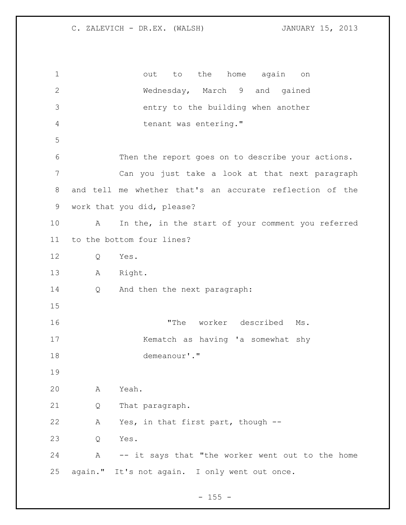1 out to the home again on Wednesday, March 9 and gained entry to the building when another tenant was entering." Then the report goes on to describe your actions. Can you just take a look at that next paragraph and tell me whether that's an accurate reflection of the work that you did, please? A In the, in the start of your comment you referred to the bottom four lines? Q Yes. A Right. Q And then the next paragraph: "The worker described Ms. Kematch as having 'a somewhat shy demeanour'." A Yeah. Q That paragraph. A Yes, in that first part, though -- Q Yes. A -- it says that "the worker went out to the home again." It's not again. I only went out once.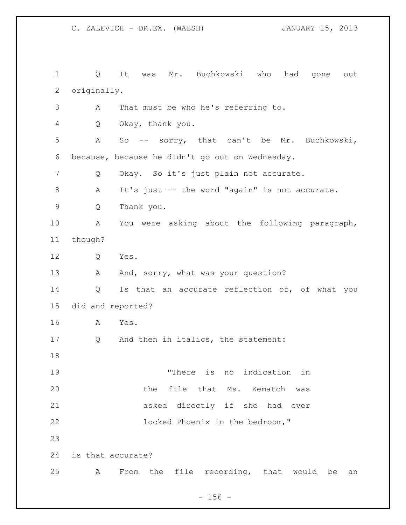Q It was Mr. Buchkowski who had gone out originally. A That must be who he's referring to. Q Okay, thank you. A So -- sorry, that can't be Mr. Buchkowski, because, because he didn't go out on Wednesday. Q Okay. So it's just plain not accurate. A It's just -- the word "again" is not accurate. Q Thank you. A You were asking about the following paragraph, though? Q Yes. 13 A And, sorry, what was your question? 14 Q Is that an accurate reflection of, of what you did and reported? A Yes. Q And then in italics, the statement: "There is no indication in the file that Ms. Kematch was asked directly if she had ever locked Phoenix in the bedroom," is that accurate? A From the file recording, that would be an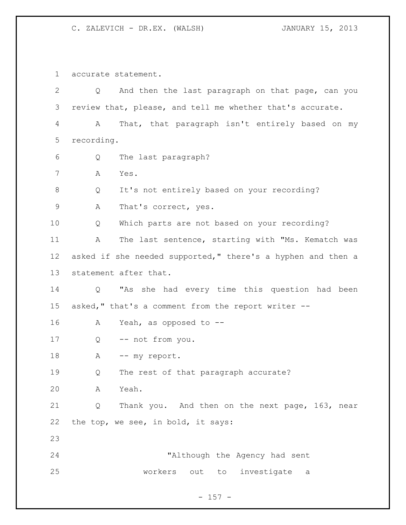accurate statement.

 Q And then the last paragraph on that page, can you review that, please, and tell me whether that's accurate. A That, that paragraph isn't entirely based on my recording. Q The last paragraph? A Yes. Q It's not entirely based on your recording? 9 A That's correct, yes. Q Which parts are not based on your recording? A The last sentence, starting with "Ms. Kematch was 12 asked if she needed supported," there's a hyphen and then a statement after that. Q "As she had every time this question had been asked," that's a comment from the report writer -- A Yeah, as opposed to -- Q -- not from you. 18 A -- my report. Q The rest of that paragraph accurate? A Yeah. Q Thank you. And then on the next page, 163, near the top, we see, in bold, it says: "Although the Agency had sent workers out to investigate a

# - 157 -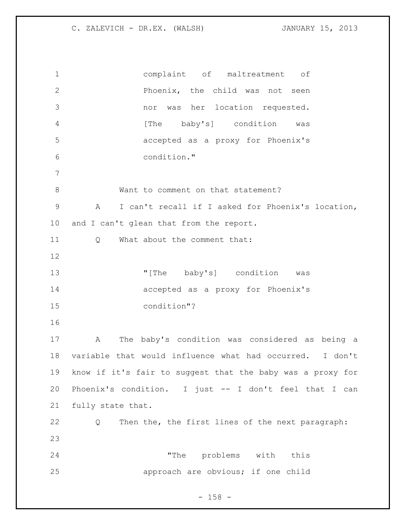complaint of maltreatment of Phoenix, the child was not seen nor was her location requested. 4 [The baby's] condition was accepted as a proxy for Phoenix's condition." 8 Want to comment on that statement? A I can't recall if I asked for Phoenix's location, 10 and I can't glean that from the report. 11 0 What about the comment that: "[The baby's] condition was accepted as a proxy for Phoenix's condition"? A The baby's condition was considered as being a variable that would influence what had occurred. I don't know if it's fair to suggest that the baby was a proxy for Phoenix's condition. I just -- I don't feel that I can fully state that. Q Then the, the first lines of the next paragraph: "The problems with this approach are obvious; if one child

 $- 158 -$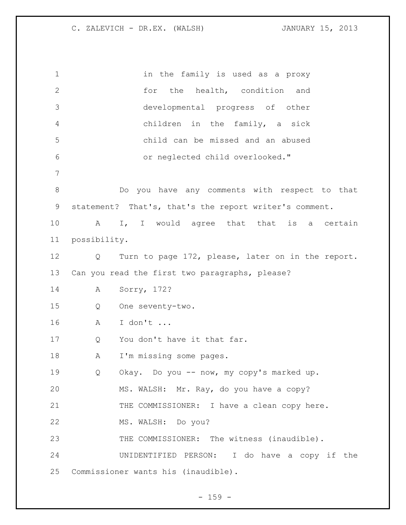in the family is used as a proxy 2 for the health, condition and developmental progress of other children in the family, a sick child can be missed and an abused or neglected child overlooked." Do you have any comments with respect to that statement? That's, that's the report writer's comment. 10 A I, I would agree that that is a certain possibility. Q Turn to page 172, please, later on in the report. Can you read the first two paragraphs, please? A Sorry, 172? Q One seventy-two. A I don't ... 17 Q You don't have it that far. A I'm missing some pages. Q Okay. Do you -- now, my copy's marked up. MS. WALSH: Mr. Ray, do you have a copy? 21 THE COMMISSIONER: I have a clean copy here. MS. WALSH: Do you? THE COMMISSIONER: The witness (inaudible). UNIDENTIFIED PERSON: I do have a copy if the Commissioner wants his (inaudible).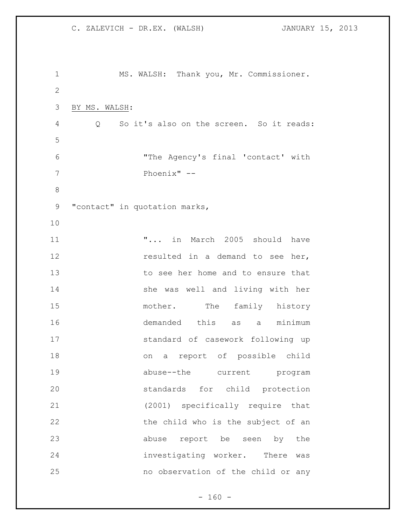MS. WALSH: Thank you, Mr. Commissioner. BY MS. WALSH: Q So it's also on the screen. So it reads: "The Agency's final 'contact' with Phoenix" -- 9 "contact" in quotation marks, **"...** in March 2005 should have **resulted in a demand to see her,**  to see her home and to ensure that she was well and living with her 15 mother. The family history demanded this as a minimum standard of casework following up on a report of possible child abuse--the current program standards for child protection (2001) specifically require that 22 the child who is the subject of an abuse report be seen by the investigating worker. There was no observation of the child or any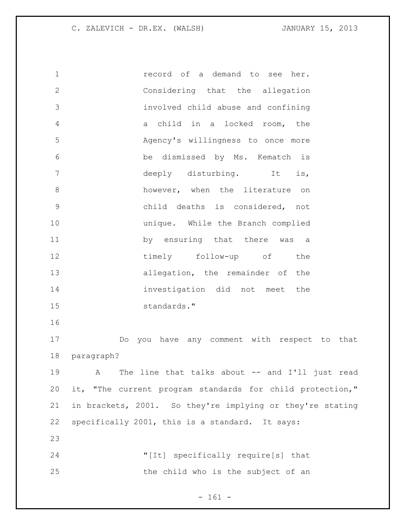record of a demand to see her. Considering that the allegation involved child abuse and confining a child in a locked room, the Agency's willingness to once more be dismissed by Ms. Kematch is 7 deeply disturbing. It is, 8 however, when the literature on child deaths is considered, not unique. While the Branch complied 11 by ensuring that there was a 12 timely follow-up of the 13 allegation, the remainder of the investigation did not meet the standards." Do you have any comment with respect to that paragraph?

 A The line that talks about -- and I'll just read it, "The current program standards for child protection," in brackets, 2001. So they're implying or they're stating specifically 2001, this is a standard. It says: 

 "[It] specifically require[s] that the child who is the subject of an

- 161 -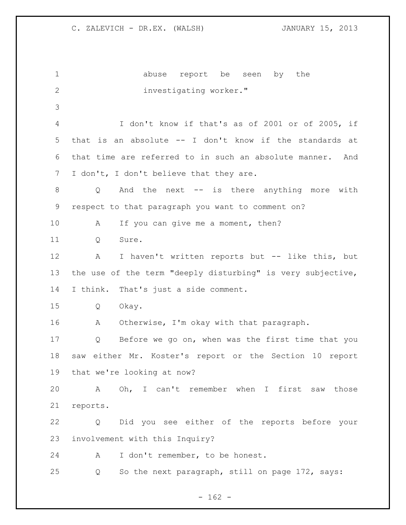| $\mathbf 1$  | abuse report be seen<br>by the                              |
|--------------|-------------------------------------------------------------|
| $\mathbf{2}$ | investigating worker."                                      |
| 3            |                                                             |
| 4            | I don't know if that's as of 2001 or of 2005, if            |
| 5            | that is an absolute -- I don't know if the standards at     |
| 6            | that time are referred to in such an absolute manner. And   |
| 7            | I don't, I don't believe that they are.                     |
| 8            | And the next -- is there anything more with<br>Q            |
| 9            | respect to that paragraph you want to comment on?           |
| 10           | If you can give me a moment, then?<br>А                     |
| 11           | Sure.<br>Q                                                  |
| 12           | I haven't written reports but -- like this, but<br>A        |
| 13           | the use of the term "deeply disturbing" is very subjective, |
| 14           | I think. That's just a side comment.                        |
| 15           | Q<br>Okay.                                                  |
| 16           | Α<br>Otherwise, I'm okay with that paragraph.               |
| 17           | Before we go on, when was the first time that you<br>Q      |
| 18           | saw either Mr. Koster's report or the Section 10<br>report  |
| 19           | that we're looking at now?                                  |
| 20           | A Oh, I can't remember when I first saw<br>those            |
| 21           | reports.                                                    |
| 22           | Did you see either of the reports before your<br>Q          |
| 23           | involvement with this Inquiry?                              |
| 24           | I don't remember, to be honest.<br>A                        |
| 25           | So the next paragraph, still on page 172, says:<br>Q        |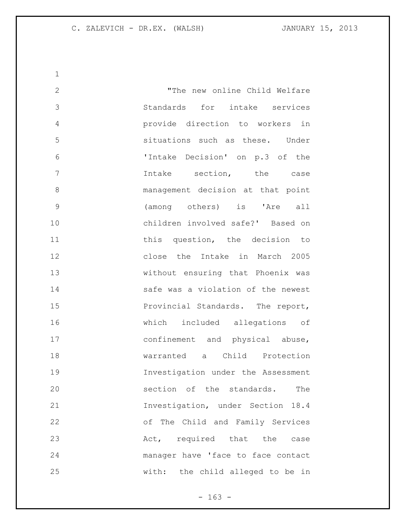"The new online Child Welfare Standards for intake services provide direction to workers in situations such as these. Under 'Intake Decision' on p.3 of the Intake section, the case management decision at that point (among others) is 'Are all children involved safe?' Based on 11 this question, the decision to close the Intake in March 2005 without ensuring that Phoenix was **Safe was a violation of the newest** 15 Provincial Standards. The report, which included allegations of confinement and physical abuse, warranted a Child Protection Investigation under the Assessment section of the standards. The Investigation, under Section 18.4 of The Child and Family Services 23 Act, required that the case manager have 'face to face contact with: the child alleged to be in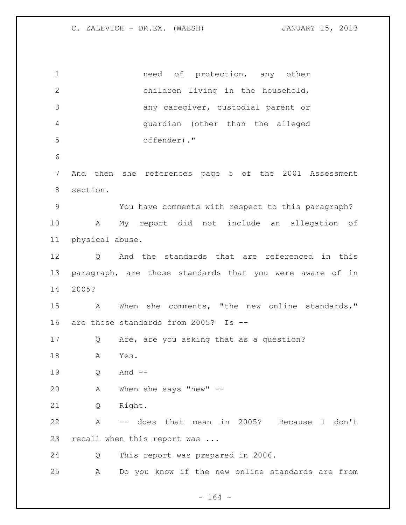1 need of protection, any other children living in the household, any caregiver, custodial parent or guardian (other than the alleged offender)." And then she references page 5 of the 2001 Assessment section. You have comments with respect to this paragraph? A My report did not include an allegation of physical abuse. Q And the standards that are referenced in this paragraph, are those standards that you were aware of in 2005? A When she comments, "the new online standards," are those standards from 2005? Is -- Q Are, are you asking that as a question? A Yes. Q And -- A When she says "new" -- Q Right. A -- does that mean in 2005? Because I don't 23 recall when this report was ... Q This report was prepared in 2006. A Do you know if the new online standards are from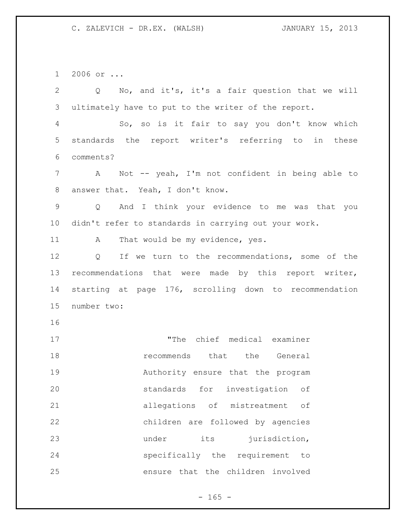2006 or ...

 Q No, and it's, it's a fair question that we will ultimately have to put to the writer of the report.

 So, so is it fair to say you don't know which standards the report writer's referring to in these comments?

 A Not -- yeah, I'm not confident in being able to answer that. Yeah, I don't know.

 Q And I think your evidence to me was that you didn't refer to standards in carrying out your work.

11 A That would be my evidence, yes.

 Q If we turn to the recommendations, some of the recommendations that were made by this report writer, starting at page 176, scrolling down to recommendation number two:

17 The chief medical examiner recommends that the General Authority ensure that the program standards for investigation of allegations of mistreatment of children are followed by agencies 23 under its jurisdiction, specifically the requirement to ensure that the children involved

 $- 165 -$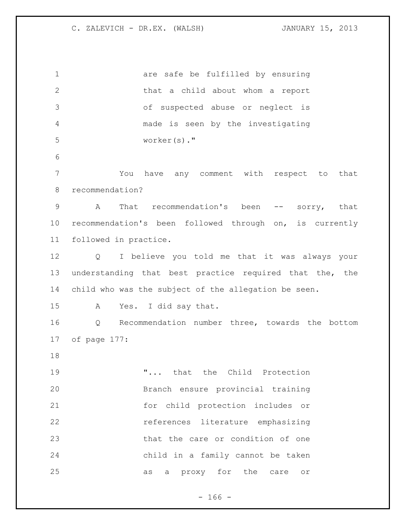are safe be fulfilled by ensuring that a child about whom a report of suspected abuse or neglect is made is seen by the investigating worker(s)." You have any comment with respect to that recommendation? A That recommendation's been -- sorry, that recommendation's been followed through on, is currently followed in practice. Q I believe you told me that it was always your understanding that best practice required that the, the child who was the subject of the allegation be seen. A Yes. I did say that. Q Recommendation number three, towards the bottom of page 177: 19 T... that the Child Protection Branch ensure provincial training for child protection includes or references literature emphasizing that the care or condition of one child in a family cannot be taken as a proxy for the care or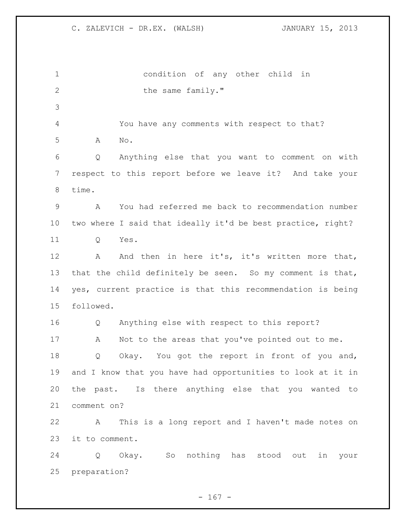condition of any other child in 2 the same family." You have any comments with respect to that? A No. Q Anything else that you want to comment on with respect to this report before we leave it? And take your time. A You had referred me back to recommendation number two where I said that ideally it'd be best practice, right? Q Yes. 12 A And then in here it's, it's written more that, that the child definitely be seen. So my comment is that, yes, current practice is that this recommendation is being followed. Q Anything else with respect to this report? 17 A Not to the areas that you've pointed out to me. Q Okay. You got the report in front of you and, and I know that you have had opportunities to look at it in the past. Is there anything else that you wanted to comment on? A This is a long report and I haven't made notes on it to comment. Q Okay. So nothing has stood out in your preparation?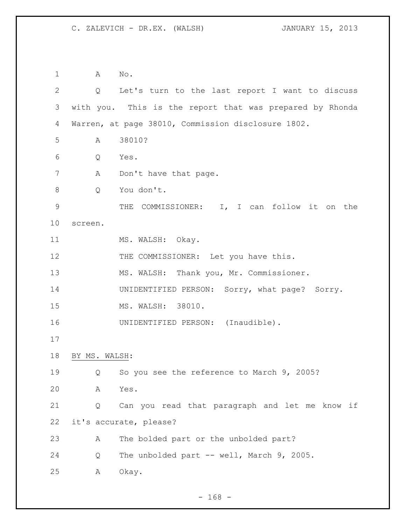A No. Q Let's turn to the last report I want to discuss with you. This is the report that was prepared by Rhonda Warren, at page 38010, Commission disclosure 1802. A 38010? Q Yes. 7 A Don't have that page. Q You don't. THE COMMISSIONER: I, I can follow it on the screen. 11 MS. WALSH: Okay. 12 THE COMMISSIONER: Let you have this. MS. WALSH: Thank you, Mr. Commissioner. UNIDENTIFIED PERSON: Sorry, what page? Sorry. MS. WALSH: 38010. 16 UNIDENTIFIED PERSON: (Inaudible). BY MS. WALSH: Q So you see the reference to March 9, 2005? A Yes. Q Can you read that paragraph and let me know if it's accurate, please? A The bolded part or the unbolded part? 24 Q The unbolded part -- well, March 9, 2005. A Okay.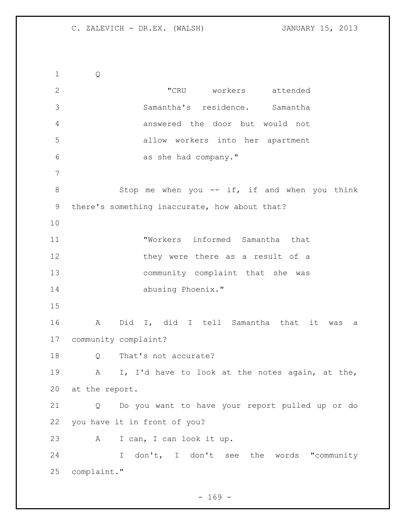Q "CRU workers attended Samantha's residence. Samantha answered the door but would not allow workers into her apartment as she had company." 8 Stop me when you -- if, if and when you think there's something inaccurate, how about that? "Workers informed Samantha that 12 they were there as a result of a community complaint that she was abusing Phoenix." A Did I, did I tell Samantha that it was a community complaint? 18 Q That's not accurate? A I, I'd have to look at the notes again, at the, at the report. Q Do you want to have your report pulled up or do you have it in front of you? A I can, I can look it up. I don't, I don't see the words "community complaint."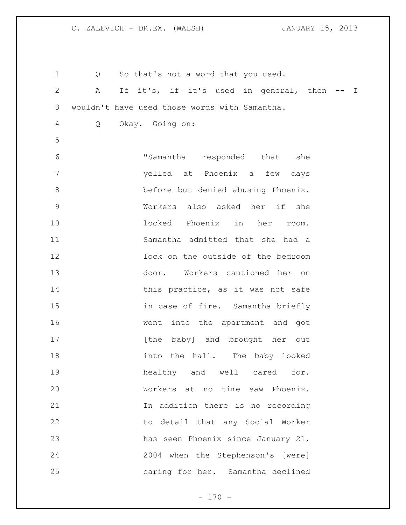| $\mathbf 1$    | Q | So that's not a word that you used.           |
|----------------|---|-----------------------------------------------|
| $\mathbf{2}$   | A | If it's, if it's used in general, then -- I   |
| 3              |   | wouldn't have used those words with Samantha. |
| $\overline{4}$ | Q | Okay. Going on:                               |
| 5              |   |                                               |
| 6              |   | "Samantha responded that she                  |
| $7\phantom{.}$ |   | yelled at Phoenix a few days                  |
| $\,8\,$        |   | before but denied abusing Phoenix.            |
| $\mathsf 9$    |   | Workers also asked her if she                 |
| 10             |   | locked Phoenix in her<br>room.                |
| 11             |   | Samantha admitted that she had a              |
| 12             |   | lock on the outside of the bedroom            |
| 13             |   | door. Workers cautioned her on                |
| 14             |   | this practice, as it was not safe             |
| 15             |   | in case of fire. Samantha briefly             |
| 16             |   | went into the apartment and got               |
| 17             |   | [the baby] and brought her out                |
| 18             |   | into the hall. The baby looked                |
| 19             |   | healthy and well cared for.                   |
| 20             |   | Workers at no time saw Phoenix.               |
| 21             |   | In addition there is no recording             |
| 22             |   | to detail that any Social Worker              |
| 23             |   | has seen Phoenix since January 21,            |
| 24             |   | 2004 when the Stephenson's [were]             |
| 25             |   | caring for her. Samantha declined             |

- 170 -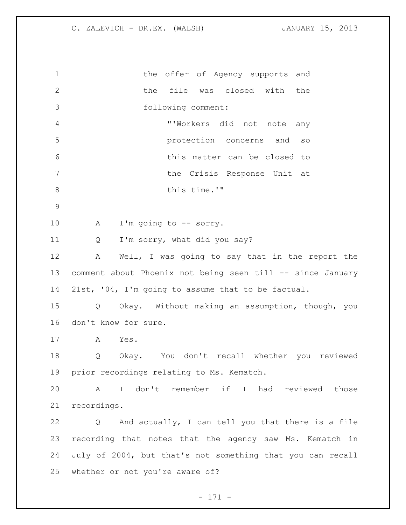| $\mathbf 1$     | the offer of Agency supports and                           |
|-----------------|------------------------------------------------------------|
| 2               | the file was closed with the                               |
| 3               | following comment:                                         |
| $\overline{4}$  | "'Workers did not note any                                 |
| 5               | protection concerns and so                                 |
| 6               | this matter can be closed to                               |
| $7\phantom{.0}$ | the Crisis Response Unit at                                |
| $\,8\,$         | this time.'"                                               |
| $\mathcal{G}$   |                                                            |
| 10              | A<br>I'm going to -- sorry.                                |
| 11              | I'm sorry, what did you say?<br>Q                          |
| 12              | Well, I was going to say that in the report the<br>Α       |
| 13              | comment about Phoenix not being seen till -- since January |
| 14              | 21st, '04, I'm going to assume that to be factual.         |
| 15              | Okay. Without making an assumption, though, you<br>Q       |
| 16              | don't know for sure.                                       |
| 17              | Yes.<br>A                                                  |
| 18              | Okay. You don't recall whether you reviewed<br>Q           |
|                 | 19 prior recordings relating to Ms. Kematch.               |
| 20              | I don't remember if I had reviewed those<br>A              |
| 21              | recordings.                                                |
| 22              | And actually, I can tell you that there is a file<br>Q     |
| 23              | recording that notes that the agency saw Ms. Kematch in    |
| 24              | July of 2004, but that's not something that you can recall |
| 25              | whether or not you're aware of?                            |
|                 |                                                            |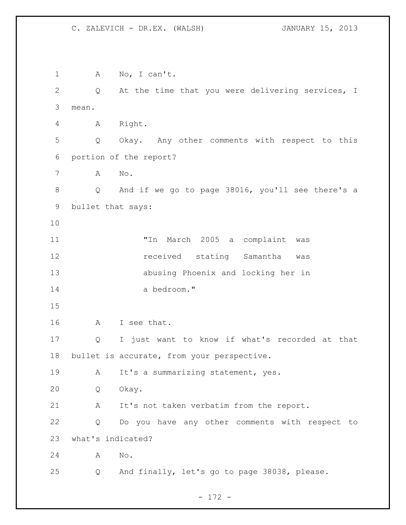A No, I can't. Q At the time that you were delivering services, I mean. A Right. Q Okay. Any other comments with respect to this portion of the report? A No. Q And if we go to page 38016, you'll see there's a bullet that says: "In March 2005 a complaint was **12** received stating Samantha was abusing Phoenix and locking her in a bedroom." A I see that. Q I just want to know if what's recorded at that bullet is accurate, from your perspective. 19 A It's a summarizing statement, yes. Q Okay. A It's not taken verbatim from the report. Q Do you have any other comments with respect to what's indicated? A No. Q And finally, let's go to page 38038, please.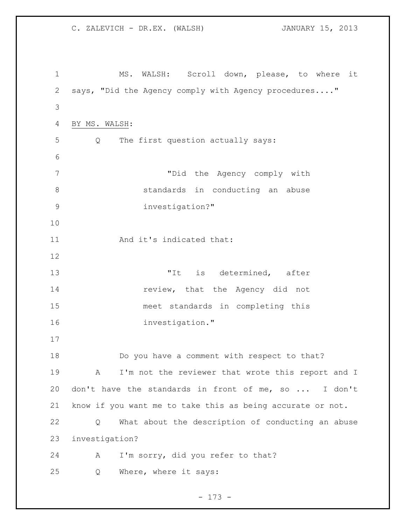C. ZALEVICH - DR.EX. (WALSH) JANUARY 15, 2013 MS. WALSH: Scroll down, please, to where it says, "Did the Agency comply with Agency procedures...." BY MS. WALSH: Q The first question actually says: "Did the Agency comply with standards in conducting an abuse investigation?" 11 And it's indicated that: 13 The Text of the Mater of the Mater of the Mater of the Mater of the Mater of the Mater of the Mater of the Ma **review**, that the Agency did not meet standards in completing this investigation." Do you have a comment with respect to that? A I'm not the reviewer that wrote this report and I don't have the standards in front of me, so ... I don't know if you want me to take this as being accurate or not. Q What about the description of conducting an abuse investigation? A I'm sorry, did you refer to that? Q Where, where it says: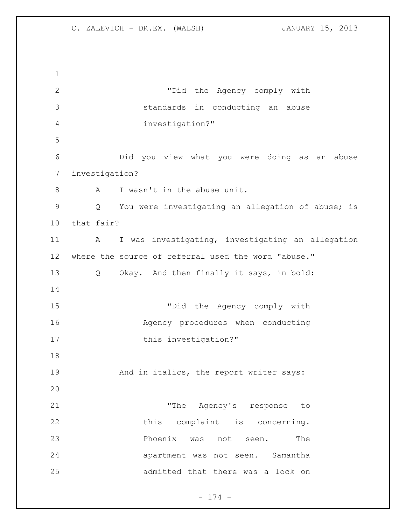"Did the Agency comply with standards in conducting an abuse investigation?" Did you view what you were doing as an abuse investigation? 8 A I wasn't in the abuse unit. Q You were investigating an allegation of abuse; is that fair? 11 A I was investigating, investigating an allegation where the source of referral used the word "abuse." Q Okay. And then finally it says, in bold: "Did the Agency comply with Agency procedures when conducting 17 this investigation?" 19 And in italics, the report writer says: 21 The Agency's response to 22 this complaint is concerning. **Phoenix** was not seen. The apartment was not seen. Samantha admitted that there was a lock on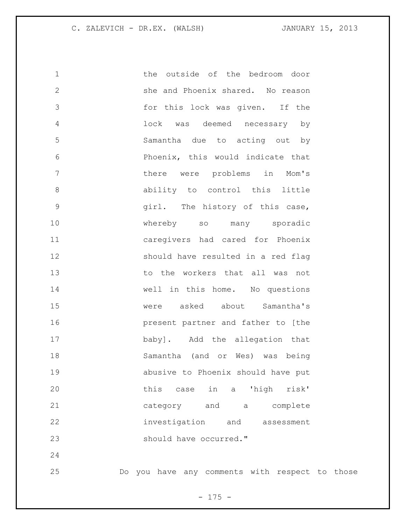the outside of the bedroom door she and Phoenix shared. No reason for this lock was given. If the lock was deemed necessary by Samantha due to acting out by Phoenix, this would indicate that there were problems in Mom's 8 ability to control this little girl. The history of this case, whereby so many sporadic caregivers had cared for Phoenix should have resulted in a red flag to the workers that all was not well in this home. No questions were asked about Samantha's present partner and father to [the baby]. Add the allegation that Samantha (and or Wes) was being abusive to Phoenix should have put this case in a 'high risk' category and a complete investigation and assessment 23 should have occurred." 

Do you have any comments with respect to those

- 175 -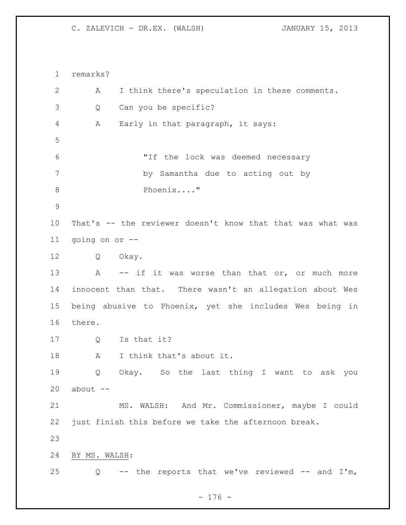remarks? A I think there's speculation in these comments. Q Can you be specific? A Early in that paragraph, it says: "If the lock was deemed necessary by Samantha due to acting out by 8 Phoenix...." That's -- the reviewer doesn't know that that was what was going on or -- Q Okay. 13 A -- if it was worse than that or, or much more innocent than that. There wasn't an allegation about Wes being abusive to Phoenix, yet she includes Wes being in there. Q Is that it? A I think that's about it. Q Okay. So the last thing I want to ask you about  $-$  MS. WALSH: And Mr. Commissioner, maybe I could just finish this before we take the afternoon break. BY MS. WALSH: Q -- the reports that we've reviewed -- and I'm,

- 176 -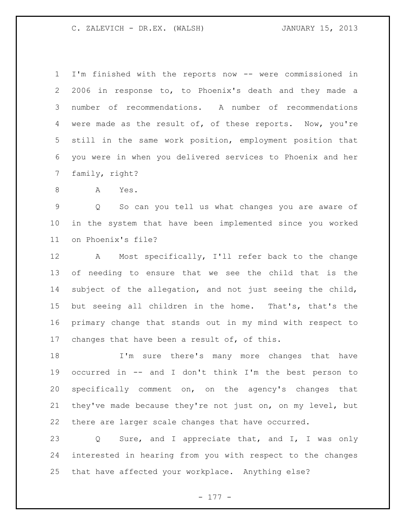I'm finished with the reports now -- were commissioned in 2006 in response to, to Phoenix's death and they made a number of recommendations. A number of recommendations were made as the result of, of these reports. Now, you're still in the same work position, employment position that you were in when you delivered services to Phoenix and her family, right?

A Yes.

 Q So can you tell us what changes you are aware of in the system that have been implemented since you worked on Phoenix's file?

 A Most specifically, I'll refer back to the change of needing to ensure that we see the child that is the subject of the allegation, and not just seeing the child, but seeing all children in the home. That's, that's the primary change that stands out in my mind with respect to changes that have been a result of, of this.

 I'm sure there's many more changes that have occurred in -- and I don't think I'm the best person to specifically comment on, on the agency's changes that they've made because they're not just on, on my level, but there are larger scale changes that have occurred.

 Q Sure, and I appreciate that, and I, I was only interested in hearing from you with respect to the changes that have affected your workplace. Anything else?

- 177 -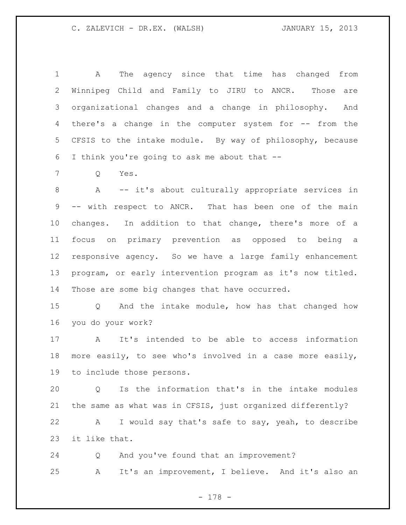A The agency since that time has changed from Winnipeg Child and Family to JIRU to ANCR. Those are organizational changes and a change in philosophy. And there's a change in the computer system for -- from the CFSIS to the intake module. By way of philosophy, because I think you're going to ask me about that --

Q Yes.

 A -- it's about culturally appropriate services in -- with respect to ANCR. That has been one of the main changes. In addition to that change, there's more of a focus on primary prevention as opposed to being a responsive agency. So we have a large family enhancement program, or early intervention program as it's now titled. Those are some big changes that have occurred.

 Q And the intake module, how has that changed how you do your work?

 A It's intended to be able to access information more easily, to see who's involved in a case more easily, to include those persons.

 Q Is the information that's in the intake modules the same as what was in CFSIS, just organized differently?

 A I would say that's safe to say, yeah, to describe it like that.

 Q And you've found that an improvement? A It's an improvement, I believe. And it's also an

- 178 -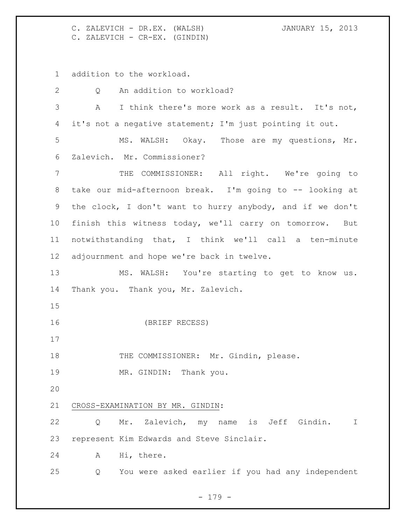C. ZALEVICH - DR.EX. (WALSH) JANUARY 15, 2013 C. ZALEVICH - CR-EX. (GINDIN)

addition to the workload.

 Q An addition to workload? A I think there's more work as a result. It's not, it's not a negative statement; I'm just pointing it out. MS. WALSH: Okay. Those are my questions, Mr. Zalevich. Mr. Commissioner? THE COMMISSIONER: All right. We're going to take our mid-afternoon break. I'm going to -- looking at the clock, I don't want to hurry anybody, and if we don't finish this witness today, we'll carry on tomorrow. But notwithstanding that, I think we'll call a ten-minute adjournment and hope we're back in twelve. MS. WALSH: You're starting to get to know us. Thank you. Thank you, Mr. Zalevich. (BRIEF RECESS) 18 THE COMMISSIONER: Mr. Gindin, please. 19 MR. GINDIN: Thank you. CROSS-EXAMINATION BY MR. GINDIN: Q Mr. Zalevich, my name is Jeff Gindin. I represent Kim Edwards and Steve Sinclair. A Hi, there. Q You were asked earlier if you had any independent

- 179 -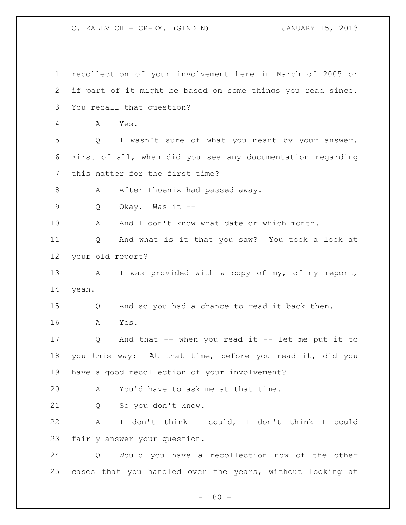recollection of your involvement here in March of 2005 or if part of it might be based on some things you read since. You recall that question? A Yes. Q I wasn't sure of what you meant by your answer. First of all, when did you see any documentation regarding this matter for the first time? 8 A After Phoenix had passed away. Q Okay. Was it -- A And I don't know what date or which month. Q And what is it that you saw? You took a look at your old report? 13 A I was provided with a copy of my, of my report, yeah. Q And so you had a chance to read it back then. A Yes. Q And that -- when you read it -- let me put it to you this way: At that time, before you read it, did you have a good recollection of your involvement? A You'd have to ask me at that time. Q So you don't know. A I don't think I could, I don't think I could fairly answer your question. Q Would you have a recollection now of the other cases that you handled over the years, without looking at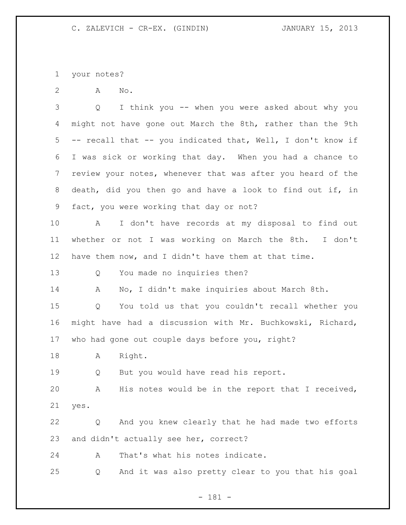your notes?

A No.

 Q I think you -- when you were asked about why you 4 might not have gone out March the 8th, rather than the 9th -- recall that -- you indicated that, Well, I don't know if I was sick or working that day. When you had a chance to review your notes, whenever that was after you heard of the death, did you then go and have a look to find out if, in fact, you were working that day or not?

 A I don't have records at my disposal to find out whether or not I was working on March the 8th. I don't have them now, and I didn't have them at that time.

Q You made no inquiries then?

A No, I didn't make inquiries about March 8th.

 Q You told us that you couldn't recall whether you might have had a discussion with Mr. Buchkowski, Richard, who had gone out couple days before you, right?

A Right.

Q But you would have read his report.

 A His notes would be in the report that I received, yes.

 Q And you knew clearly that he had made two efforts and didn't actually see her, correct?

A That's what his notes indicate.

Q And it was also pretty clear to you that his goal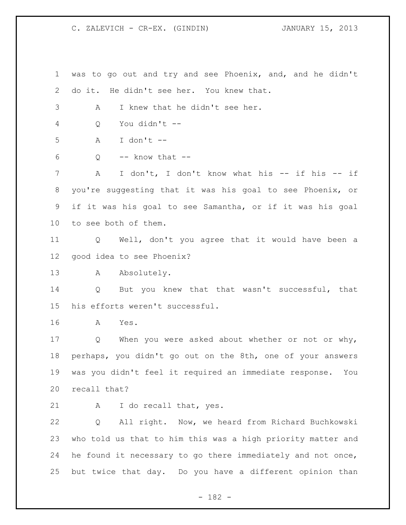was to go out and try and see Phoenix, and, and he didn't do it. He didn't see her. You knew that. A I knew that he didn't see her. Q You didn't -- A I don't -- Q  $-$  know that  $-$  A I don't, I don't know what his -- if his -- if you're suggesting that it was his goal to see Phoenix, or if it was his goal to see Samantha, or if it was his goal to see both of them. Q Well, don't you agree that it would have been a good idea to see Phoenix? 13 A Absolutely. Q But you knew that that wasn't successful, that his efforts weren't successful. A Yes. Q When you were asked about whether or not or why, perhaps, you didn't go out on the 8th, one of your answers was you didn't feel it required an immediate response. You recall that? A I do recall that, yes. Q All right. Now, we heard from Richard Buchkowski who told us that to him this was a high priority matter and he found it necessary to go there immediately and not once, but twice that day. Do you have a different opinion than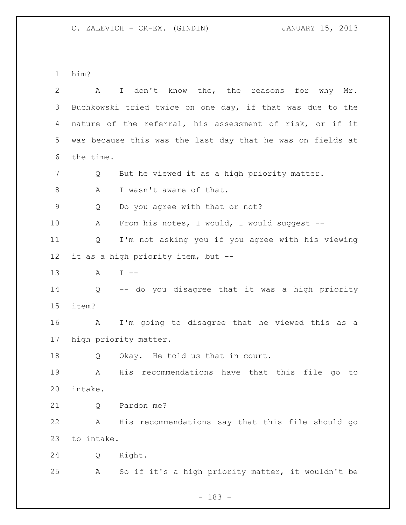him?

| $\overline{2}$ | A                 | I don't know the, the reasons for why Mr.                  |
|----------------|-------------------|------------------------------------------------------------|
| 3              |                   | Buchkowski tried twice on one day, if that was due to the  |
| 4              |                   | nature of the referral, his assessment of risk, or if it   |
| 5              |                   | was because this was the last day that he was on fields at |
| 6              | the time.         |                                                            |
| 7              | Q                 | But he viewed it as a high priority matter.                |
| 8              | A                 | I wasn't aware of that.                                    |
| $\mathsf 9$    | Q                 | Do you agree with that or not?                             |
| 10             | А                 | From his notes, I would, I would suggest --                |
| 11             | Q                 | I'm not asking you if you agree with his viewing           |
| 12             |                   | it as a high priority item, but --                         |
| 13             | A                 | $I$ $-$                                                    |
| 14             | $Q \qquad \qquad$ | -- do you disagree that it was a high priority             |
| 15             | item?             |                                                            |
| 16             | A                 | I'm going to disagree that he viewed this as a             |
| 17             |                   | high priority matter.                                      |
| 18             | Q                 | Okay. He told us that in court.                            |
| 19             | A                 | His recommendations have that this file go to              |
| 20             | intake.           |                                                            |
| 21             | Q                 | Pardon me?                                                 |
| 22             | Α                 | His recommendations say that this file should go           |
| 23             | to intake.        |                                                            |
| 24             | Q                 | Right.                                                     |
| 25             | Α                 | So if it's a high priority matter, it wouldn't be          |

- 183 -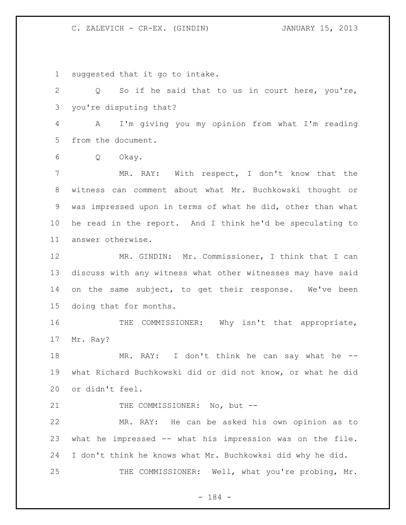suggested that it go to intake.

 Q So if he said that to us in court here, you're, you're disputing that?

 A I'm giving you my opinion from what I'm reading from the document.

Q Okay.

 MR. RAY: With respect, I don't know that the witness can comment about what Mr. Buchkowski thought or was impressed upon in terms of what he did, other than what he read in the report. And I think he'd be speculating to answer otherwise.

 MR. GINDIN: Mr. Commissioner, I think that I can discuss with any witness what other witnesses may have said on the same subject, to get their response. We've been doing that for months.

16 THE COMMISSIONER: Why isn't that appropriate, Mr. Ray?

18 MR. RAY: I don't think he can say what he -- what Richard Buchkowski did or did not know, or what he did or didn't feel.

21 THE COMMISSIONER: No, but --

 MR. RAY: He can be asked his own opinion as to what he impressed -- what his impression was on the file. I don't think he knows what Mr. Buchkowksi did why he did. 25 THE COMMISSIONER: Well, what you're probing, Mr.

- 184 -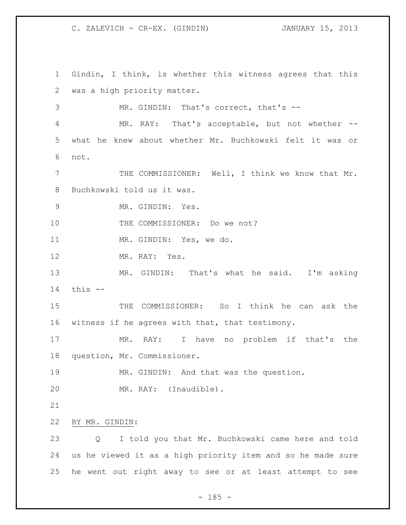Gindin, I think, is whether this witness agrees that this was a high priority matter. MR. GINDIN: That's correct, that's -- MR. RAY: That's acceptable, but not whether -- what he knew about whether Mr. Buchkowski felt it was or not. THE COMMISSIONER: Well, I think we know that Mr. Buchkowski told us it was. MR. GINDIN: Yes. 10 THE COMMISSIONER: Do we not? MR. GINDIN: Yes, we do. MR. RAY: Yes. MR. GINDIN: That's what he said. I'm asking this -- THE COMMISSIONER: So I think he can ask the witness if he agrees with that, that testimony. MR. RAY: I have no problem if that's the question, Mr. Commissioner. MR. GINDIN: And that was the question. 20 MR. RAY: (Inaudible). BY MR. GINDIN: Q I told you that Mr. Buchkowski came here and told us he viewed it as a high priority item and so he made sure he went out right away to see or at least attempt to see

 $- 185 -$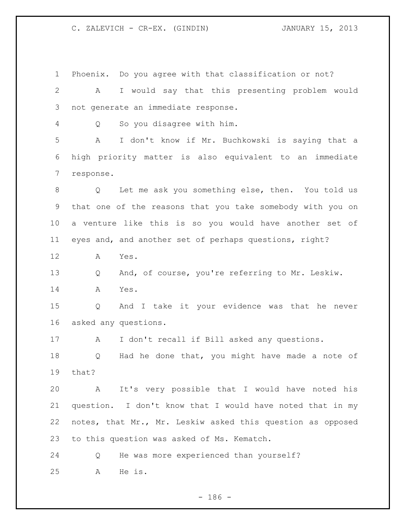Phoenix. Do you agree with that classification or not? A I would say that this presenting problem would not generate an immediate response. Q So you disagree with him. A I don't know if Mr. Buchkowski is saying that a high priority matter is also equivalent to an immediate response. Q Let me ask you something else, then. You told us that one of the reasons that you take somebody with you on a venture like this is so you would have another set of eyes and, and another set of perhaps questions, right? A Yes. Q And, of course, you're referring to Mr. Leskiw. A Yes. Q And I take it your evidence was that he never asked any questions. A I don't recall if Bill asked any questions. Q Had he done that, you might have made a note of that? A It's very possible that I would have noted his question. I don't know that I would have noted that in my notes, that Mr., Mr. Leskiw asked this question as opposed to this question was asked of Ms. Kematch. Q He was more experienced than yourself? A He is.

 $- 186 -$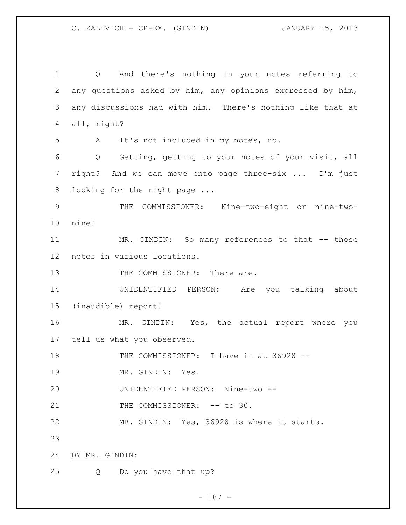Q And there's nothing in your notes referring to any questions asked by him, any opinions expressed by him, any discussions had with him. There's nothing like that at all, right? A It's not included in my notes, no. Q Getting, getting to your notes of your visit, all right? And we can move onto page three-six ... I'm just 8 looking for the right page ... THE COMMISSIONER: Nine-two-eight or nine-two- nine? MR. GINDIN: So many references to that -- those notes in various locations. 13 THE COMMISSIONER: There are. UNIDENTIFIED PERSON: Are you talking about (inaudible) report? MR. GINDIN: Yes, the actual report where you tell us what you observed. THE COMMISSIONER: I have it at 36928 -- 19 MR. GINDIN: Yes. UNIDENTIFIED PERSON: Nine-two -- 21 THE COMMISSIONER: -- to 30. MR. GINDIN: Yes, 36928 is where it starts. BY MR. GINDIN: Q Do you have that up?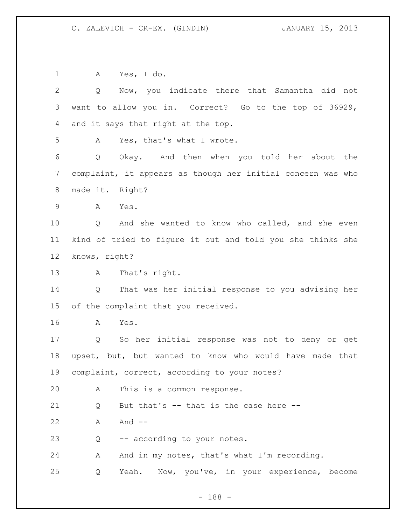A Yes, I do. Q Now, you indicate there that Samantha did not want to allow you in. Correct? Go to the top of 36929, and it says that right at the top. A Yes, that's what I wrote. Q Okay. And then when you told her about the complaint, it appears as though her initial concern was who made it. Right? A Yes. Q And she wanted to know who called, and she even kind of tried to figure it out and told you she thinks she knows, right? A That's right. Q That was her initial response to you advising her of the complaint that you received. A Yes. Q So her initial response was not to deny or get upset, but, but wanted to know who would have made that complaint, correct, according to your notes? A This is a common response. 21 Q But that's -- that is the case here --22 A And -- Q -- according to your notes. 24 A And in my notes, that's what I'm recording. Q Yeah. Now, you've, in your experience, become

- 188 -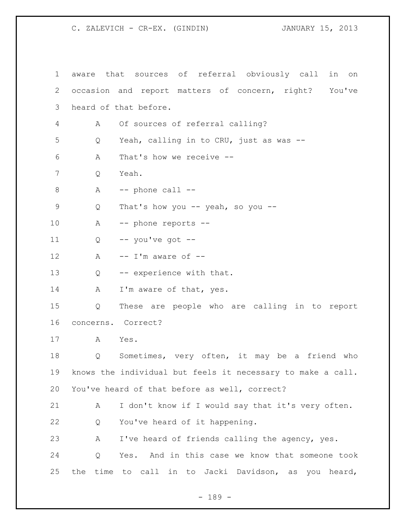aware that sources of referral obviously call in on occasion and report matters of concern, right? You've heard of that before. A Of sources of referral calling? Q Yeah, calling in to CRU, just as was -- A That's how we receive -- Q Yeah. A  $-$  phone call  $-$  Q That's how you -- yeah, so you -- A -- phone reports --  $Q$  -- you've got -- $A -I'm$  aware of  $-I$ 13 Q -- experience with that. 14 A I'm aware of that, yes. Q These are people who are calling in to report concerns. Correct? A Yes. Q Sometimes, very often, it may be a friend who knows the individual but feels it necessary to make a call. You've heard of that before as well, correct? A I don't know if I would say that it's very often. Q You've heard of it happening. A I've heard of friends calling the agency, yes. Q Yes. And in this case we know that someone took the time to call in to Jacki Davidson, as you heard,

- 189 -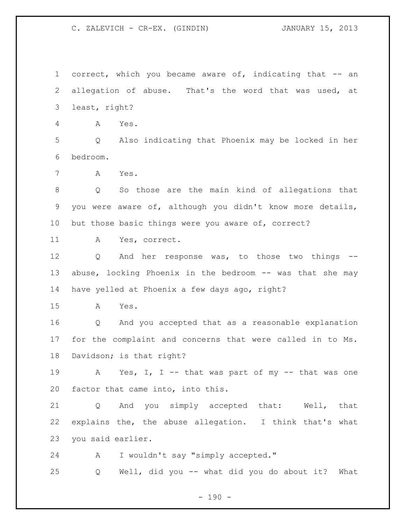correct, which you became aware of, indicating that -- an allegation of abuse. That's the word that was used, at least, right?

A Yes.

 Q Also indicating that Phoenix may be locked in her bedroom.

A Yes.

 Q So those are the main kind of allegations that you were aware of, although you didn't know more details, but those basic things were you aware of, correct?

A Yes, correct.

 Q And her response was, to those two things -- 13 abuse, locking Phoenix in the bedroom -- was that she may have yelled at Phoenix a few days ago, right?

A Yes.

 Q And you accepted that as a reasonable explanation for the complaint and concerns that were called in to Ms. Davidson; is that right?

 A Yes, I, I -- that was part of my -- that was one factor that came into, into this.

 Q And you simply accepted that: Well, that explains the, the abuse allegation. I think that's what you said earlier.

A I wouldn't say "simply accepted."

Q Well, did you -- what did you do about it? What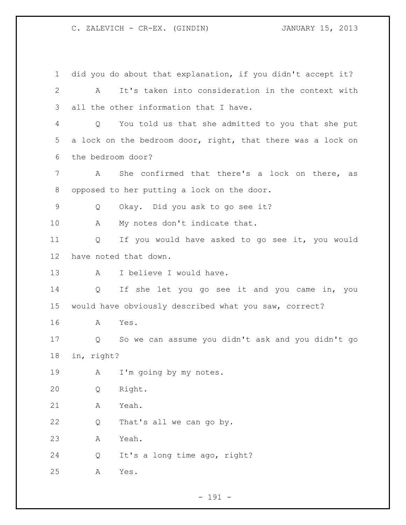did you do about that explanation, if you didn't accept it? A It's taken into consideration in the context with all the other information that I have. Q You told us that she admitted to you that she put a lock on the bedroom door, right, that there was a lock on the bedroom door? A She confirmed that there's a lock on there, as opposed to her putting a lock on the door. Q Okay. Did you ask to go see it? 10 A My notes don't indicate that. Q If you would have asked to go see it, you would have noted that down. A I believe I would have. Q If she let you go see it and you came in, you would have obviously described what you saw, correct? A Yes. Q So we can assume you didn't ask and you didn't go in, right? 19 A I'm going by my notes. Q Right. A Yeah. Q That's all we can go by. A Yeah. Q It's a long time ago, right? A Yes.

- 191 -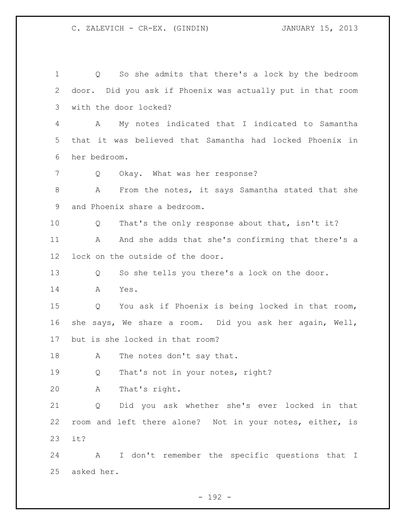Q So she admits that there's a lock by the bedroom door. Did you ask if Phoenix was actually put in that room with the door locked? A My notes indicated that I indicated to Samantha that it was believed that Samantha had locked Phoenix in her bedroom. Q Okay. What was her response? A From the notes, it says Samantha stated that she and Phoenix share a bedroom. Q That's the only response about that, isn't it? 11 A And she adds that she's confirming that there's a lock on the outside of the door. Q So she tells you there's a lock on the door. A Yes. Q You ask if Phoenix is being locked in that room, she says, We share a room. Did you ask her again, Well, but is she locked in that room? 18 A The notes don't say that. Q That's not in your notes, right? A That's right. Q Did you ask whether she's ever locked in that room and left there alone? Not in your notes, either, is it? A I don't remember the specific questions that I asked her.

- 192 -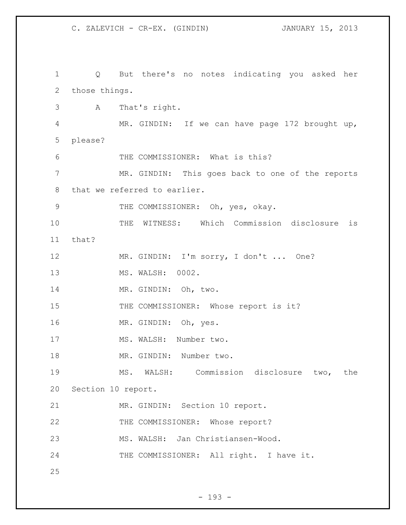C. ZALEVICH - CR-EX. (GINDIN) JANUARY 15, 2013 Q But there's no notes indicating you asked her those things. A That's right. MR. GINDIN: If we can have page 172 brought up, please?

THE COMMISSIONER: What is this?

 MR. GINDIN: This goes back to one of the reports that we referred to earlier.

9 THE COMMISSIONER: Oh, yes, okay.

 THE WITNESS: Which Commission disclosure is that?

MR. GINDIN: I'm sorry, I don't ... One?

MS. WALSH: 0002.

14 MR. GINDIN: Oh, two.

15 THE COMMISSIONER: Whose report is it?

MR. GINDIN: Oh, yes.

17 MS. WALSH: Number two.

18 MR. GINDIN: Number two.

 MS. WALSH: Commission disclosure two, the Section 10 report.

MR. GINDIN: Section 10 report.

22 THE COMMISSIONER: Whose report?

MS. WALSH: Jan Christiansen-Wood.

24 THE COMMISSIONER: All right. I have it.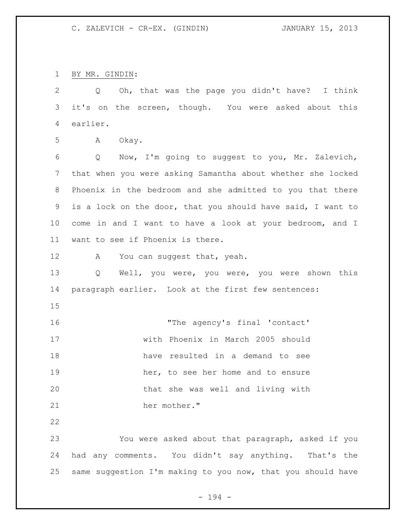BY MR. GINDIN:

 Q Oh, that was the page you didn't have? I think it's on the screen, though. You were asked about this earlier.

A Okay.

 Q Now, I'm going to suggest to you, Mr. Zalevich, that when you were asking Samantha about whether she locked Phoenix in the bedroom and she admitted to you that there is a lock on the door, that you should have said, I want to come in and I want to have a look at your bedroom, and I want to see if Phoenix is there.

12 A You can suggest that, yeah.

 Q Well, you were, you were, you were shown this paragraph earlier. Look at the first few sentences:

16 The agency's final 'contact' with Phoenix in March 2005 should have resulted in a demand to see 19 her, to see her home and to ensure that she was well and living with her mother."

 You were asked about that paragraph, asked if you had any comments. You didn't say anything. That's the same suggestion I'm making to you now, that you should have

- 194 -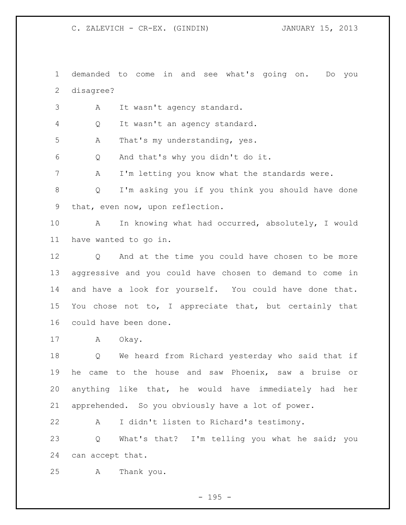demanded to come in and see what's going on. Do you disagree?

A It wasn't agency standard.

Q It wasn't an agency standard.

A That's my understanding, yes.

Q And that's why you didn't do it.

A I'm letting you know what the standards were.

 Q I'm asking you if you think you should have done that, even now, upon reflection.

 A In knowing what had occurred, absolutely, I would have wanted to go in.

 Q And at the time you could have chosen to be more aggressive and you could have chosen to demand to come in and have a look for yourself. You could have done that. You chose not to, I appreciate that, but certainly that could have been done.

17 A Okay.

 Q We heard from Richard yesterday who said that if he came to the house and saw Phoenix, saw a bruise or anything like that, he would have immediately had her apprehended. So you obviously have a lot of power.

A I didn't listen to Richard's testimony.

 Q What's that? I'm telling you what he said; you can accept that.

A Thank you.

- 195 -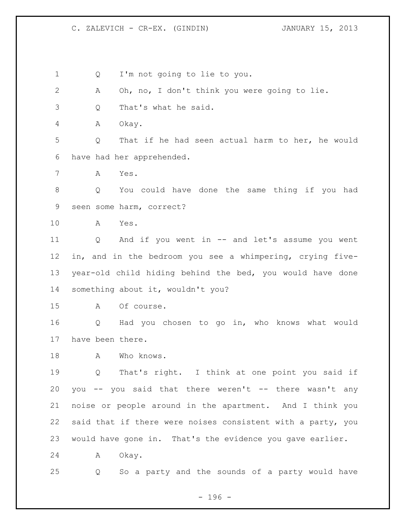Q I'm not going to lie to you.

A Oh, no, I don't think you were going to lie.

Q That's what he said.

A Okay.

 Q That if he had seen actual harm to her, he would have had her apprehended.

A Yes.

 Q You could have done the same thing if you had seen some harm, correct?

A Yes.

 Q And if you went in -- and let's assume you went in, and in the bedroom you see a whimpering, crying five- year-old child hiding behind the bed, you would have done something about it, wouldn't you?

A Of course.

 Q Had you chosen to go in, who knows what would have been there.

18 A Who knows.

 Q That's right. I think at one point you said if you -- you said that there weren't -- there wasn't any noise or people around in the apartment. And I think you said that if there were noises consistent with a party, you would have gone in. That's the evidence you gave earlier.

A Okay.

Q So a party and the sounds of a party would have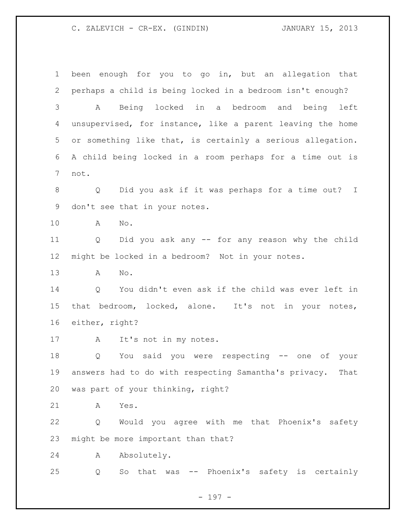been enough for you to go in, but an allegation that perhaps a child is being locked in a bedroom isn't enough? A Being locked in a bedroom and being left unsupervised, for instance, like a parent leaving the home or something like that, is certainly a serious allegation. A child being locked in a room perhaps for a time out is not. Q Did you ask if it was perhaps for a time out? I don't see that in your notes. A No. Q Did you ask any -- for any reason why the child might be locked in a bedroom? Not in your notes. A No. Q You didn't even ask if the child was ever left in that bedroom, locked, alone. It's not in your notes, either, right? A It's not in my notes. Q You said you were respecting -- one of your answers had to do with respecting Samantha's privacy. That was part of your thinking, right? A Yes. Q Would you agree with me that Phoenix's safety might be more important than that? A Absolutely. Q So that was -- Phoenix's safety is certainly

- 197 -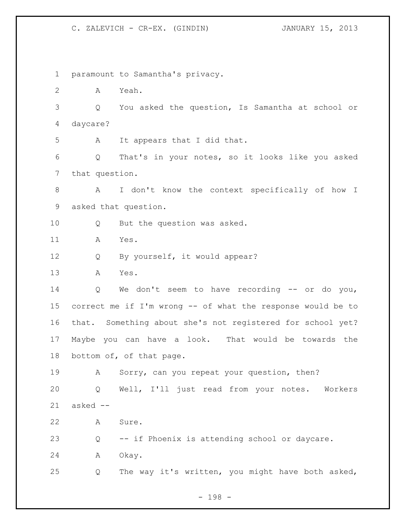paramount to Samantha's privacy. A Yeah. Q You asked the question, Is Samantha at school or daycare? A It appears that I did that. Q That's in your notes, so it looks like you asked that question. A I don't know the context specifically of how I asked that question. Q But the question was asked. A Yes. 12 Q By yourself, it would appear? A Yes. Q We don't seem to have recording -- or do you, correct me if I'm wrong -- of what the response would be to that. Something about she's not registered for school yet? Maybe you can have a look. That would be towards the bottom of, of that page. A Sorry, can you repeat your question, then? Q Well, I'll just read from your notes. Workers asked -- A Sure. Q -- if Phoenix is attending school or daycare. A Okay. Q The way it's written, you might have both asked,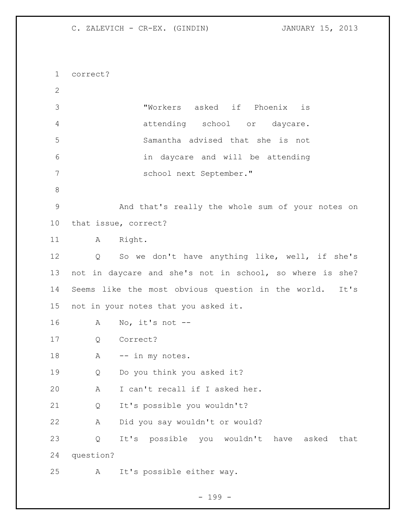correct? "Workers asked if Phoenix is attending school or daycare. Samantha advised that she is not in daycare and will be attending school next September." And that's really the whole sum of your notes on that issue, correct? 11 A Right. Q So we don't have anything like, well, if she's not in daycare and she's not in school, so where is she? Seems like the most obvious question in the world. It's not in your notes that you asked it. A No, it's not -- Q Correct? 18 A -- in my notes. Q Do you think you asked it? A I can't recall if I asked her. Q It's possible you wouldn't? A Did you say wouldn't or would? Q It's possible you wouldn't have asked that question? A It's possible either way.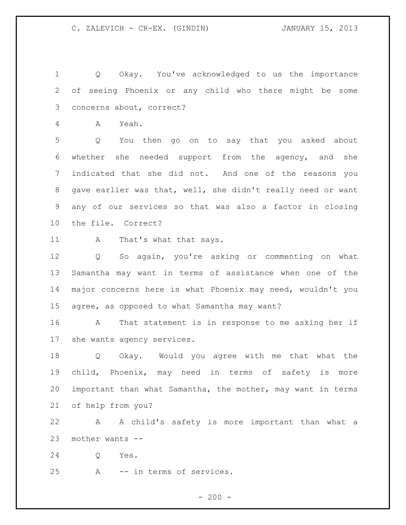Q Okay. You've acknowledged to us the importance of seeing Phoenix or any child who there might be some concerns about, correct?

A Yeah.

 Q You then go on to say that you asked about whether she needed support from the agency, and she indicated that she did not. And one of the reasons you gave earlier was that, well, she didn't really need or want any of our services so that was also a factor in closing the file. Correct?

11 A That's what that says.

 Q So again, you're asking or commenting on what Samantha may want in terms of assistance when one of the major concerns here is what Phoenix may need, wouldn't you agree, as opposed to what Samantha may want?

 A That statement is in response to me asking her if she wants agency services.

 Q Okay. Would you agree with me that what the child, Phoenix, may need in terms of safety is more important than what Samantha, the mother, may want in terms of help from you?

 A A child's safety is more important than what a mother wants --

Q Yes.

A -- in terms of services.

 $-200 -$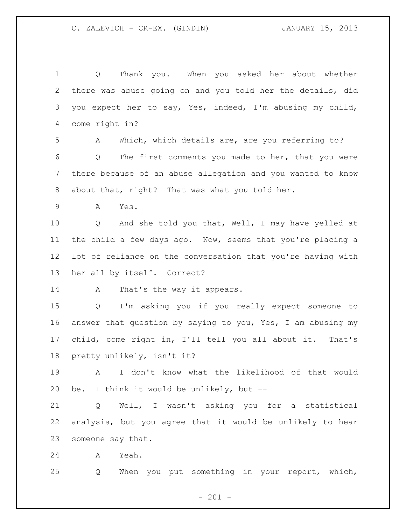| 1           | Thank you. When you asked her about whether<br>Q            |
|-------------|-------------------------------------------------------------|
| 2           | there was abuse going on and you told her the details, did  |
| 3           | you expect her to say, Yes, indeed, I'm abusing my child,   |
| 4           | come right in?                                              |
| 5           | Which, which details are, are you referring to?<br>A        |
| 6           | The first comments you made to her, that you were<br>Q      |
| 7           | there because of an abuse allegation and you wanted to know |
| 8           | about that, right? That was what you told her.              |
| $\mathsf 9$ | Yes.<br>A                                                   |
| 10          | And she told you that, Well, I may have yelled at<br>Q      |
| 11          | the child a few days ago. Now, seems that you're placing a  |
| 12          | lot of reliance on the conversation that you're having with |
| 13          | her all by itself. Correct?                                 |
| 14          | That's the way it appears.<br>A                             |
| 15          | I'm asking you if you really expect someone to<br>Q         |
| 16          | answer that question by saying to you, Yes, I am abusing my |
| 17          | child, come right in, I'll tell you all about it. That's    |
| 18          | pretty unlikely, isn't it?                                  |
| 19          | I don't know what the likelihood of that would<br>A         |
| 20          | be. I think it would be unlikely, but --                    |
| 21          | Well, I wasn't asking you for a statistical<br>Q            |
| 22          | analysis, but you agree that it would be unlikely to hear   |
| 23          | someone say that.                                           |
| 24          | Yeah.<br>A                                                  |
| 25          | When you put something in your report, which,<br>Q          |
|             |                                                             |

- 201 -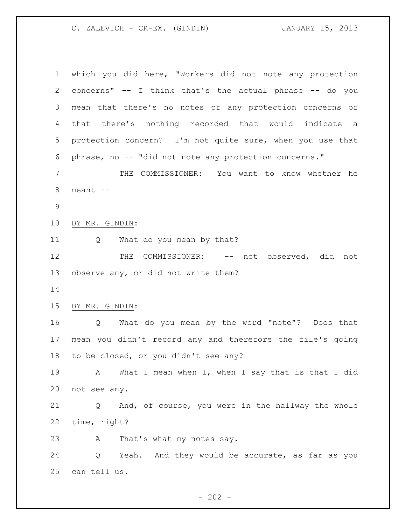which you did here, "Workers did not note any protection concerns" -- I think that's the actual phrase -- do you mean that there's no notes of any protection concerns or that there's nothing recorded that would indicate a protection concern? I'm not quite sure, when you use that phrase, no -- "did not note any protection concerns." THE COMMISSIONER: You want to know whether he meant -- BY MR. GINDIN: 11 Q What do you mean by that? 12 THE COMMISSIONER: -- not observed, did not observe any, or did not write them? BY MR. GINDIN: Q What do you mean by the word "note"? Does that mean you didn't record any and therefore the file's going to be closed, or you didn't see any? 19 A What I mean when I, when I say that is that I did not see any. Q And, of course, you were in the hallway the whole time, right? A That's what my notes say. Q Yeah. And they would be accurate, as far as you can tell us.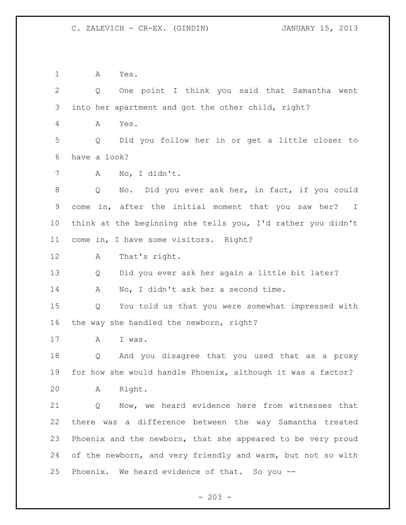A Yes. Q One point I think you said that Samantha went into her apartment and got the other child, right? A Yes. Q Did you follow her in or get a little closer to have a look? A No, I didn't. Q No. Did you ever ask her, in fact, if you could come in, after the initial moment that you saw her? I think at the beginning she tells you, I'd rather you didn't come in, I have some visitors. Right? A That's right. Q Did you ever ask her again a little bit later? A No, I didn't ask her a second time. Q You told us that you were somewhat impressed with the way she handled the newborn, right? A I was. Q And you disagree that you used that as a proxy for how she would handle Phoenix, although it was a factor? A Right. Q Now, we heard evidence here from witnesses that there was a difference between the way Samantha treated Phoenix and the newborn, that she appeared to be very proud 24 of the newborn, and very friendly and warm, but not so with Phoenix. We heard evidence of that. So you --

 $- 203 -$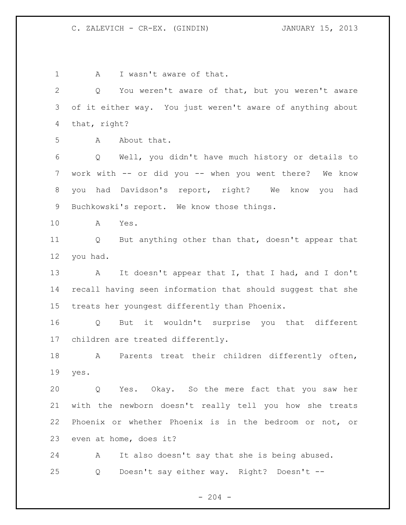1 A I wasn't aware of that. Q You weren't aware of that, but you weren't aware of it either way. You just weren't aware of anything about that, right? A About that. Q Well, you didn't have much history or details to work with -- or did you -- when you went there? We know you had Davidson's report, right? We know you had Buchkowski's report. We know those things. A Yes. Q But anything other than that, doesn't appear that you had. 13 A It doesn't appear that I, that I had, and I don't recall having seen information that should suggest that she treats her youngest differently than Phoenix. Q But it wouldn't surprise you that different children are treated differently. A Parents treat their children differently often, yes. Q Yes. Okay. So the mere fact that you saw her with the newborn doesn't really tell you how she treats Phoenix or whether Phoenix is in the bedroom or not, or even at home, does it? A It also doesn't say that she is being abused. Q Doesn't say either way. Right? Doesn't --

 $-204 -$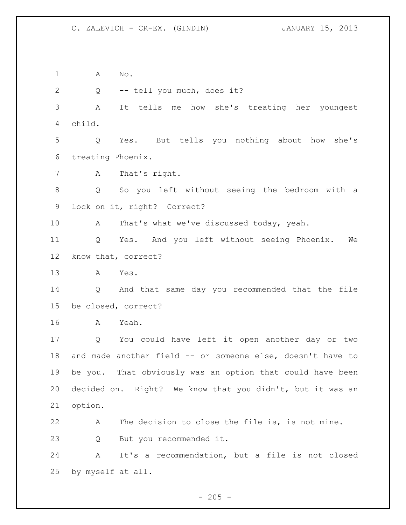A No.

2 Q -- tell you much, does it?

 A It tells me how she's treating her youngest child.

 Q Yes. But tells you nothing about how she's treating Phoenix.

A That's right.

 Q So you left without seeing the bedroom with a lock on it, right? Correct?

A That's what we've discussed today, yeah.

 Q Yes. And you left without seeing Phoenix. We know that, correct?

A Yes.

 Q And that same day you recommended that the file be closed, correct?

A Yeah.

 Q You could have left it open another day or two and made another field -- or someone else, doesn't have to be you. That obviously was an option that could have been decided on. Right? We know that you didn't, but it was an option.

 A The decision to close the file is, is not mine. Q But you recommended it.

 A It's a recommendation, but a file is not closed by myself at all.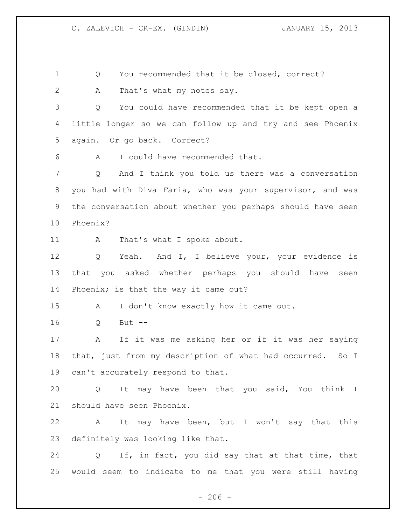1 O You recommended that it be closed, correct? A That's what my notes say. Q You could have recommended that it be kept open a little longer so we can follow up and try and see Phoenix again. Or go back. Correct? A I could have recommended that. Q And I think you told us there was a conversation you had with Diva Faria, who was your supervisor, and was the conversation about whether you perhaps should have seen Phoenix? 11 A That's what I spoke about. Q Yeah. And I, I believe your, your evidence is that you asked whether perhaps you should have seen Phoenix; is that the way it came out? A I don't know exactly how it came out. Q But -- A If it was me asking her or if it was her saying that, just from my description of what had occurred. So I can't accurately respond to that. Q It may have been that you said, You think I should have seen Phoenix. A It may have been, but I won't say that this definitely was looking like that. Q If, in fact, you did say that at that time, that would seem to indicate to me that you were still having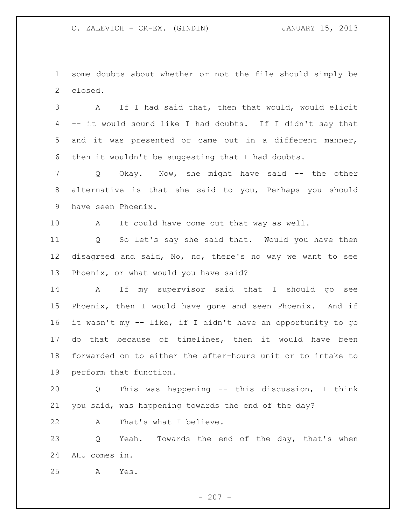some doubts about whether or not the file should simply be closed.

 A If I had said that, then that would, would elicit -- it would sound like I had doubts. If I didn't say that and it was presented or came out in a different manner, then it wouldn't be suggesting that I had doubts.

7 Q Okay. Now, she might have said -- the other alternative is that she said to you, Perhaps you should have seen Phoenix.

A It could have come out that way as well.

 Q So let's say she said that. Would you have then disagreed and said, No, no, there's no way we want to see Phoenix, or what would you have said?

 A If my supervisor said that I should go see Phoenix, then I would have gone and seen Phoenix. And if it wasn't my -- like, if I didn't have an opportunity to go do that because of timelines, then it would have been forwarded on to either the after-hours unit or to intake to perform that function.

 Q This was happening -- this discussion, I think you said, was happening towards the end of the day?

A That's what I believe.

23 Q Yeah. Towards the end of the day, that's when AHU comes in.

A Yes.

 $- 207 -$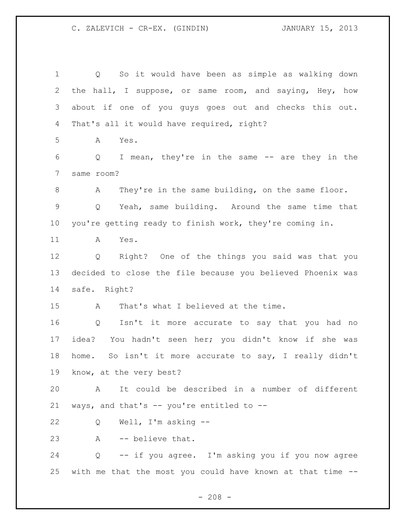Q So it would have been as simple as walking down the hall, I suppose, or same room, and saying, Hey, how about if one of you guys goes out and checks this out. That's all it would have required, right? A Yes. Q I mean, they're in the same -- are they in the same room? A They're in the same building, on the same floor. Q Yeah, same building. Around the same time that you're getting ready to finish work, they're coming in. A Yes. Q Right? One of the things you said was that you decided to close the file because you believed Phoenix was safe. Right? A That's what I believed at the time. Q Isn't it more accurate to say that you had no idea? You hadn't seen her; you didn't know if she was home. So isn't it more accurate to say, I really didn't know, at the very best? A It could be described in a number of different ways, and that's -- you're entitled to -- Q Well, I'm asking -- A -- believe that. Q -- if you agree. I'm asking you if you now agree with me that the most you could have known at that time --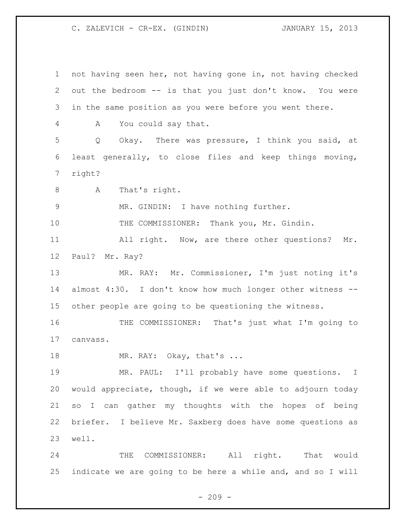not having seen her, not having gone in, not having checked out the bedroom -- is that you just don't know. You were in the same position as you were before you went there. A You could say that. Q Okay. There was pressure, I think you said, at least generally, to close files and keep things moving, right? 8 A That's right. MR. GINDIN: I have nothing further. 10 THE COMMISSIONER: Thank you, Mr. Gindin. All right. Now, are there other questions? Mr. Paul? Mr. Ray? MR. RAY: Mr. Commissioner, I'm just noting it's almost 4:30. I don't know how much longer other witness -- other people are going to be questioning the witness. THE COMMISSIONER: That's just what I'm going to canvass. 18 MR. RAY: Okay, that's ... MR. PAUL: I'll probably have some questions. I would appreciate, though, if we were able to adjourn today so I can gather my thoughts with the hopes of being briefer. I believe Mr. Saxberg does have some questions as well. THE COMMISSIONER: All right. That would indicate we are going to be here a while and, and so I will

 $-209 -$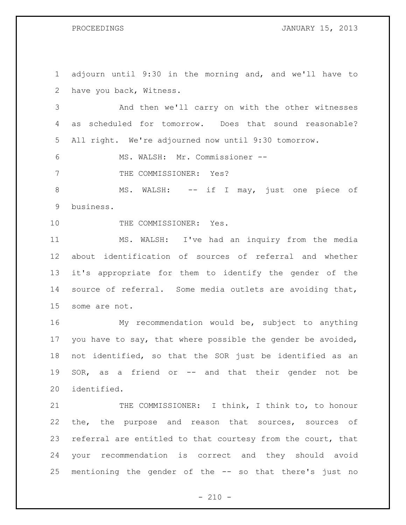PROCEEDINGS **DROCEEDINGS JANUARY 15, 2013** 

| $\mathbf 1$ | adjourn until 9:30 in the morning and, and we'll have to    |
|-------------|-------------------------------------------------------------|
| 2           | have you back, Witness.                                     |
| 3           | And then we'll carry on with the other witnesses            |
| 4           | scheduled for tomorrow. Does that sound reasonable?<br>as   |
| 5           | All right. We're adjourned now until 9:30 tomorrow.         |
| 6           | MS. WALSH: Mr. Commissioner --                              |
| 7           | THE COMMISSIONER: Yes?                                      |
| $8\,$       | MS. WALSH: -- if I may, just one piece of                   |
| 9           | business.                                                   |
| 10          | THE COMMISSIONER: Yes.                                      |
| 11          | MS. WALSH: I've had an inquiry from the media               |
| 12          | about identification of sources of referral and whether     |
| 13          | it's appropriate for them to identify the gender of the     |
| 14          | source of referral. Some media outlets are avoiding that,   |
| 15          | some are not.                                               |
| 16          | My recommendation would be, subject to anything             |
| 17          | you have to say, that where possible the gender be avoided, |
| 18          | not identified, so that the SOR just be identified as an    |
| 19          | SOR, as a friend or -- and that their gender not be         |
| 20          | identified.                                                 |
| 21          | THE COMMISSIONER: I think, I think to, to honour            |
| 22          | the, the purpose and reason that sources, sources of        |
| 23          | referral are entitled to that courtesy from the court, that |
| 24          | your recommendation is correct and they should avoid        |
| 25          | mentioning the gender of the -- so that there's just no     |